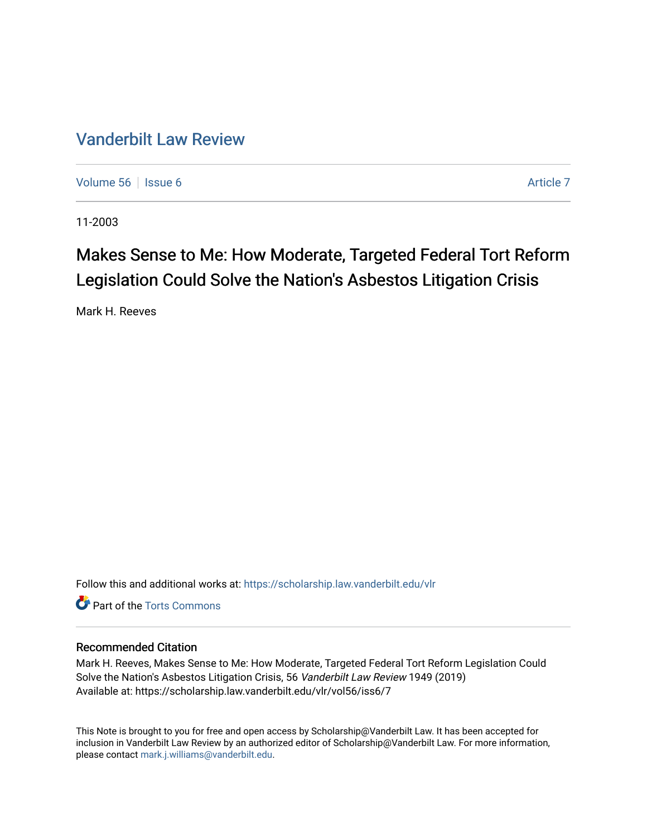# [Vanderbilt Law Review](https://scholarship.law.vanderbilt.edu/vlr)

[Volume 56](https://scholarship.law.vanderbilt.edu/vlr/vol56) Setsue 6 [Article 7](https://scholarship.law.vanderbilt.edu/vlr/vol56/iss6/7) Article 7 Article 7

11-2003

# Makes Sense to Me: How Moderate, Targeted Federal Tort Reform Legislation Could Solve the Nation's Asbestos Litigation Crisis

Mark H. Reeves

Follow this and additional works at: [https://scholarship.law.vanderbilt.edu/vlr](https://scholarship.law.vanderbilt.edu/vlr?utm_source=scholarship.law.vanderbilt.edu%2Fvlr%2Fvol56%2Fiss6%2F7&utm_medium=PDF&utm_campaign=PDFCoverPages)

**C** Part of the [Torts Commons](http://network.bepress.com/hgg/discipline/913?utm_source=scholarship.law.vanderbilt.edu%2Fvlr%2Fvol56%2Fiss6%2F7&utm_medium=PDF&utm_campaign=PDFCoverPages)

# Recommended Citation

Mark H. Reeves, Makes Sense to Me: How Moderate, Targeted Federal Tort Reform Legislation Could Solve the Nation's Asbestos Litigation Crisis, 56 Vanderbilt Law Review 1949 (2019) Available at: https://scholarship.law.vanderbilt.edu/vlr/vol56/iss6/7

This Note is brought to you for free and open access by Scholarship@Vanderbilt Law. It has been accepted for inclusion in Vanderbilt Law Review by an authorized editor of Scholarship@Vanderbilt Law. For more information, please contact [mark.j.williams@vanderbilt.edu.](mailto:mark.j.williams@vanderbilt.edu)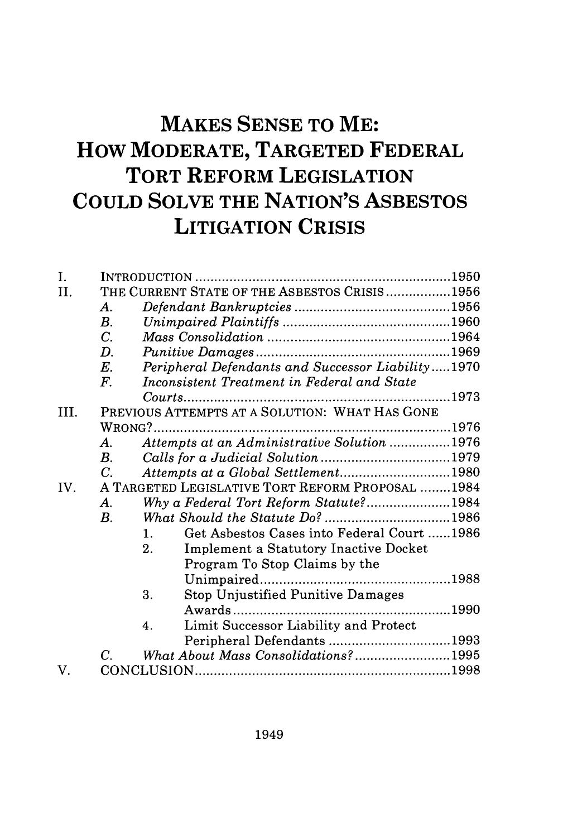# **MAKES SENSE TO ME: How MODERATE, TARGETED FEDERAL TORT REFORM LEGISLATION COULD SOLVE THE NATION'S ASBESTOS LITIGATION CRISIS**

| I.   |                    |                                                              |  |
|------|--------------------|--------------------------------------------------------------|--|
| II.  |                    | THE CURRENT STATE OF THE ASBESTOS CRISIS1956                 |  |
|      | А.                 |                                                              |  |
|      | В.                 |                                                              |  |
|      | $C_{\cdot}$        |                                                              |  |
|      | $\boldsymbol{D}$ . |                                                              |  |
|      | $E_{\cdot}$        | Peripheral Defendants and Successor Liability1970            |  |
|      | $F_{\cdot}$        | Inconsistent Treatment in Federal and State                  |  |
|      |                    |                                                              |  |
| III. |                    | PREVIOUS ATTEMPTS AT A SOLUTION: WHAT HAS GONE               |  |
|      |                    |                                                              |  |
|      | А.                 | Attempts at an Administrative Solution 1976                  |  |
|      | B.                 |                                                              |  |
|      | $C_{\cdot}$        | Attempts at a Global Settlement1980                          |  |
| IV.  |                    | A TARGETED LEGISLATIVE TORT REFORM PROPOSAL 1984             |  |
|      | A.                 | Why a Federal Tort Reform Statute?1984                       |  |
|      | $B_{\cdot}$        |                                                              |  |
|      |                    | Get Asbestos Cases into Federal Court 1986<br>$\mathbf{1}$ . |  |
|      |                    | Implement a Statutory Inactive Docket<br>2.                  |  |
|      |                    | Program To Stop Claims by the                                |  |
|      |                    |                                                              |  |
|      |                    | 3.<br><b>Stop Unjustified Punitive Damages</b>               |  |
|      |                    |                                                              |  |
|      |                    | Limit Successor Liability and Protect<br>4.                  |  |
|      |                    | Peripheral Defendants 1993                                   |  |
|      | C.                 | What About Mass Consolidations?1995                          |  |
| V.   |                    |                                                              |  |
|      |                    |                                                              |  |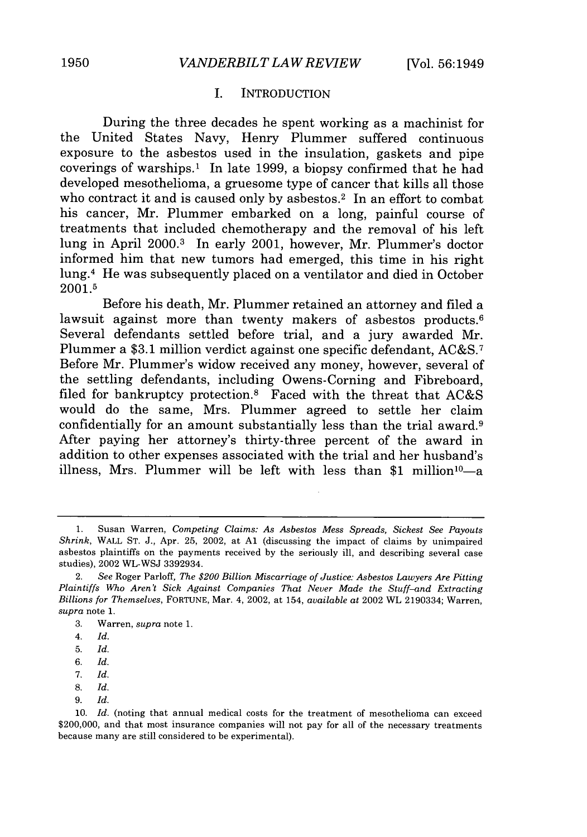# I. INTRODUCTION

During the three decades he spent working as a machinist for the United States Navy, Henry Plummer suffered continuous exposure to the asbestos used in the insulation, gaskets and pipe coverings of warships.1 In late 1999, a biopsy confirmed that he had developed mesothelioma, a gruesome type of cancer that kills all those who contract it and is caused only by aspectors.<sup>2</sup> In an effort to combat his cancer, Mr. Plummer embarked on a long, painful course of treatments that included chemotherapy and the removal of his left lung in April 2000.<sup>3</sup> In early 2001, however, Mr. Plummer's doctor informed him that new tumors had emerged, this time in his right lung.4 He was subsequently placed on a ventilator and died in October **2001.5**

Before his death, Mr. Plummer retained an attorney and filed a lawsuit against more than twenty makers of asbestos products.<sup>6</sup> Several defendants settled before trial, and a jury awarded Mr. Plummer a \$3.1 million verdict against one specific defendant, AC&S.<sup>7</sup> Before Mr. Plummer's widow received any money, however, several of the settling defendants, including Owens-Corning and Fibreboard, filed for bankruptcy protection.8 Faced with the threat that AC&S would do the same, Mrs. Plummer agreed to settle her claim confidentially for an amount substantially less than the trial award.<sup>9</sup> After paying her attorney's thirty-three percent of the award in addition to other expenses associated with the trial and her husband's illness, Mrs. Plummer will be left with less than \$1 million $10-a$ 

- 8. *Id.*
- 9. *Id.*

<sup>1.</sup> Susan Warren, *Competing Claims: As Asbestos Mess Spreads, Sickest See Payouts Shrink,* WALL ST. J., Apr. **25,** 2002, at **Al** (discussing the impact of claims by unimpaired asbestos plaintiffs on the payments received by the seriously ill, and describing several case studies), 2002 WL-WSJ 3392934.

<sup>2.</sup> *See* Roger Parloff, *The \$200 Billion Miscarriage of Justice: Asbestos Lawyers Are Pitting Plaintiffs Who Aren't Sick Against Companies That Never Made the Stuff-and Extracting Billions for Themselves,* FORTUNE, Mar. 4, 2002, at 154, *available at* 2002 WL 2190334; Warren, *supra* note 1.

<sup>3.</sup> Warren, *supra* note 1.

<sup>4.</sup> *Id.*

<sup>5.</sup> *Id.*

*<sup>6.</sup> Id.*

*<sup>7.</sup> Id.*

**<sup>10.</sup>** *Id.* (noting that annual medical costs for the treatment of mesothelioma can exceed \$200,000, and that most insurance companies will not pay for all of the necessary treatments because many are still considered to be experimental).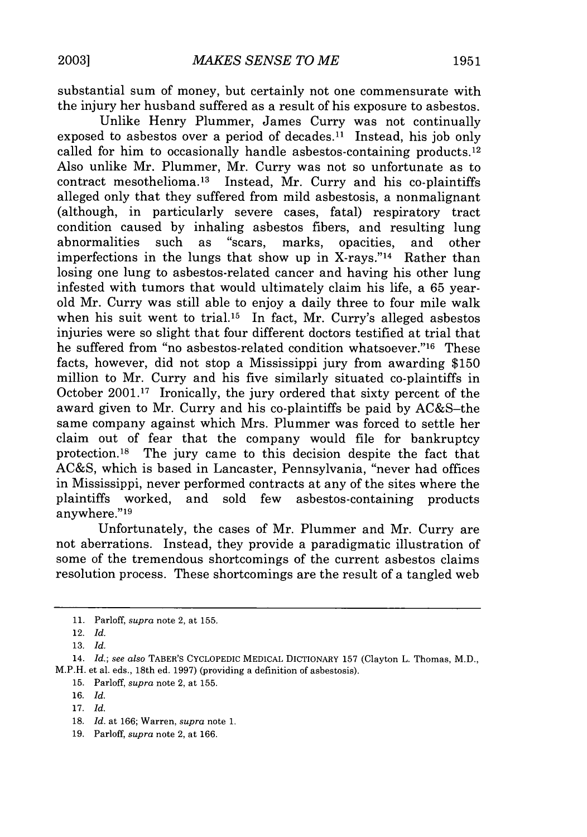substantial sum of money, but certainly not one commensurate with the injury her husband suffered as a result of his exposure to asbestos.

Unlike Henry Plummer, James Curry was not continually exposed to asbestos over a period of decades.<sup>11</sup> Instead, his job only called for him to occasionally handle asbestos-containing products.<sup>12</sup> Also unlike Mr. Plummer, Mr. Curry was not so unfortunate as to contract mesothelioma.<sup>13</sup> Instead, Mr. Curry and his co-plaintiffs alleged only that they suffered from mild asbestosis, a nonmalignant (although, in particularly severe cases, fatal) respiratory tract condition caused by inhaling asbestos fibers, and resulting lung abnormalities such as "scars, marks, opacities, and other imperfections in the lungs that show up in X-rays."<sup>14</sup> Rather than losing one lung to asbestos-related cancer and having his other lung infested with tumors that would ultimately claim his life, a 65 yearold Mr. Curry was still able to enjoy a daily three to four mile walk when his suit went to trial.<sup>15</sup> In fact, Mr. Curry's alleged asbestos injuries were so slight that four different doctors testified at trial that he suffered from "no asbestos-related condition whatsoever."<sup>16</sup> These facts, however, did not stop a Mississippi jury from awarding \$150 million to Mr. Curry and his five similarly situated co-plaintiffs in October 2001.17 Ironically, the jury ordered that sixty percent of the award given to Mr. Curry and his co-plaintiffs be paid by AC&S-the same company against which Mrs. Plummer was forced to settle her claim out of fear that the company would file for bankruptcy protection.18 The jury came to this decision despite the fact that AC&S, which is based in Lancaster, Pennsylvania, "never had offices in Mississippi, never performed contracts at any of the sites where the plaintiffs worked, and sold few asbestos-containing products anywhere."19

Unfortunately, the cases of Mr. Plummer and Mr. Curry are not aberrations. Instead, they provide a paradigmatic illustration of some of the tremendous shortcomings of the current asbestos claims resolution process. These shortcomings are the result of a tangled web

15. Parloff, *supra* note 2, at 155.

<sup>11.</sup> Parloff, *supra* note 2, at 155.

<sup>12.</sup> *Id.*

<sup>13.</sup> *Id.*

<sup>14.</sup> *Id.; see also* TABER'S CYCLOPEDIC MEDICAL DICTIONARY 157 (Clayton L. Thomas, M.D., M.P.H. et al. eds., 18th ed. 1997) (providing a definition of asbestosis).

<sup>16.</sup> *Id.*

<sup>17.</sup> *Id.*

**<sup>18.</sup>** *Id.* at 166; Warren, *supra* note 1.

<sup>19.</sup> Parloff, *supra* note 2, at 166.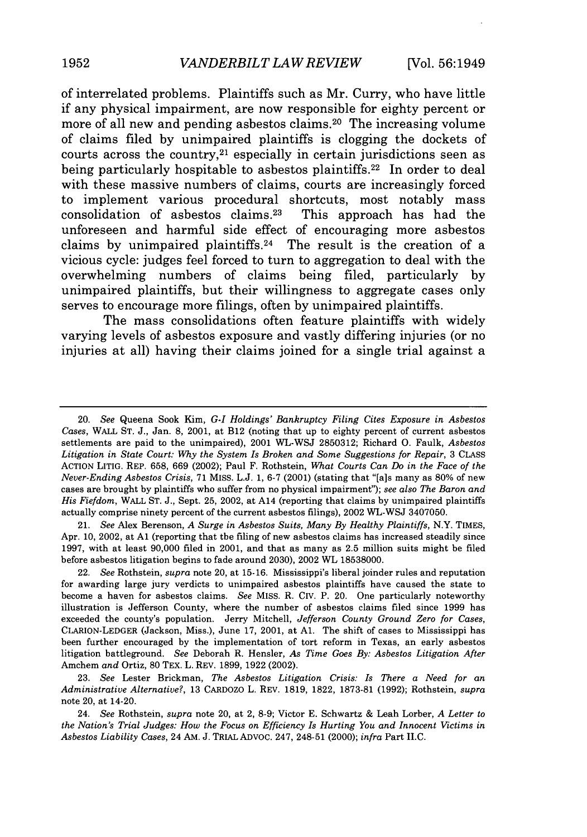of interrelated problems. Plaintiffs such as Mr. Curry, who have little if any physical impairment, are now responsible for eighty percent or more of all new and pending asbestos claims.<sup>20</sup> The increasing volume of claims filed **by** unimpaired plaintiffs is clogging the dockets of courts across the country, $2<sup>1</sup>$  especially in certain jurisdictions seen as being particularly hospitable to asbestos plaintiffs.<sup>22</sup> In order to deal with these massive numbers of claims, courts are increasingly forced to implement various procedural shortcuts, most notably mass consolidation of asbestos claims. $23$  This approach has had the unforeseen and harmful side effect of encouraging more asbestos claims **by** unimpaired plaintiffs. 24 The result is the creation of a vicious cycle: judges feel forced to turn to aggregation to deal with the overwhelming numbers of claims being filed, particularly **by** unimpaired plaintiffs, but their willingness to aggregate cases only serves to encourage more filings, often **by** unimpaired plaintiffs.

The mass consolidations often feature plaintiffs with widely varying levels of asbestos exposure and vastly differing injuries (or no injuries at all) having their claims joined for a single trial against a

21. *See* Alex Berenson, *A Surge in Asbestos Suits, Many By Healthy Plaintiffs,* N.Y. TIMES, Apr. 10, 2002, at **Al** (reporting that the filing of new asbestos claims has increased steadily since 1997, with at least 90,000 filed in 2001, and that as many as 2.5 million suits might be filed before asbestos litigation begins to fade around 2030), 2002 WL 18538000.

<sup>20.</sup> *See* Queena Sook Kim, *G-I Holdings' Bankruptcy Filing Cites Exposure in Asbestos Cases,* WALL **ST.** J., Jan. 8, 2001, at B12 (noting that up to eighty percent of current asbestos settlements are paid to the unimpaired), 2001 WL-WSJ 2850312; Richard **0.** Faulk, *Asbestos* Litigation in State Court: Why the System Is Broken and Some Suggestions for Repair, 3 CLASS ACTION LITIG. REP. 658, 669 (2002); Paul F. Rothstein, *What Courts Can Do in the Face of the Never-Ending Asbestos Crisis,* 71 MISS. L.J. 1, 6-7 (2001) (stating that "[a]s many as 80% of new cases are brought by plaintiffs who suffer from no physical impairment"); *see also The Baron and His Fiefdom,* WALL ST. J., Sept. 25, 2002, at A14 (reporting that claims by unimpaired plaintiffs actually comprise ninety percent of the current asbestos filings), 2002 WL-WSJ 3407050.

<sup>22.</sup> *See* Rothstein, *supra* note 20, at 15-16. Mississippi's liberal joinder rules and reputation for awarding large jury verdicts to unimpaired asbestos plaintiffs have caused the state to become a haven for asbestos claims. *See* MISS. R. Civ. P. 20. One particularly noteworthy illustration is Jefferson County, where the number of asbestos claims filed since 1999 has exceeded the county's population. Jerry Mitchell, *Jefferson County Ground Zero for Cases,* CLARION-LEDGER (Jackson, Miss.), June 17, 2001, at **Al.** The shift of cases to Mississippi has been further encouraged by the implementation of tort reform in Texas, an early asbestos litigation battleground. *See* Deborah R. Hensler, *As Time Goes By: Asbestos Litigation After* Amchem *and* Ortiz, **80** TEX. L. REV. 1899, 1922 (2002).

<sup>23.</sup> *See* Lester Brickman, *The Asbestos Litigation Crisis: Is There a Need for an Administrative Alternative?,* 13 CARDOZO L. REV. 1819, 1822, 1873-81 (1992); Rothstein, *supra* note 20, at 14-20.

<sup>24.</sup> *See* Rothstein, *supra* note 20, at 2, **8-9;** Victor E. Schwartz & Leah Lorber, *A Letter to the Nation's Trial Judges: How the Focus on Efficiency Is Hurting You and Innocent Victims in Asbestos Liability Cases,* 24 AM. J. TRIAL ADvoc. 247, 248-51 (2000); *infra* Part II.C.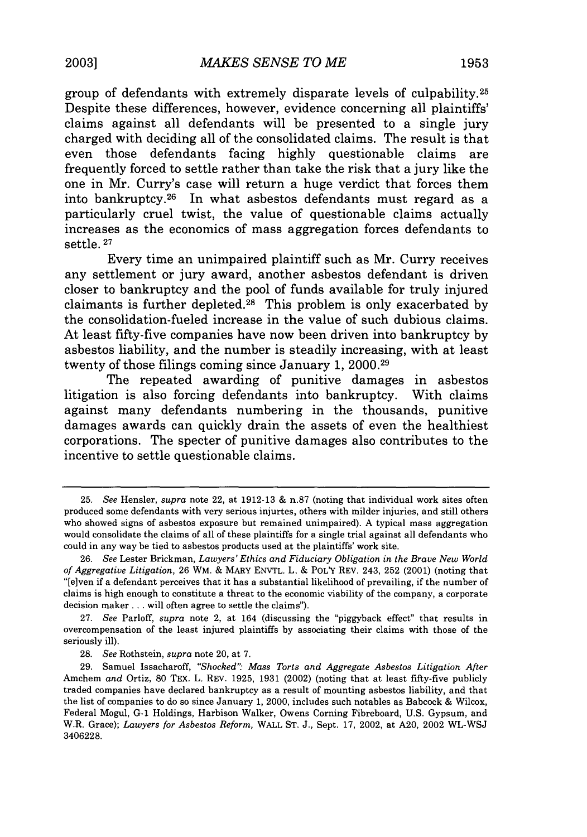group of defendants with extremely disparate levels of culpability. <sup>25</sup> Despite these differences, however, evidence concerning all plaintiffs' claims against all defendants will be presented to a single jury charged with deciding all of the consolidated claims. The result is that even those defendants facing **highly** questionable claims are frequently forced to settle rather than take the risk that a jury like the one in Mr. Curry's case will return a huge verdict that forces them into bankruptcy. 26 In what asbestos defendants must regard as a particularly cruel twist, the value of questionable claims actually increases as the economics of mass aggregation forces defendants to settle. **27**

Every time an unimpaired plaintiff such as Mr. Curry receives any settlement or jury award, another asbestos defendant is driven closer to bankruptcy and the pool of funds available for truly injured claimants is further depleted. 28 This problem is only exacerbated **by** the consolidation-fueled increase in the value of such dubious claims. At least fifty-five companies have now been driven into bankruptcy **by** asbestos liability, and the number is steadily increasing, with at least twenty of those filings coming since January **1, 2000.29**

The repeated awarding of punitive damages in asbestos litigation is also forcing defendants into bankruptcy. With claims against many defendants numbering in the thousands, punitive damages awards can quickly drain the assets of even the healthiest corporations. The specter of punitive damages also contributes to the incentive to settle questionable claims.

**<sup>25.</sup>** *See* Hensler, *supra* note 22, at **1912-13 &** n.87 (noting that individual work sites often produced some defendants with very serious injurtes, others with milder injuries, and still others who showed signs of asbestos exposure but remained unimpaired). **A** typical mass aggregation would consolidate the claims of all of these plaintiffs for a single trial against all defendants who could in any way be tied to asbestos products used at the plaintiffs' work site.

**<sup>26.</sup>** *See* Lester Brickman, *Lawyers'Ethics and Fiduciary Obligation in the Brave New World of Aggregative Litigation,* **26** WM. **&** MARY **ENVTL.** L. **&** POLY REV. 243, **252** (2001) (noting that "[elven if a defendant perceives that it has a substantial likelihood of prevailing, if the number of claims is high enough to constitute a threat to the economic viability of the company, a corporate decision maker **...** will often agree to settle the claims").

**<sup>27.</sup>** *See* Parloff, *supra* note 2, at 164 (discussing the "piggyback effect" that results in overcompensation of the least injured plaintiffs **by** associating their claims with those of the seriously ill).

**<sup>28.</sup>** *See* Rothstein, *supra* note 20, at **7.**

**<sup>29.</sup>** Samuel Issacharoff, *"Shocked'" Mass Torts and Aggregate Asbestos Litigation After* Amchem *and* Ortiz, **80** TEX. L. REV. **1925, 1931** (2002) (noting that at least fifty-five publicly traded companies have declared bankruptcy as a result of mounting asbestos liability, and that the list of companies to do so since January **1,** 2000, includes such notables as Babcock **&** Wilcox, Federal Mogul, **G-1** Holdings, Harbison Walker, Owens Corning Fibreboard, **U.S.** Gypsum, and W.R. Grace); *Lawyers for Asbestos Reform,* WALL **ST. J.,** Sept. **17,** 2002, at **A20,** 2002 WL-WSJ **3406228.**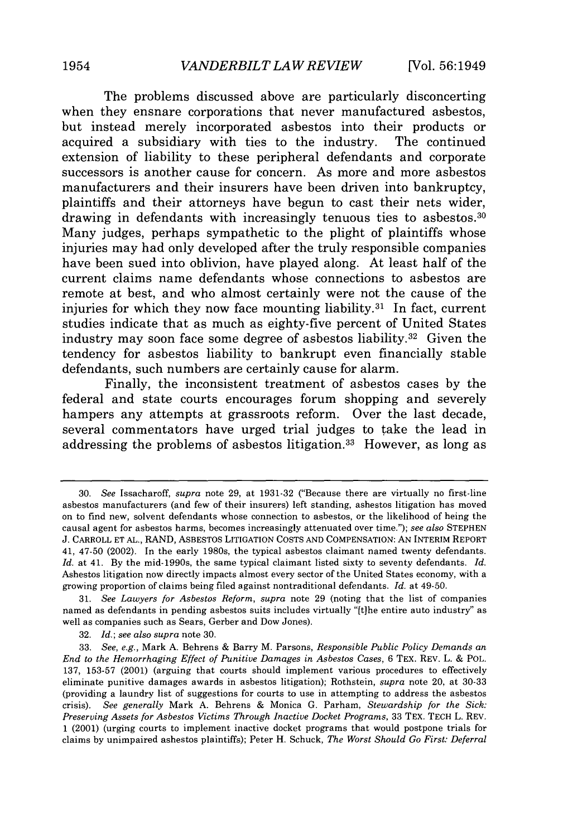The problems discussed above are particularly disconcerting when they ensnare corporations that never manufactured asbestos. but instead merely incorporated asbestos into their products or acquired a subsidiary with ties to the industry. The continued extension of liability to these peripheral defendants and corporate successors is another cause for concern. As more and more asbestos manufacturers and their insurers have been driven into bankruptcy, plaintiffs and their attorneys have begun to cast their nets wider, drawing in defendants with increasingly tenuous ties to asbestos.<sup>30</sup> Many judges, perhaps sympathetic to the plight of plaintiffs whose injuries may had only developed after the truly responsible companies have been sued into oblivion, have played along. At least half of the current claims name defendants whose connections to asbestos are remote at best, and who almost certainly were not the cause of the injuries for which they now face mounting liability.<sup>31</sup> In fact, current studies indicate that as much as eighty-five percent of United States industry may soon face some degree of asbestos liability.<sup>32</sup> Given the tendency for asbestos liability to bankrupt even financially stable defendants, such numbers are certainly cause for alarm.

Finally, the inconsistent treatment of asbestos cases **by** the federal and state courts encourages forum shopping and severely hampers any attempts at grassroots reform. Over the last decade, several commentators have urged trial judges to take the lead in addressing the problems of asbestos litigation.<sup>33</sup> However, as long as

<sup>30.</sup> *See* Issacharoff, *supra* note 29, at 1931-32 ("Because there are virtually no first-line asbestos manufacturers (and few of their insurers) left standing, asbestos litigation has moved on to find new, solvent defendants whose connection to asbestos, or the likelihood of being the causal agent for asbestos harms, becomes increasingly attenuated over time."); *see also* STEPHEN J. CARROLL ET AL., RAND, ASBESTOS LITIGATION COSTS AND COMPENSATION: AN INTERIM REPORT 41, 47-50 (2002). In the early 1980s, the typical asbestos claimant named twenty defendants. *Id.* at 41. By the mid-1990s, the same typical claimant listed sixty to seventy defendants. *Id.* Asbestos litigation now directly impacts almost every sector of the United States economy, with a growing proportion of claims being filed against nontraditional defendants. *Id.* at 49-50.

<sup>31.</sup> *See Lawyers for Asbestos Reform, supra* note 29 (noting that the list of companies named as defendants in pending asbestos suits includes virtually "[tihe entire auto industry" as well as companies such as Sears, Gerber and Dow Jones).

<sup>32.</sup> *Id.; see also supra* note 30.

<sup>33.</sup> *See, e.g.,* Mark A. Behrens & Barry M. Parsons, *Responsible Public Policy Demands an End to the Hemorrhaging Effect of Punitive Damages in Asbestos Cases,* 6 TEX. REV. L. & POL. 137, 153-57 (2001) (arguing that courts should implement various procedures to effectively eliminate punitive damages awards in asbestos litigation); Rothstein, *supra* note 20, at 30-33 (providing a laundry list of suggestions for courts to use in attempting to address the asbestos crisis). *See generally* Mark A. Behrens & Monica G. Parham, *Stewardship for the Sick: Preserving Assets for Asbestos Victims Through Inactive Docket Programs,* 33 TEX. TECH L. REV. 1 (2001) (urging courts to implement inactive docket programs that would postpone trials for claims **by** unimpaired asbestos plaintiffs); Peter H. Schuck, *The Worst Should Go First: Deferral*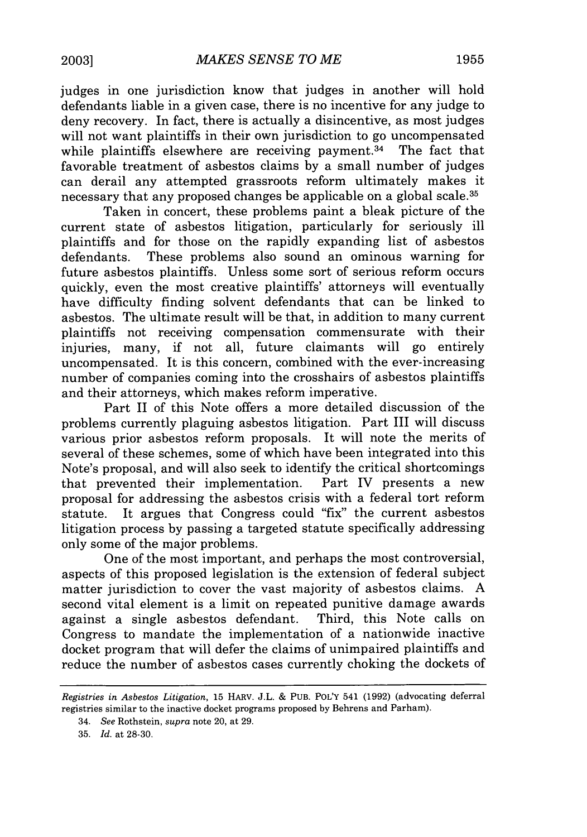judges in one jurisdiction know that judges in another will hold defendants liable in a given case, there is no incentive for any judge to deny recovery. In fact, there is actually a disincentive, as most judges will not want plaintiffs in their own jurisdiction to go uncompensated while plaintiffs elsewhere are receiving payment.<sup>34</sup> The fact that favorable treatment of asbestos claims by a small number of judges can derail any attempted grassroots reform ultimately makes it necessary that any proposed changes be applicable on a global scale. <sup>35</sup>

Taken in concert, these problems paint a bleak picture of the current state of asbestos litigation, particularly for seriously ill plaintiffs and for those on the rapidly expanding list of asbestos defendants. These problems also sound an ominous warning for future asbestos plaintiffs. Unless some sort of serious reform occurs quickly, even the most creative plaintiffs' attorneys will eventually have difficulty finding solvent defendants that can be linked to asbestos. The ultimate result will be that, in addition to many current plaintiffs not receiving compensation commensurate with their injuries, many, if not all, future claimants will go entirely uncompensated. It is this concern, combined with the ever-increasing number of companies coming into the crosshairs of asbestos plaintiffs and their attorneys, which makes reform imperative.

Part II of this Note offers a more detailed discussion of the problems currently plaguing asbestos litigation. Part III will discuss various prior asbestos reform proposals. It will note the merits of several of these schemes, some of which have been integrated into this Note's proposal, and will also seek to identify the critical shortcomings that prevented their implementation. Part IV presents a new proposal for addressing the asbestos crisis with a federal tort reform statute. It argues that Congress could "fix" the current asbestos litigation process by passing a targeted statute specifically addressing only some of the major problems.

One of the most important, and perhaps the most controversial, aspects of this proposed legislation is the extension of federal subject matter jurisdiction to cover the vast majority of asbestos claims. A second vital element is a limit on repeated punitive damage awards against a single asbestos defendant. Third, this Note calls on Congress to mandate the implementation of a nationwide inactive docket program that will defer the claims of unimpaired plaintiffs and reduce the number of asbestos cases currently choking the dockets of

*Registries in Asbestos Litigation,* 15 HARv. J.L. & PUB. POL'Y 541 (1992) (advocating deferral registries similar to the inactive docket programs proposed by Behrens and Parham).

<sup>34.</sup> *See* Rothstein, *supra* note 20, at 29.

<sup>35.</sup> *Id.* at 28-30.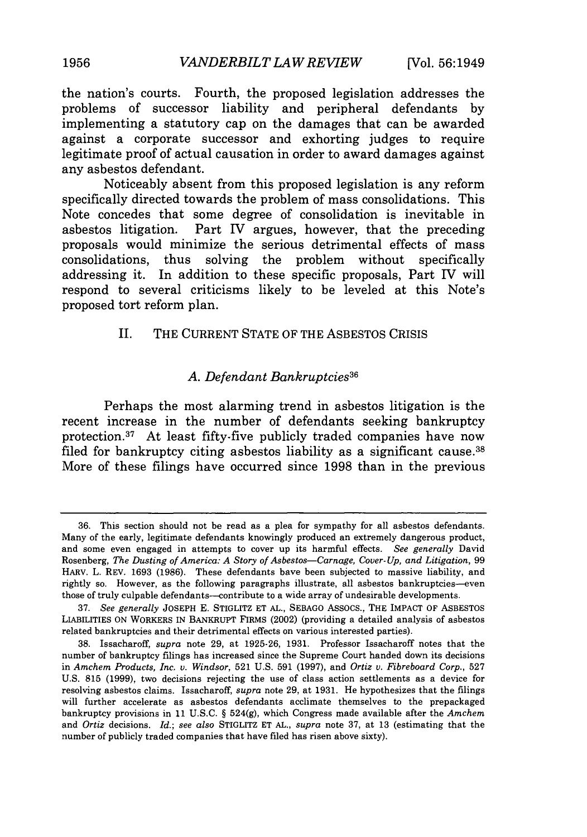the nation's courts. Fourth, the proposed legislation addresses the problems of successor liability and peripheral defendants **by** implementing a statutory cap on the damages that can be awarded against a corporate successor and exhorting judges to require legitimate proof of actual causation in order to award damages against any asbestos defendant.

Noticeably absent from this proposed legislation is any reform specifically directed towards the problem of mass consolidations. This Note concedes that some degree of consolidation is inevitable in asbestos litigation. Part IV argues, however, that the preceding proposals would minimize the serious detrimental effects of mass consolidations, thus solving the problem without specifically addressing it. In addition to these specific proposals, Part IV will respond to several criticisms likely to be leveled at this Note's proposed tort reform plan.

### II. THE CURRENT **STATE** OF THE **ASBESTOS** CRISIS

### *A. Defendant Bankruptcies36*

Perhaps the most alarming trend in asbestos litigation is the recent increase in the number of defendants seeking bankruptcy protection. 37 At least fifty.five publicly traded companies have now filed for bankruptcy citing asbestos liability as a significant cause.<sup>38</sup> More of these filings have occurred since **1998** than in the previous

**<sup>36.</sup>** This section should not be read as a plea for sympathy for all asbestos defendants. Many of the early, legitimate defendants knowingly produced an extremely dangerous product, and some even engaged in attempts to cover up its harmful effects. *See generally* David Rosenberg, *The Dusting of America: A Story of Asbestos-Carnage, Cover- Up, and Litigation,* **99** HARV. L. REV. **1693 (1986).** These defendants have been subjected to massive liability, and rightly so. However, as the following paragraphs illustrate, all asbestos bankruptcies-even those of truly culpable defendants--contribute to a wide array of undesirable developments.

**<sup>37.</sup>** *See generally* **JOSEPH E.** STIGLITZ **ET AL.,** SEBAGO ASSOcS., THE IMPACT OF **ASBESTOS** LIABILITIES **ON** WORKERS IN BANKRUPT FIRMS (2002) (providing a detailed analysis of asbestos related bankruptcies and their detrimental effects on various interested parties).

**<sup>38.</sup>** Issacharoff, *supra* note **29,** at **1925-26, 1931.** Professor Issacharoff notes that the number of bankruptcy filings has increased since the Supreme Court handed down its decisions in *Amchem Products, Inc. v. Windsor,* **521 U.S. 591 (1997),** and *Ortiz v. Fibreboard Corp.,* **527 U.S. 815 (1999),** two decisions rejecting the use of class action settlements as a device for resolving asbestos claims. Issacharoff, *supra* note **29,** at **1931.** He hypothesizes that the filings will further accelerate as asbestos defendants acclimate themselves to the prepackaged bankruptcy provisions in **11 U.S.C. § 524(g),** which Congress made available after the *Amchem* and *Ortiz* decisions. *Id.; see also* STIGLITZ **ET AL.,** *supra* note **37,** at **13** (estimating that the number of publicly traded companies that have filed has risen above sixty).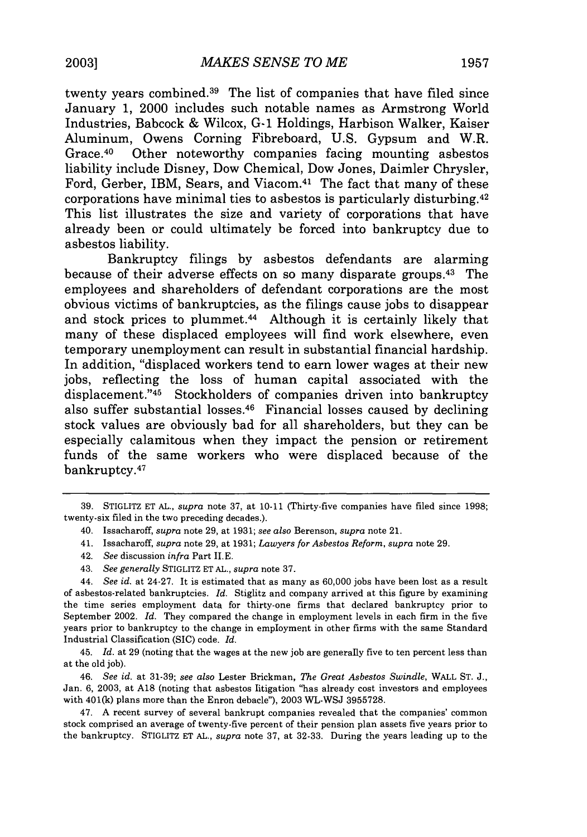twenty years combined. 39 The list of companies that have filed since January **1,** 2000 includes such notable names as Armstrong World Industries, Babcock **&** Wilcox, **G-1** Holdings, Harbison Walker, Kaiser Aluminum, Owens Corning Fibreboard, **U.S.** Gypsum and W.R. Grace. 40 Other noteworthy companies facing mounting asbestos liability include Disney, Dow Chemical, Dow Jones, Daimler Chrysler, Ford, Gerber, IBM, Sears, and Viacom.<sup>41</sup> The fact that many of these corporations have minimal ties to asbestos is particularly disturbing.42 This list illustrates the size and variety of corporations that have already been or could ultimately be forced into bankruptcy due to asbestos liability.

Bankruptcy filings **by** asbestos defendants are alarming because of their adverse effects on so many disparate groups.43 The employees and shareholders of defendant corporations are the most obvious victims of bankruptcies, as the filings cause jobs to disappear and stock prices to plummet.<sup>44</sup> Although it is certainly likely that many of these displaced employees will find work elsewhere, even temporary unemployment can result in substantial financial hardship. In addition, "displaced workers tend to earn lower wages at their new jobs, reflecting the loss of human capital associated with the displacement."45 Stockholders of companies driven into bankruptcy also suffer substantial losses.46 Financial losses caused **by** declining stock values are obviously bad for all shareholders, but they can be especially calamitous when they impact the pension or retirement funds of the same workers who were displaced because of the bankruptcy. <sup>47</sup>

- 41. Issacharoff, *supra* note **29,** at **1931;** *Lawyers for Asbestos Reform, supra* note **29.**
- 42. *See* discussion *infra* Part **II.E.**
- 43. *See generally* STIGLITZ **ET AL.,** *supra* note **37.**

46. *See id.* at **31-39;** *see also* Lester Brickman, *The Great Asbestos Swindle,* WALL **ST. J.,** Jan. **6, 2003,** at **A18** (noting that asbestos litigation "has already cost investors and employees with 401(k) plans more than the Enron debacle"), **2003 WL-WSJ 3955728.**

47. **A** recent survey of several bankrupt companies revealed that the companies' common stock comprised an average of twenty-five percent of their pension plan assets five years prior to the bankruptcy. STIGLITZ **ET AL.,** *supra* note **37,** at **32-33.** During the years leading up to the

**<sup>39.</sup>** STIGLITZ **ET AL.,** *supra* note **37,** at **10-11** (Thirty-five companies have filed since **1998;** twenty-six filed in the two preceding decades.).

<sup>40.</sup> Issacharoff, *supra* note **29,** at **1931;** *see also* Berenson, *supra* note **21.**

<sup>44.</sup> *See id.* at 24-27. It is estimated that as many as **60,000** jobs have been lost as a result of asbestos-related bankruptcies. *Id.* Stiglitz and company arrived at this figure **by** examining the time series employment data for thirty-one firms that declared bankruptcy prior to September 2002. *Id.* They compared the change in employment levels in each firm in the five years prior to bankruptcy to the change in employment in other firms with the same Standard Industrial Classification (SIC) code. *Id.*

<sup>45.</sup> *Id.* at **29** (noting that the wages at the new **job** are generally five to ten percent less than at the old **job).**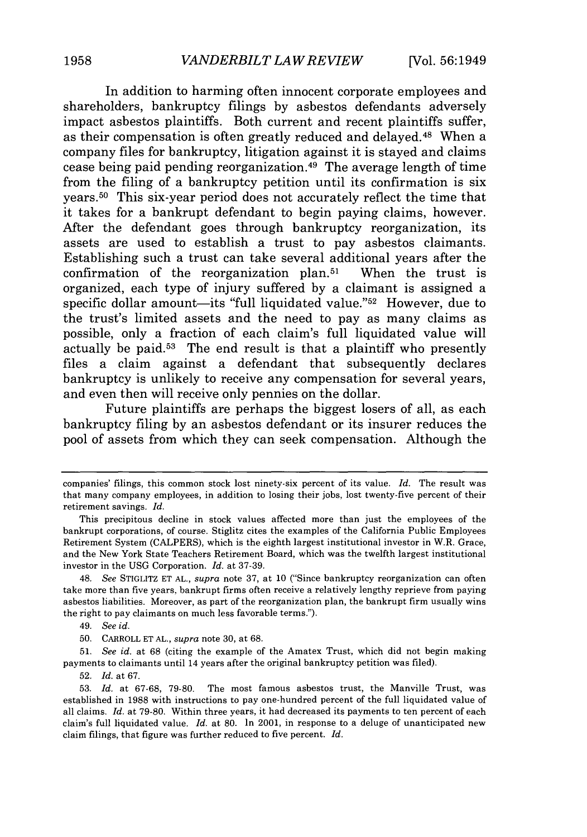In addition to harming often innocent corporate employees and shareholders, bankruptcy filings **by** asbestos defendants adversely impact asbestos plaintiffs. Both current and recent plaintiffs suffer, as their compensation is often greatly reduced and delayed. 48 When a company files for bankruptcy, litigation against it is stayed and claims cease being paid pending reorganization. 49 The average length of time from the filing of a bankruptcy petition until its confirmation is six years. 50 This six-year period does not accurately reflect the time that it takes for a bankrupt defendant to begin paying claims, however. After the defendant goes through bankruptcy reorganization, its assets are used to establish a trust to pay asbestos claimants. Establishing such a trust can take several additional years after the confirmation of the reorganization plan.<sup>51</sup> When the trust is organized, each type of injury suffered **by** a claimant is assigned a specific dollar amount—its "full liquidated value."<sup>52</sup> However, due to the trust's limited assets and the need to pay as many claims as possible, only a fraction of each claim's full liquidated value will actually be paid.<sup>53</sup> The end result is that a plaintiff who presently files a claim against a defendant that subsequently declares bankruptcy is unlikely to receive any compensation for several years, and even then will receive only pennies on the dollar.

Future plaintiffs are perhaps the biggest losers of all, as each bankruptcy filing **by** an asbestos defendant or its insurer reduces the pool of assets from which they can seek compensation. Although the

companies' filings, this common stock lost ninety-six percent of its value. *Id.* The result was that many company employees, in addition to losing their jobs, lost twenty-five percent of their retirement savings. *Id.*

This precipitous decline in stock values affected more than just the employees of the bankrupt corporations, of course. Stiglitz cites the examples of the California Public Employees Retirement System (CALPERS), which is the eighth largest institutional investor in W.R. Grace, and the New York State Teachers Retirement Board, which was the twelfth largest institutional investor in the **USG** Corporation. *Id.* at **37-39.**

<sup>48.</sup> *See* STIGLITZ **ET AL.,** *supra* note **37,** at **10** ("Since bankruptcy reorganization can often take more than five years, bankrupt firms often receive a relatively lengthy reprieve from paying asbestos liabilities. Moreover, as part of the reorganization plan, the bankrupt firm usually wins the right to pay claimants on much less favorable terms.").

<sup>49.</sup> *See id.*

**<sup>50.</sup>** CARROLL **ET AL.,** *supra* note **30,** at **68.**

**<sup>51.</sup>** *See id.* at **68** (citing the example of the Amatex Trust, which did not begin making payments to claimants until 14 years after the original bankruptcy petition was filed).

**<sup>52.</sup>** *Id.* at **67.**

**<sup>53.</sup>** *Id.* at **67-68, 79-80.** The most famous asbestos trust, the Manville Trust, was established in **1988** with instructions to pay one-hundred percent of the full liquidated value of all claims. *Id.* at **79-80.** Within three years, it had decreased its payments to ten percent of each claim's full liquidated value. *Id.* at **80.** In 2001, in response to a deluge of unanticipated new claim filings, that figure was further reduced to five percent. *Id.*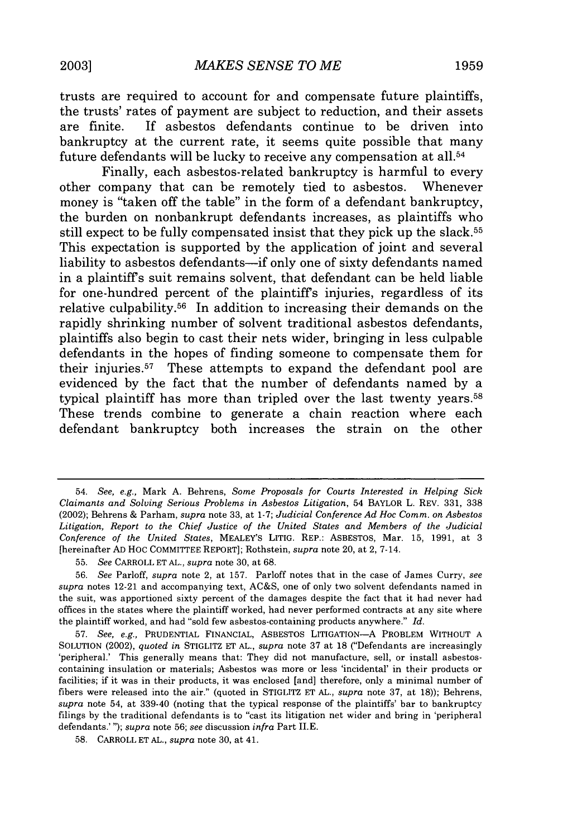trusts are required to account for and compensate future plaintiffs, the trusts' rates of payment are subject to reduction, and their assets are finite. If asbestos defendants continue to be driven into bankruptcy at the current rate, it seems quite possible that many future defendants will be lucky to receive any compensation at all.54

Finally, each asbestos-related bankruptcy is harmful to every other company that can be remotely tied to asbestos. Whenever money is "taken off the table" in the form of a defendant bankruptcy, the burden on nonbankrupt defendants increases, as plaintiffs who still expect to be fully compensated insist that they pick up the slack.<sup>55</sup> This expectation is supported **by** the application of joint and several liability to asbestos defendants-if only one of sixty defendants named in a plaintiffs suit remains solvent, that defendant can be held liable for one-hundred percent of the plaintiffs injuries, regardless of its relative culpability. 56 In addition to increasing their demands on the rapidly shrinking number of solvent traditional asbestos defendants, plaintiffs also begin to cast their nets wider, bringing in less culpable defendants in the hopes of finding someone to compensate them for their injuries.57 These attempts to expand the defendant pool are evidenced **by** the fact that the number of defendants named **by** a typical plaintiff has more than tripled over the last twenty years.<sup>58</sup> These trends combine to generate a chain reaction where each defendant bankruptcy both increases the strain on the other

<sup>54.</sup> *See, e.g.,* Mark **A.** Behrens, *Some Proposals for Courts Interested in Helping Sick Claimants and Solving Serious Problems in Asbestos Litigation,* 54 BAYLOR L. REV. **331, 338** (2002); Behrens **&** Parham, *supra* note **33,** at **1-7;** *Judicial Conference Ad Hoc Comm. on Asbestos Litigation, Report to the Chief Justice of the United States and Members of the Judicial Conference of the United States,* MEALEY'S LITIG. REP.: **ASBESTOS,** Mar. **15, 1991,** at **3** [hereinafter **AD HOC** COMMITTEE REPORT]; Rothstein, *supra* note 20, at 2, 7-14.

**<sup>55.</sup>** *See* CARROLL **ET AL.,** *supra* note **30,** at **68.**

**<sup>56.</sup>** *See* Parloff, *supra* note 2, at **157.** Parloff notes that in the case of James Curry, *see supra* notes 12-21 and accompanying text, **AC&S,** one of only two solvent defendants named in the suit, was apportioned sixty percent of the damages despite the fact that it had never had offices in the states where the plaintiff worked, had never performed contracts at any site where the plaintiff worked, and had "sold few asbestos-containing products anywhere." *Id.*

**<sup>57.</sup>** *See, e.g.,* **PRUDENTIAL** FINANCIAL, ASBESTOS LITIGATION-A PROBLEM WITHOUT **A** SOLUTION (2002), *quoted in* STIGLITZ **ET AL.,** *supra* note **37** at **18** ("Defendants are increasingly 'peripheral.' This generally means that: They did not manufacture, sell, or install asbestoscontaining insulation or materials; Asbestos was more or less 'incidental' in their products or facilities; if it was in their products, it was enclosed [and] therefore, only a minimal number of fibers were released into the air." (quoted in STIGLITZ **ET AL.,** *supra* note **37,** at **18));** Behrens, *supra* note 54, at 339-40 (noting that the typical response of the plaintiffs' bar to bankruptcy filings **by** the traditional defendants **is** to "cast its litigation net wider and bring in 'peripheral defendants.' "); *supra* note **56;** *see* discussion *infra* Part **II.E.**

**<sup>58.</sup>** CARROLL **ET AL.,** *supra* note **30,** at 41.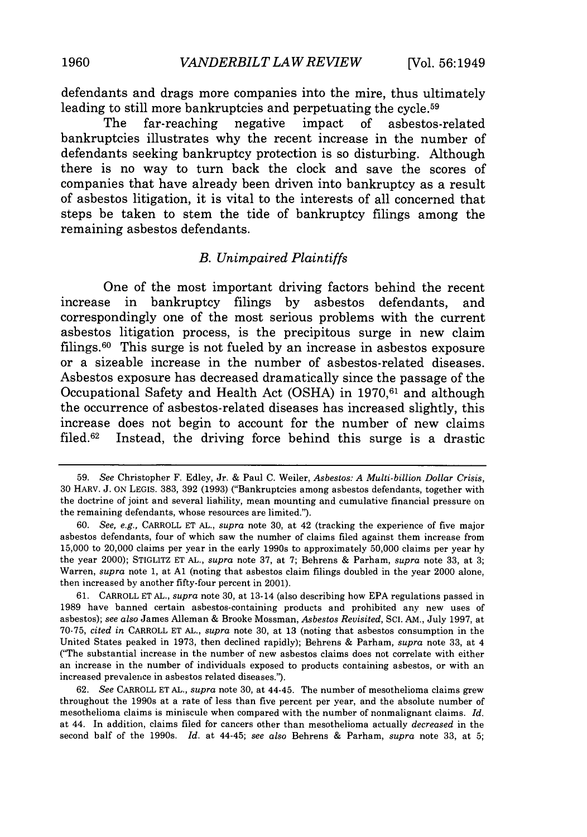defendants and drags more companies into the mire, thus ultimately leading to still more bankruptcies and perpetuating the cycle.<sup>59</sup>

The far-reaching negative impact of asbestos-related bankruptcies illustrates why the recent increase in the number of defendants seeking bankruptcy protection is so disturbing. Although there is no way to turn back the clock and save the scores of companies that have already been driven into bankruptcy as a result of asbestos litigation, it is vital to the interests of all concerned that steps be taken to stem the tide of bankruptcy filings among the remaining asbestos defendants.

# *B. Unimpaired Plaintiffs*

One of the most important driving factors behind the recent increase in bankruptcy filings **by** asbestos defendants, and correspondingly one of the most serious problems with the current asbestos litigation process, is the precipitous surge in new claim filings.60 This surge is not fueled **by** an increase in asbestos exposure or a sizeable increase in the number of asbestos-related diseases. Asbestos exposure has decreased dramatically since the passage of the Occupational Safety and Health Act **(OSHA)** in **1970,61** and although the occurrence of asbestos-related diseases has increased slightly, this increase does not begin to account for the number of new claims filed.<sup>62</sup> Instead, the driving force behind this surge is a drastic

<sup>59.</sup> *See* Christopher F. Edley, Jr. & Paul C. Weiler, *Asbestos: A Multi-billion Dollar Crisis,* 30 HARV. J. ON LEGIS. 383, 392 (1993) ("Bankruptcies among asbestos defendants, together with the doctrine of joint and several liability, mean mounting and cumulative financial pressure on the remaining defendants, whose resources are limited.").

<sup>60.</sup> *See, e.g.,* CARROLL ET AL., *supra* note 30, at 42 (tracking the experience of five major asbestos defendants, four of which saw the number of claims filed against them increase from 15,000 to 20,000 claims per year in the early 1990s to approximately 50,000 claims per year by the year 2000); STIGLITZ ET AL., *supra* note 37, at 7; Behrens & Parham, *supra* note 33, at 3; Warren, *supra* note 1, at **Al** (noting that asbestos claim filings doubled in the year 2000 alone, then increased by another fifty-four percent in 2001).

<sup>61.</sup> CARROLL ET AL., *supra* note 30, at 13-14 (also describing how EPA regulations passed in 1989 have banned certain asbestos-containing products and prohibited any new uses of asbestos); *see also* James Alleman & Brooke Mossman, *Asbestos Revisited,* **SCI.** AM., July 1997, at 70-75, *cited in* CARROLL ET AL., *supra* note 30, at 13 (noting that asbestos consumption in the United States peaked in 1973, then declined rapidly); Behrens & Parham, *supra* note 33, at 4 ("The substantial increase in the number of new asbestos claims does not correlate with either an increase in the number of individuals exposed to products containing asbestos, or with an increased prevalence in asbestos related diseases.').

<sup>62.</sup> *See* CARROLL ET AL., *supra* note 30, at 44-45. The number of mesothelioma claims grew throughout the 1990s at a rate of less than five percent per year, and the absolute number of mesothelioma claims is miniscule when compared with the number of nonmalignant claims. *Id.* at 44. In addition, claims filed for cancers other than mesothelioma actually *decreased* in the second half of the 1990s. *Id.* at 44-45; *see also* Behrens & Parham, *supra* note 33, at 5;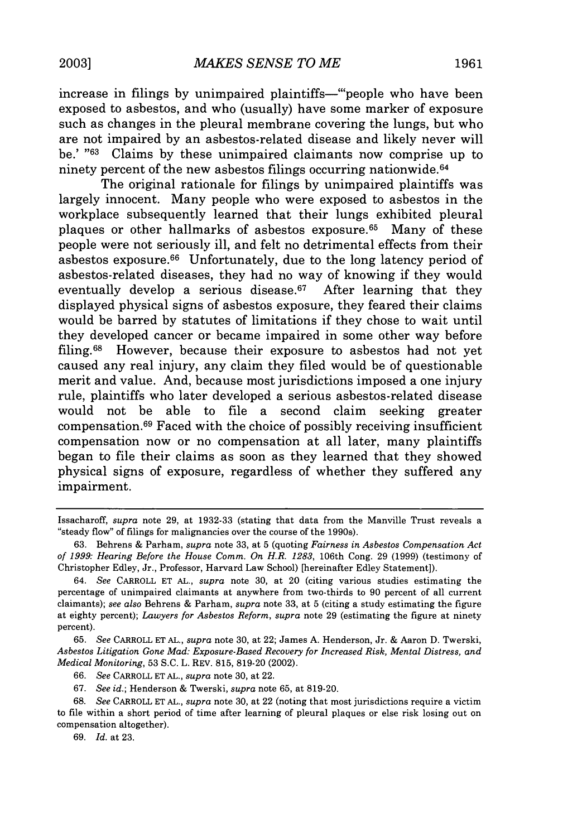increase in filings by unimpaired plaintiffs-"'people who have been exposed to asbestos, and who (usually) have some marker of exposure such as changes in the pleural membrane covering the lungs, but who are not impaired by an asbestos-related disease and likely never will be.' "<sup>63</sup> Claims by these unimpaired claimants now comprise up to ninety percent of the new asbestos filings occurring nationwide. <sup>64</sup>

The original rationale for filings by unimpaired plaintiffs was largely innocent. Many people who were exposed to asbestos in the workplace subsequently learned that their lungs exhibited pleural plaques or other hallmarks of asbestos exposure. 65 Many of these people were not seriously ill, and felt no detrimental effects from their asbestos exposure. 66 Unfortunately, due to the long latency period of asbestos-related diseases, they had no way of knowing if they would eventually develop a serious disease. $67$  After learning that they displayed physical signs of asbestos exposure, they feared their claims would be barred by statutes of limitations if they chose to wait until they developed cancer or became impaired in some other way before filing.68 However, because their exposure to asbestos had not yet caused any real injury, any claim they filed would be of questionable merit and value. And, because most jurisdictions imposed a one injury rule, plaintiffs who later developed a serious asbestos-related disease would not be able to file a second claim seeking greater compensation. $69$  Faced with the choice of possibly receiving insufficient compensation now or no compensation at all later, many plaintiffs began to file their claims as soon as they learned that they showed physical signs of exposure, regardless of whether they suffered any impairment.

67. *See id.;* Henderson & Twerski, *supra* note 65, at 819-20.

68. *See* CARROLL ET AL., *supra* note 30, at 22 (noting that most jurisdictions require a victim to file within a short period of time after learning of pleural plaques or else risk losing out on compensation altogether).

69. *Id.* at 23.

Issacharoff, *supra* note 29, at 1932-33 (stating that data from the Manville Trust reveals a "steady flow" of filings for malignancies over the course of the 1990s).

<sup>63.</sup> Behrens & Parham, *supra* note 33, at 5 (quoting *Fairness in Asbestos Compensation Act of 1999: Hearing Before the House Comm. On H.R. 1283,* 106th Cong. 29 (1999) (testimony of Christopher Edley, Jr., Professor, Harvard Law School) [hereinafter Edley Statement]).

<sup>64.</sup> *See* CARROLL ET AL., *supra* note 30, at 20 (citing various studies estimating the percentage of unimpaired claimants at anywhere from two-thirds to 90 percent of all current claimants); *see also* Behrens & Parham, *supra* note 33, at **5** (citing a study estimating the figure at eighty percent); *Lawyers for Asbestos Reform, supra* note 29 (estimating the figure at ninety percent).

<sup>65.</sup> *See* CARROLL ET AL., *supra* note 30, at 22; James A. Henderson, Jr. & Aaron D. Twerski, *Asbestos Litigation Gone Mad: Exposure-Based Recovery for Increased Risk, Mental Distress, and Medical Monitoring,* 53 S.C. L. REV. 815, 819-20 (2002).

<sup>66.</sup> *See* CARROLL ET AL., *supra* note 30, at 22.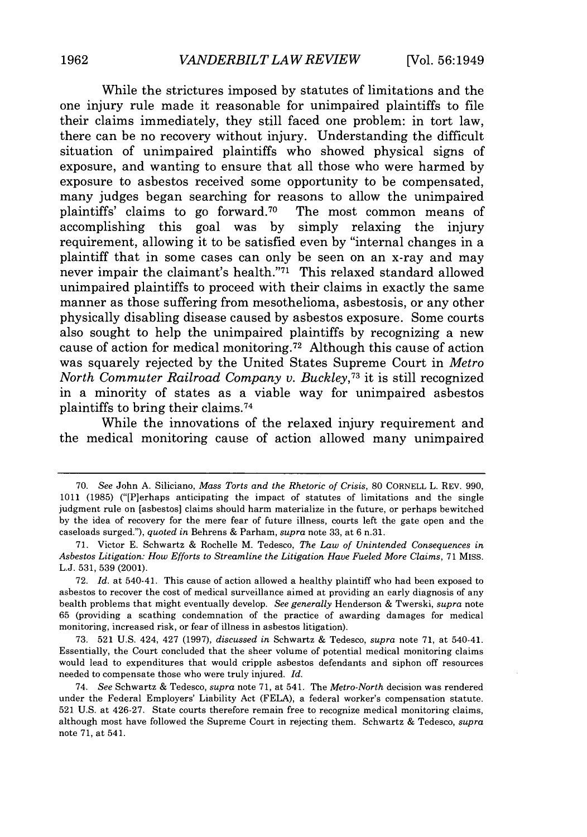While the strictures imposed **by** statutes of limitations and the one injury rule made it reasonable for unimpaired plaintiffs to file their claims immediately, they still faced one problem: in tort law, there can be no recovery without injury. Understanding the difficult situation of unimpaired plaintiffs who showed physical signs of exposure, and wanting to ensure that all those who were harmed **by** exposure to asbestos received some opportunity to be compensated, many judges began searching for reasons to allow the unimpaired plaintiffs' claims to go forward.<sup>70</sup> The most common means of plaintiffs' claims to go forward.<sup>70</sup> accomplishing this goal was **by** simply relaxing the injury requirement, allowing it to be satisfied even **by** "internal changes in a plaintiff that in some cases can only be seen on an x-ray and may never impair the claimant's health."71 This relaxed standard allowed unimpaired plaintiffs to proceed with their claims in exactly the same manner as those suffering from mesothelioma, asbestosis, or any other physically disabling disease caused **by** asbestos exposure. Some courts also sought to help the unimpaired plaintiffs **by** recognizing a new cause of action for medical monitoring. 72 Although this cause of action was squarely rejected **by** the United States Supreme Court in *Metro North Commuter Railroad Company v. Buckley, <sup>73</sup>*it **is** still recognized in a minority of states as a viable way for unimpaired asbestos plaintiffs to bring their claims. <sup>74</sup>

While the innovations of the relaxed injury requirement and the medical monitoring cause of action allowed many unimpaired

**<sup>70.</sup>** *See* John **A.** Siliciano, *Mass Torts and the Rhetoric of Crisis,* **80** CORNELL L. REV. **990, 1011 (1985)** ("[Plerhaps anticipating the impact of statutes of limitations and the single judgment rule on [asbestos] claims should harm materialize in the future, or perhaps bewitched **by** the idea of recovery for the mere fear of future illness, courts left the gate open and the caseloads surged."), *quoted in* Behrens **&** Parham, *supra* note **33,** at **6** n.31.

**<sup>71.</sup>** Victor **E.** Schwartz **&** Rochelle M. Tedesco, *The Law of Unintended Consequences in Asbestos Litigation: How Efforts to Streamline the Litigation Have Fueled More Claims,* **71** MISs. **L.J. 531, 539** (2001).

**<sup>72.</sup>** *Id.* at 540-41. This cause of action allowed a healthy plaintiff who had been exposed to asbestos to recover the cost of medical surveillance aimed at providing an early diagnosis of any health problems that might eventually develop. *See generally* Henderson **&** Twerski, *supra* note **65** (providing a scathing condemnation of the practice of awarding damages for medical monitoring, increased risk, or fear of illness in asbestos litigation).

**<sup>73. 521</sup> U.S.** 424, 427 **(1997),** *discussed in* Schwartz **&** Tedesco, *supra* note **71,** at 540-41. Essentially, the Court concluded that the sheer volume of potential medical monitoring claims would lead to expenditures that would cripple asbestos defendants and siphon off resources needed to compensate those who were truly injured. *Id.*

<sup>74.</sup> *See* Schwartz **&** Tedesco, *supra* note **71,** at 541. The *Metro-North* decision was rendered under the Federal Employers' Liability Act **(FELA),** a federal worker's compensation statute. **521 U.S.** at 426-27. State courts therefore remain free to recognize medical monitoring claims, although most have followed the Supreme Court in rejecting them. Schwartz **&** Tedesco, *supra* note **71,** at 541.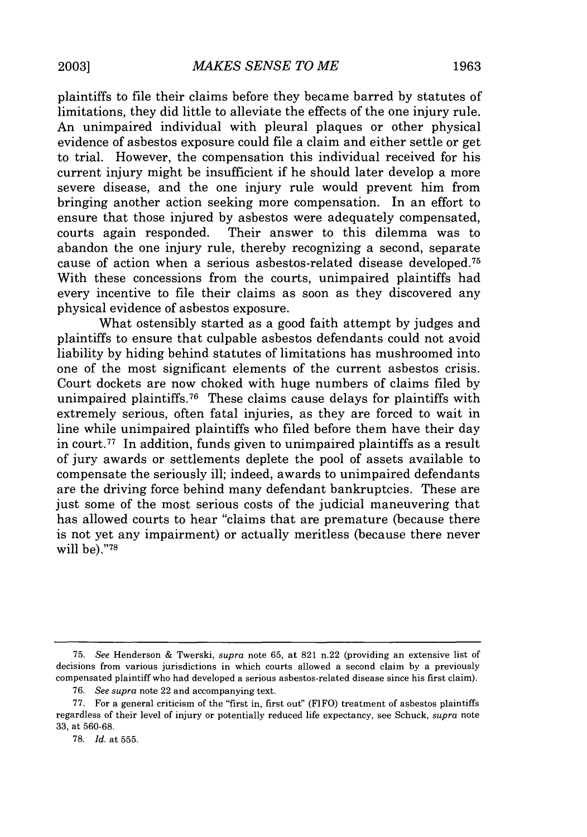plaintiffs to file their claims before they became barred by statutes of limitations, they did little to alleviate the effects of the one injury rule. An unimpaired individual with pleural plaques or other physical evidence of asbestos exposure could file a claim and either settle or get to trial. However, the compensation this individual received for his current injury might be insufficient if he should later develop a more severe disease, and the one injury rule would prevent him from bringing another action seeking more compensation. In an effort to ensure that those injured by asbestos were adequately compensated, courts again responded. Their answer to this dilemma was to abandon the one injury rule, thereby recognizing a second, separate cause of action when a serious asbestos-related disease developed. <sup>75</sup> With these concessions from the courts, unimpaired plaintiffs had every incentive to file their claims as soon as they discovered any physical evidence of asbestos exposure.

What ostensibly started as a good faith attempt by judges and plaintiffs to ensure that culpable asbestos defendants could not avoid liability by hiding behind statutes of limitations has mushroomed into one of the most significant elements of the current asbestos crisis. Court dockets are now choked with huge numbers of claims filed by unimpaired plaintiffs.<sup>76</sup> These claims cause delays for plaintiffs with extremely serious, often fatal injuries, as they are forced to wait in line while unimpaired plaintiffs who filed before them have their day in court. 77 In addition, funds given to unimpaired plaintiffs as a result of jury awards or settlements deplete the pool of assets available to compensate the seriously ill; indeed, awards to unimpaired defendants are the driving force behind many defendant bankruptcies. These are just some of the most serious costs of the judicial maneuvering that has allowed courts to hear "claims that are premature (because there is not yet any impairment) or actually meritless (because there never will be)."78

<sup>75.</sup> *See* Henderson & Twerski, *supra* note 65, at 821 n.22 (providing an extensive list of decisions from various jurisdictions in which courts allowed a second claim by a previously compensated plaintiff who had developed a serious asbestos-related disease since his first claim).

<sup>76.</sup> *See supra* note 22 and accompanying text.

<sup>77.</sup> For a general criticism of the "first in, first out" (FIFO) treatment of asbestos plaintiffs regardless of their level of injury or potentially reduced life expectancy, see Schuck, *supra* note 33, at 560-68.

<sup>78.</sup> *Id.* at 555.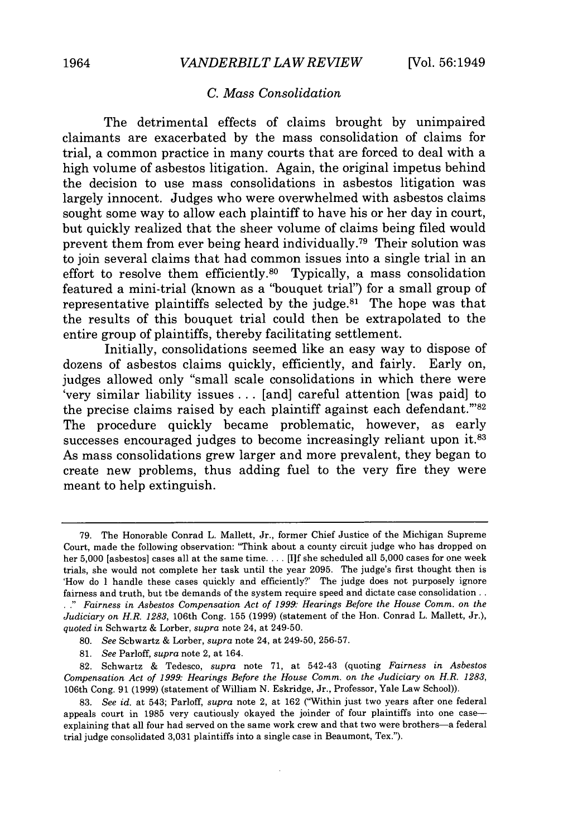# *C. Mass Consolidation*

The detrimental effects of claims brought by unimpaired claimants are exacerbated by the mass consolidation of claims for trial, a common practice in many courts that are forced to deal with a high volume of asbestos litigation. Again, the original impetus behind the decision to use mass consolidations in asbestos litigation was largely innocent. Judges who were overwhelmed with asbestos claims sought some way to allow each plaintiff to have his or her day in court, but quickly realized that the sheer volume of claims being filed would prevent them from ever being heard individually.<sup>79</sup> Their solution was to join several claims that had common issues into a single trial in an effort to resolve them efficiently.<sup>80</sup> Typically, a mass consolidation featured a mini-trial (known as a "bouquet trial") for a small group of representative plaintiffs selected by the judge.<sup>81</sup> The hope was that the results of this bouquet trial could then be extrapolated to the entire group of plaintiffs, thereby facilitating settlement.

Initially, consolidations seemed like an easy way to dispose of dozens of asbestos claims quickly, efficiently, and fairly. Early on, judges allowed only "small scale consolidations in which there were 'very similar liability issues ... [and] careful attention [was paid] to the precise claims raised by each plaintiff against each defendant."82 The procedure quickly became problematic, however, as early successes encouraged judges to become increasingly reliant upon it.<sup>83</sup> As mass consolidations grew larger and more prevalent, they began to create new problems, thus adding fuel to the very fire they were meant to help extinguish.

81. *See* Parloff, *supra* note 2, at 164.

82. Schwartz & Tedesco, *supra* note 71, at 542-43 (quoting *Fairness in Asbestos Compensation Act of 1999: Hearings Before the House Comm. on the Judiciary on H.R. 1283,* 106th Cong. 91 (1999) (statement of William N. Eskridge, Jr., Professor, Yale Law School)).

<sup>79.</sup> The Honorable Conrad L. Mallett, Jr., former Chief Justice of the Michigan Supreme Court, made the following observation: 'Think about a county circuit judge who has dropped on her 5,000 [asbestos] cases all at the same time.... [I]f she scheduled all 5,000 cases for one week trials, she would not complete her task until the year 2095. The judge's first thought then is 'How do I handle these cases quickly and efficiently?' The judge does not purposely ignore fairness and truth, but the demands of the system require speed and dictate case consolidation.. **. ."** *Fairness in Asbestos Compensation Act of 1999: Hearings Before the House Comm. on the Judiciary on H.R. 1283,* 106th Cong. 155 (1999) (statement of the Hon. Conrad L. Mallett, Jr.), *quoted in* Schwartz & Lorber, *supra* note 24, at 249-50.

**<sup>80.</sup>** *See* Schwartz & Lorber, *supra* note 24, at 249-50, 256-57.

<sup>83.</sup> *See id.* at 543; Parloff, *supra* note 2, at 162 ("Within just two years after one federal appeals court in 1985 very cautiously okayed the joinder of four plaintiffs into one caseexplaining that all four had served on the same work crew and that two were brothers-a federal trial judge consolidated 3,031 plaintiffs into a single case in Beaumont, Tex.").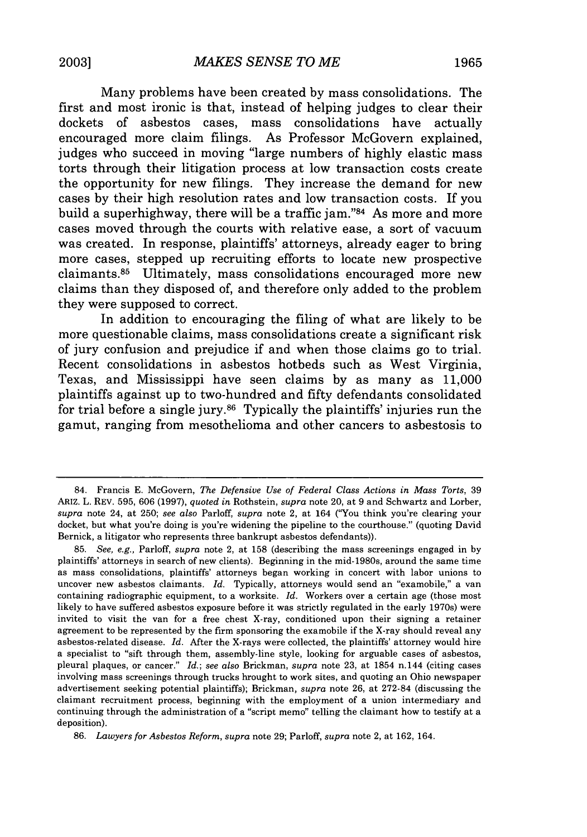Many problems have been created **by** mass consolidations. The first and most ironic is that, instead of helping judges to clear their dockets of asbestos cases, mass consolidations have actually encouraged more claim filings. As Professor McGovern explained, judges who succeed in moving "large numbers of **highly** elastic mass torts through their litigation process at low transaction costs create the opportunity for new filings. They increase the demand for new cases **by** their high resolution rates and low transaction costs. If you build a superhighway, there will be a traffic jam."<sup>84</sup> As more and more cases moved through the courts with relative ease, a sort of vacuum was created. In response, plaintiffs' attorneys, already eager to bring more cases, stepped up recruiting efforts to locate new prospective claimants.<sup>85</sup> Ultimately, mass consolidations encouraged more new claims than they disposed of, and therefore only added to the problem they were supposed to correct.

In addition to encouraging the filing of what are likely to be more questionable claims, mass consolidations create a significant risk of jury confusion and prejudice if and when those claims go to trial. Recent consolidations in asbestos hotbeds such as West Virginia, Texas, and Mississippi have seen claims **by** as many as **11,000** plaintiffs against up to two-hundred and **fifty** defendants consolidated for trial before a single jury.86 Typically the plaintiffs' injuries run the gamut, ranging from mesothelioma and other cancers to asbestosis to

<sup>84.</sup> Francis **E.** McGovern, *The Defensive Use of Federal Class Actions in Mass Torts,* **39** ARIZ. L. REV. **595, 606 (1997),** *quoted in* Rothstein, *supra* note 20, at **9** and Schwartz and Lorber, *supra* note 24, at **250;** *see also* Parloff, *supra* note 2, at 164 ("You think you're clearing your docket, but what you're doing is you're widening the pipeline to the courthouse." (quoting David Bernick, a litigator who represents three bankrupt asbestos defendants)).

**<sup>85.</sup>** *See, e.g.,* Parloff, *supra* note 2, at **158** (describing the mass screenings engaged in **by** plaintiffs' attorneys in search of new clients). Beginning in the mid-1980s, around the same time as mass consolidations, plaintiffs' attorneys began working in concert with labor unions to uncover new asbestos claimants. *Id.* Typically, attorneys would send an "examobile," a van containing radiographic equipment, to a worksite. *Id.* Workers over a certain age (those most likely to have suffered asbestos exposure before it was strictly regulated in the early 1970s) were invited to visit the van for a free chest X-ray, conditioned upon their signing a retainer agreement to be represented **by** the firm sponsoring the examobile if the X-ray should reveal any asbestos-related disease. *Id.* After the X-rays were collected, the plaintiffs' attorney would hire a specialist to "sift through them, assembly-line style, looking for arguable cases of asbestos, pleural plaques, or cancer." *Id.; see also* Brickman, *supra* note **23,** at 1854 n.144 (citing cases involving mass screenings through trucks brought to work sites, and quoting an Ohio newspaper advertisement seeking potential plaintiffs); Brickman, *supra* note **26,** at **272-84** (discussing the claimant recruitment process, beginning with the employment of a union intermediary and continuing through the administration of a "script memo" telling the claimant how to testify at a deposition).

**<sup>86.</sup>** *Lawyers for Asbestos Reform, supra* note **29;** Parloff, *supra* note 2, at **162,** 164.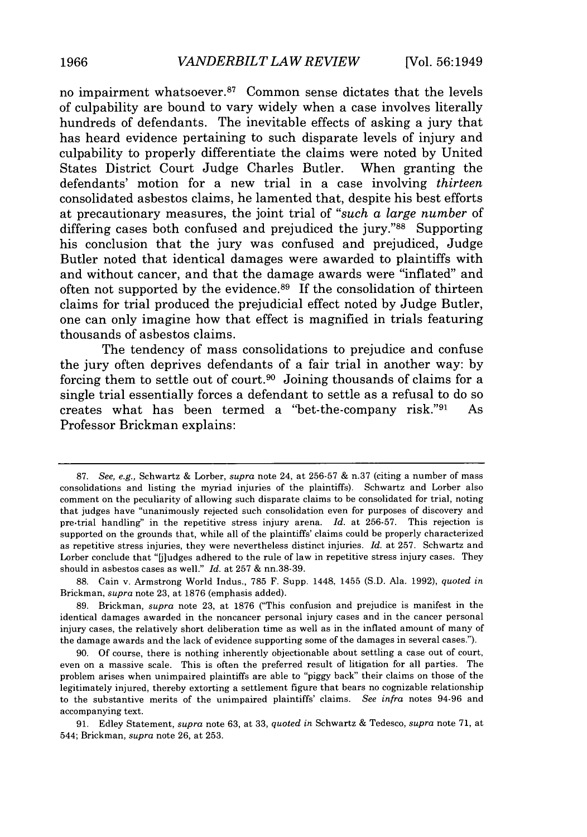no impairment whatsoever.<sup>87</sup> Common sense dictates that the levels of culpability are bound to vary widely when a case involves literally hundreds of defendants. The inevitable effects of asking a jury that has heard evidence pertaining to such disparate levels of injury and culpability to properly differentiate the claims were noted **by** United States District Court Judge Charles Butler. When granting the defendants' motion for a new trial in a case involving *thirteen* consolidated asbestos claims, he lamented that, despite his best efforts at precautionary measures, the joint trial of *"such a large number* of differing cases both confused and prejudiced the jury."88 Supporting his conclusion that the jury was confused and prejudiced, Judge Butler noted that identical damages were awarded to plaintiffs with and without cancer, and that the damage awards were "inflated" and often not supported by the evidence.<sup>89</sup> If the consolidation of thirteen claims for trial produced the prejudicial effect noted **by** Judge Butler, one can only imagine how that effect is magnified in trials featuring thousands of asbestos claims.

The tendency of mass consolidations to prejudice and confuse the jury often deprives defendants of a fair trial in another way: **by** forcing them to settle out of court. 90 Joining thousands of claims for a single trial essentially forces a defendant to settle as a refusal to do so creates what has been termed a "bet-the-company risk."91 As Professor Brickman explains:

<sup>87.</sup> *See, e.g.,* Schwartz & Lorber, *supra* note 24, at 256-57 & n.37 (citing a number of mass consolidations and listing the myriad injuries of the plaintiffs). Schwartz and Lorber also comment on the peculiarity of allowing such disparate claims to be consolidated for trial, noting that judges have "unanimously rejected such consolidation even for purposes of discovery and pre-trial handling' in the repetitive stress injury arena. *Id.* at 256-57. This rejection is supported on the grounds that, while all of the plaintiffs' claims could be properly characterized as repetitive stress injuries, they were nevertheless distinct injuries. *Id.* at 257. Schwartz and Lorber conclude that "[j]udges adhered to the rule of law in repetitive stress injury cases. They should in asbestos cases as well." *Id.* at 257 & nn.38-39.

<sup>88.</sup> Cain v. Armstrong World Indus., 785 F. Supp. 1448, 1455 (S.D. Ala. 1992), *quoted in* Brickman, *supra* note 23, at 1876 (emphasis added).

<sup>89.</sup> Brickman, *supra* note 23, at 1876 ("This confusion and prejudice is manifest in the identical damages awarded in the noncancer personal injury cases and in the cancer personal injury cases, the relatively short deliberation time as well as in the inflated amount of many of the damage awards and the lack of evidence supporting some of the damages in several cases.").

<sup>90.</sup> Of course, there is nothing inherently objectionable about settling a case out of court, even on a massive scale. This is often the preferred result of litigation for all parties. The problem arises when unimpaired plaintiffs are able to "piggy back" their claims on those of the legitimately injured, thereby extorting a settlement figure that bears no cognizable relationship to the substantive merits of the unimpaired plaintiffs' claims. *See infra* notes 94-96 and accompanying text.

<sup>91.</sup> Edley Statement, *supra* note 63, at 33, *quoted in* Schwartz & Tedesco, *supra* note 71, at 544; Brickman, *supra* note 26, at 253.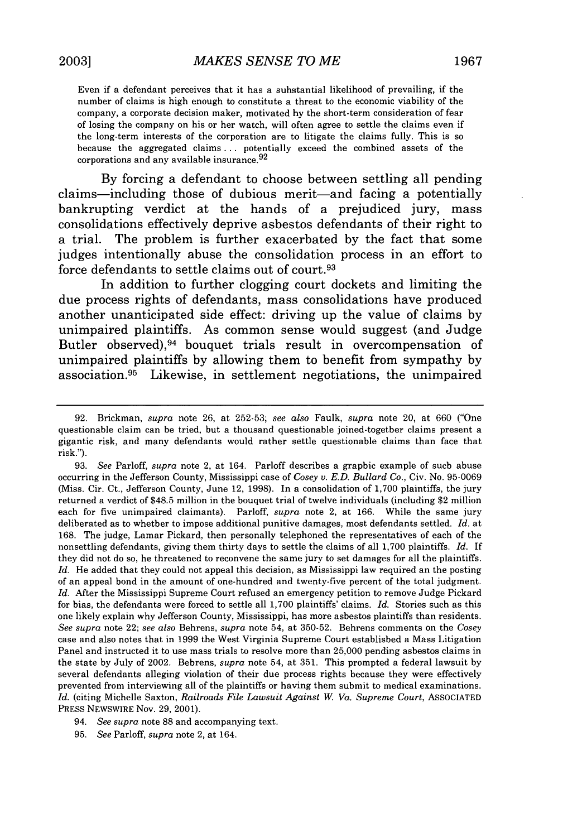Even if a defendant perceives that it has a substantial likelihood of prevailing, if the number of claims is high enough to constitute a threat to the economic viability of the company, a corporate decision maker, motivated by the short-term consideration of fear of losing the company on his or her watch, will often agree to settle the claims even if the long-term interests of the corporation are to litigate the claims fully. This is so because the aggregated claims **...** potentially exceed the combined assets of the corporations and any available insurance.  $92$ 

**By** forcing a defendant to choose between settling all pending claims—including those of dubious merit—and facing a potentially bankrupting verdict at the hands of a prejudiced jury, mass consolidations effectively deprive asbestos defendants of their right to a trial. The problem is further exacerbated **by** the fact that some judges intentionally abuse the consolidation process in an effort to force defendants to settle claims out of court. <sup>93</sup>

In addition to further clogging court dockets and limiting the due process rights of defendants, mass consolidations have produced another unanticipated side effect: driving up the value of claims **by** unimpaired plaintiffs. As common sense would suggest (and Judge Butler observed), <sup>94</sup> bouquet trials result in overcompensation of unimpaired plaintiffs **by** allowing them to benefit from sympathy **by** association. 95 Likewise, in settlement negotiations, the unimpaired

93. *See* Parloff, *supra* note 2, at 164. Parloff describes a graphic example of such abuse occurring in the Jefferson County, Mississippi case of *Cosey v. E.D. Bullard Co.,* Civ. No. 95-0069 (Miss. Cir. Ct., Jefferson County, June 12, 1998). In a consolidation of 1,700 plaintiffs, the jury returned a verdict of \$48.5 million in the bouquet trial of twelve individuals (including \$2 million each for five unimpaired claimants). Parloff, *supra* note 2, at 166. While the same jury deliberated as to whether to impose additional punitive damages, most defendants settled. *Id.* at 168. The judge, Lamar Pickard, then personally telephoned the representatives of each of the nonsettling defendants, giving them thirty days to settle the claims of all 1,700 plaintiffs. *Id.* If they did not do so, he threatened to reconvene the same jury to set damages for all the plaintiffs. Id. He added that they could not appeal this decision, as Mississippi law required an the posting of an appeal bond in the amount of one-hundred and twenty-five percent of the total judgment. *Id.* After the Mississippi Supreme Court refused an emergency petition to remove Judge Pickard for bias, the defendants were forced to settle all 1,700 plaintiffs' claims. *Id.* Stories such as this one likely explain why Jefferson County, Mississippi, has more asbestos plaintiffs than residents. *See supra* note 22; *see also* Behrens, *supra* note 54, at 350-52. Behrens comments on the *Cosey* case and also notes that in 1999 the West Virginia Supreme Court established a Mass Litigation Panel and instructed it to use mass trials to resolve more than 25,000 pending asbestos claims in the state by July of 2002. Behrens, *supra* note 54, at 351. This prompted a federal lawsuit by several defendants alleging violation of their due process rights because they were effectively prevented from interviewing all of the plaintiffs or having them submit to medical examinations. *Id.* (citing Michelle Saxton, *Railroads File Lawsuit Against W. Va. Supreme Court, ASSOCIATED* PRESS NEWSWIRE Nov. 29, 2001).

95. *See* Parloff, *supra* note 2, at 164.

<sup>92.</sup> Brickman, *supra* note 26, at 252-53; *see also* Faulk, *supra* note 20, at 660 ("One questionable claim can be tried, but a thousand questionable joined-together claims present a gigantic risk, and many defendants would rather settle questionable claims than face that risk.").

<sup>94.</sup> *See supra* note 88 and accompanying text.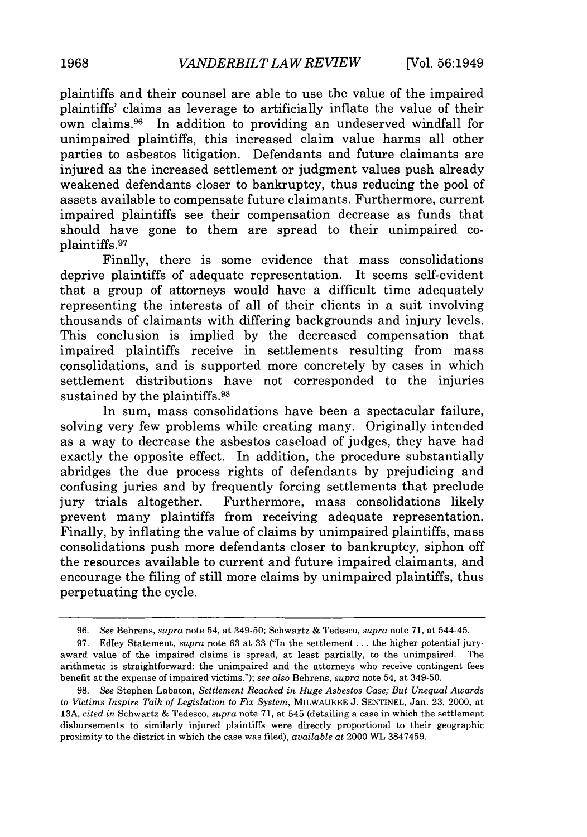plaintiffs and their counsel are able to use the value of the impaired plaintiffs' claims as leverage to artificially inflate the value of their own claims. 96 In addition to providing an undeserved windfall for unimpaired plaintiffs, this increased claim value harms all other parties to asbestos litigation. Defendants and future claimants are injured as the increased settlement or judgment values push already weakened defendants closer to bankruptcy, thus reducing the pool of assets available to compensate future claimants. Furthermore, current impaired plaintiffs see their compensation decrease as funds that should have gone to them are spread to their unimpaired coplaintiffs. <sup>97</sup>

Finally, there is some evidence that mass consolidations deprive plaintiffs of adequate representation. It seems self-evident that a group of attorneys would have a difficult time adequately representing the interests of all of their clients in a suit involving thousands of claimants with differing backgrounds and injury levels. This conclusion is implied by the decreased compensation that impaired plaintiffs receive in settlements resulting from mass consolidations, and is supported more concretely by cases in which settlement distributions have not corresponded to the injuries sustained by the plaintiffs.<sup>98</sup>

In sum, mass consolidations have been a spectacular failure, solving very few problems while creating many. Originally intended as a way to decrease the asbestos caseload of judges, they have had exactly the opposite effect. In addition, the procedure substantially abridges the due process rights of defendants by prejudicing and confusing juries and by frequently forcing settlements that preclude jury trials altogether. Furthermore, mass consolidations likely prevent many plaintiffs from receiving adequate representation. Finally, by inflating the value of claims by unimpaired plaintiffs, mass consolidations push more defendants closer to bankruptcy, siphon off the resources available to current and future impaired claimants, and encourage the filing of still more claims by unimpaired plaintiffs, thus perpetuating the cycle.

<sup>96.</sup> *See* Behrens, *supra* note 54, at 349-50; Schwartz & Tedesco, *supra* note 71, at 544-45.

<sup>97.</sup> Edley Statement, *supra* note 63 at 33 ("In the settlement.., the higher potential juryaward value of the impaired claims is spread, at least partially, to the unimpaired. The arithmetic is straightforward: the unimpaired and the attorneys who receive contingent fees benefit at the expense of impaired victims."); *see also* Behrens, *supra* note 54, at 349-50.

<sup>98.</sup> *See* Stephen Labaton, *Settlement Reached in Huge Asbestos Case, But Unequal Awards to Victims Inspire Talk of Legislation to Fix System,* MILWAUKEE J. SENTINEL, Jan. 23, 2000, at 13A, *cited in* Schwartz & Tedesco, *supra* note 71, at 545 (detailing a case in which the settlement disbursements to similarly injured plaintiffs were directly proportional to their geographic proximity to the district in which the case was filed), *available at* 2000 WL 3847459.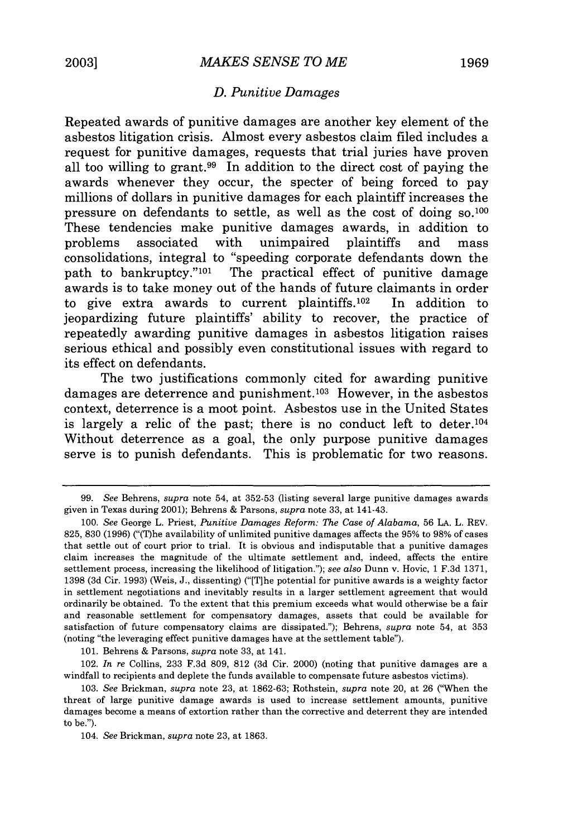#### *D. Punitive Damages*

Repeated awards of punitive damages are another key element of the asbestos litigation crisis. Almost every asbestos claim filed includes a request for punitive damages, requests that trial juries have proven all too willing to grant.99 In addition to the direct cost of paying the awards whenever they occur, the specter of being forced to pay millions of dollars in punitive damages for each plaintiff increases the pressure on defendants to settle, as well as the cost of doing **so.loo** These tendencies make punitive damages awards, in addition to problems associated with unimpaired plaintiffs and mass consolidations, integral to "speeding corporate defendants down the path to bankruptcy."<sup>101</sup> The practical effect of punitive damage awards is to take money out of the hands of future claimants in order to give extra awards to current plaintiffs. 102 In addition to jeopardizing future plaintiffs' ability to recover, the practice of repeatedly awarding punitive damages in asbestos litigation raises serious ethical and possibly even constitutional issues with regard to its effect on defendants.

The two justifications commonly cited for awarding punitive damages are deterrence and punishment. 103 However, in the asbestos context, deterrence is a moot point. Asbestos use in the United States is largely a relic of the past; there is no conduct left to deter.<sup>104</sup> Without deterrence as a goal, the only purpose punitive damages serve is to punish defendants. This is problematic for two reasons.

**101.** Behrens **&** Parsons, *supra* note **33,** at 141.

102. *In re* Collins, **233 F.3d 809, 812 (3d** Cir. 2000) (noting that punitive damages are a windfall to recipients and deplete the funds available to compensate future asbestos victims).

**<sup>99.</sup>** *See* Behrens, *supra* note 54, at **352-53** (listing several large punitive damages awards given in Texas during 2001); Behrens **&** Parsons, *supra* note **33,** at 141-43.

**<sup>100.</sup>** *See* George L. Priest, *Punitive Damages Reform: The Case of Alabama,* **56 LA.** L. REV. **825, 830 (1996)** ("(T)he availability of unlimited punitive damages affects the **95%** to **98%** of cases that settle out of court prior to trial. It is obvious and indisputable that a punitive damages claim increases the magnitude of the ultimate settlement and, indeed, affects the entire settlement process, increasing the likelihood of litigation."); *see also* Dunn v. Hovic, **1 F.3d 1371, 1398 (3d** Cir. **1993)** (Weis, **J.,** dissenting) ("[Tihe potential for punitive awards is a weighty factor in settlement negotiations and inevitably results in a larger settlement agreement that would ordinarily be obtained. To the extent that this premium exceeds what would otherwise be a fair and reasonable settlement for compensatory damages, assets that could be available for satisfaction of future compensatory claims are dissipated."); Behrens, *supra* note 54, at **353** (noting "the leveraging effect punitive damages have at the settlement table").

**<sup>103.</sup>** *See* Brickman, *supra* note **23,** at **1862-63;** Rothstein, *supra* note 20, at **26** ("When the threat of large punitive damage awards is used to increase settlement amounts, punitive damages become a means of extortion rather than the corrective and deterrent they are intended to be.").

<sup>104.</sup> *See* Brickman, *supra* note **23,** at **1863.**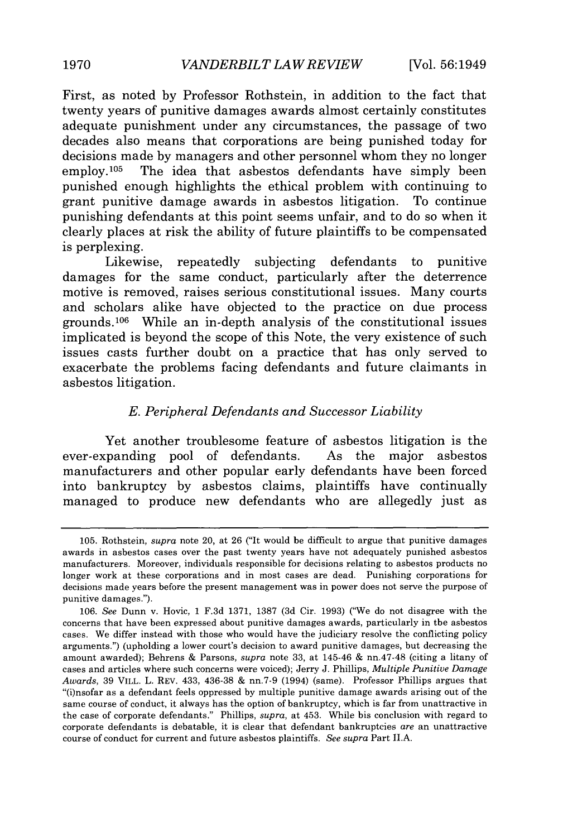First, as noted **by** Professor Rothstein, in addition to the fact that twenty years of punitive damages awards almost certainly constitutes adequate punishment under any circumstances, the passage of two decades also means that corporations are being punished today for decisions made **by** managers and other personnel whom they no longer employ.105 The idea that asbestos defendants have simply been punished enough highlights the ethical problem with continuing to grant punitive damage awards in asbestos litigation. To continue punishing defendants at this point seems unfair, and to do so when it clearly places at risk the ability of future plaintiffs to be compensated is perplexing.

Likewise, repeatedly subjecting defendants to punitive damages for the same conduct, particularly after the deterrence motive is removed, raises serious constitutional issues. Many courts and scholars alike have objected to the practice on due process grounds.<sup>106</sup> While an in-depth analysis of the constitutional issues implicated is beyond the scope of this Note, the very existence of such issues casts further doubt on a practice that has only served to exacerbate the problems facing defendants and future claimants in asbestos litigation.

#### *E. Peripheral Defendants and Successor Liability*

Yet another troublesome feature of asbestos litigation is the ever-expanding pool of defendants. As the major asbestos manufacturers and other popular early defendants have been forced into bankruptcy **by** asbestos claims, plaintiffs have continually managed to produce new defendants who are allegedly just as

**<sup>105.</sup>** Rothstein, *supra* note 20, at **26** ("It would be difficult to argue that punitive damages awards in asbestos cases over the past twenty years have not adequately punished asbestos manufacturers. Moreover, individuals responsible for decisions relating to asbestos products no longer work at these corporations and in most cases are dead. Punishing corporations **for** decisions made years before the present management was in power does not serve the purpose of punitive damages.").

**<sup>106.</sup>** *See* Dunn v. Hovic, **1 F.3d 1371, 1387 (3d** Cir. **1993)** ("We do not disagree with the concerns that have been expressed about punitive damages awards, particularly in the asbestos cases. We differ instead with those who would have the judiciary resolve the conflicting policy arguments.") (upholding a lower court's decision to award punitive damages, but decreasing the amount awarded); Behrens **&** Parsons, *supra* note **33,** at 145-46 **&** nn.47-48 (citing a litany of cases and articles where such concerns were voiced); Jerry **J.** Phillips, *Multiple Punitive Damage Awards,* **39** VILL. L. REV. 433, **436-38 &** nn.7-9 (1994) (same). Professor Phillips argues that "(i)nsofar as a defendant feels oppressed **by** multiple punitive damage awards arising out of the same course of conduct, it always has the option of bankruptcy, which is far from unattractive in the case **of** corporate defendants." Phillips, *supra,* at 453. While his conclusion with regard to corporate defendants is debatable, it is clear that defendant bankruptcies *are* an unattractive course of conduct for current and future asbestos plaintiffs. *See supra* Part **II.A.**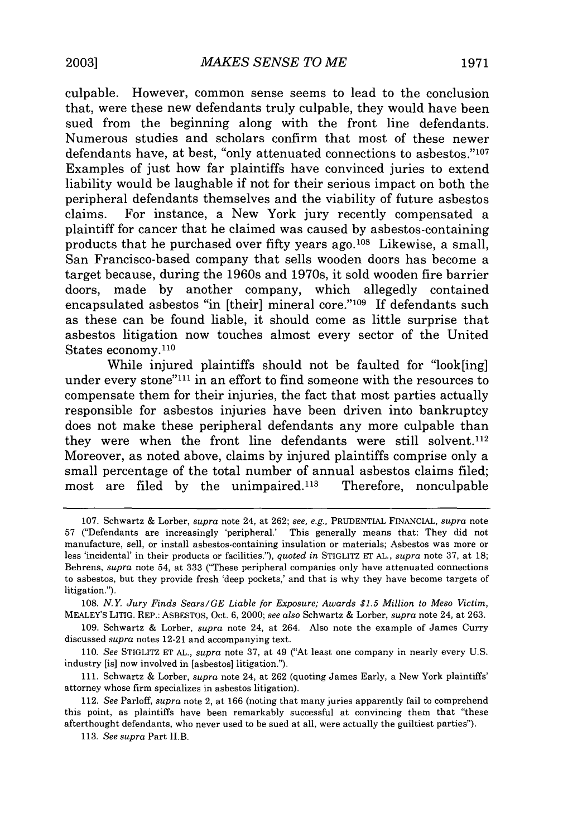culpable. However, common sense seems to lead to the conclusion that, were these new defendants truly culpable, they would have been sued from the beginning along with the front line defendants. Numerous studies and scholars confirm that most of these newer defendants have, at best, "only attenuated connections to asbestos."<sup>107</sup> Examples of just how far plaintiffs have convinced juries to extend liability would be laughable if not for their serious impact on both the peripheral defendants themselves and the viability of future asbestos claims. For instance, a New York jury recently compensated a plaintiff for cancer that he claimed was caused by asbestos-containing products that he purchased over fifty years ago.<sup>108</sup> Likewise, a small, San Francisco-based company that sells wooden doors has become a target because, during the 1960s and 1970s, it sold wooden fire barrier doors, made by another company, which allegedly contained encapsulated asbestos "in [their] mineral core."<sup>109</sup> If defendants such as these can be found liable, it should come as little surprise that asbestos litigation now touches almost every sector of the United States economy.110

While injured plaintiffs should not be faulted for "look[ing] under every stone"<sup>111</sup> in an effort to find someone with the resources to compensate them for their injuries, the fact that most parties actually responsible for asbestos injuries have been driven into bankruptcy does not make these peripheral defendants any more culpable than they were when the front line defendants were still solvent.<sup>112</sup> Moreover, as noted above, claims by injured plaintiffs comprise only a small percentage of the total number of annual asbestos claims filed; most are filed by the unimpaired. $113$  Therefore, nonculpable

<sup>107.</sup> Schwartz & Lorber, *supra* note 24, at 262; *see, e.g.,* PRUDENTIAL FINANCIAL, *supra* note 57 ("Defendants are increasingly 'peripheral.' This generally means that: They did not manufacture, sell, or install asbestos-containing insulation or materials; Asbestos was more or less 'incidental' in their products or facilities."), *quoted in* STIGLITZ ET AL., *supra* note 37, at 18; Behrens, *supra* note 54, at 333 ("These peripheral companies only have attenuated connections to asbestos, but they provide fresh 'deep pockets,' and that is why they have become targets of litigation.").

<sup>108.</sup> *N.Y. Jury Finds Sears/GE Liable for Exposure; Awards \$1.5 Million to Meso Victim,* MEALEY'S LITIG. REP.: ASBESTOS, Oct. 6, 2000; *see also* Schwartz & Lorber, *supra* note 24, at 263.

<sup>109.</sup> Schwartz & Lorber, *supra* note 24, at 264. Also note the example of James Curry discussed *supra* notes 12-21 and accompanying text.

<sup>110.</sup> *See* STIGLITZ ET AL., *supra* note 37, at 49 ("At least one company in nearly every U.S. industry [is] now involved in [asbestos] litigation.").

<sup>111.</sup> Schwartz & Lorber, *supra* note 24, at 262 (quoting James Early, a New York plaintiffs' attorney whose firm specializes in asbestos litigation).

<sup>112.</sup> *See* Parloff, *supra* note 2, at 166 (noting that many juries apparently fail to comprehend this point, as plaintiffs have been remarkably successful at convincing them that "these afterthought defendants, who never used to be sued at all, were actually the guiltiest parties").

<sup>113.</sup> *See supra* Part I.B.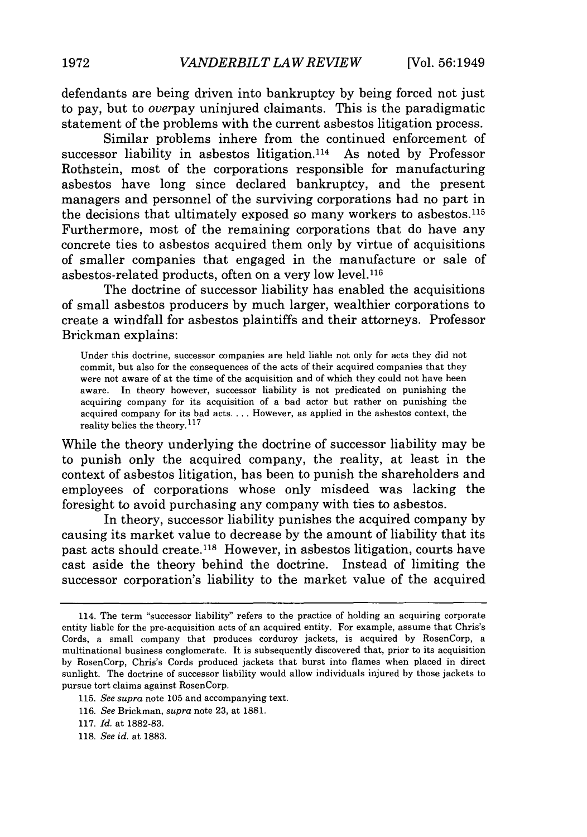defendants are being driven into bankruptcy by being forced not just to pay, but to *overpay* uninjured claimants. This is the paradigmatic statement of the problems with the current asbestos litigation process.

Similar problems inhere from the continued enforcement of successor liability in asbestos litigation.<sup>114</sup> As noted by Professor Rothstein, most of the corporations responsible for manufacturing asbestos have long since declared bankruptcy, and the present managers and personnel of the surviving corporations had no part in the decisions that ultimately exposed so many workers to asbestos. <sup>115</sup> Furthermore, most of the remaining corporations that do have any concrete ties to asbestos acquired them only by virtue of acquisitions of smaller companies that engaged in the manufacture or sale of asbestos-related products, often on a very low level.116

The doctrine of successor liability has enabled the acquisitions of small asbestos producers by much larger, wealthier corporations to create a windfall for asbestos plaintiffs and their attorneys. Professor Brickman explains:

Under this doctrine, successor companies are held liable not only for acts they did not commit, but also for the consequences of the acts of their acquired companies that they were not aware of at the time of the acquisition and of which they could not have been aware. In theory however, successor liability is not predicated on punishing the acquiring company for its acquisition of a bad actor but rather on punishing the acquired company for its bad acts **....** However, as applied in the asbestos context, the reality belies the theory.<sup>117</sup>

While the theory underlying the doctrine of successor liability may be to punish only the acquired company, the reality, at least in the context of asbestos litigation, has been to punish the shareholders and employees of corporations whose only misdeed was lacking the foresight to avoid purchasing any company with ties to asbestos.

In theory, successor liability punishes the acquired company by causing its market value to decrease by the amount of liability that its past acts should create.<sup>118</sup> However, in asbestos litigation, courts have cast aside the theory behind the doctrine. Instead of limiting the successor corporation's liability to the market value of the acquired

<sup>114.</sup> The term "successor liability" refers to the practice of holding an acquiring corporate entity liable for the pre-acquisition acts of an acquired entity. For example, assume that Chris's Cords, a small company that produces corduroy jackets, is acquired by RosenCorp, a multinational business conglomerate. It is subsequently discovered that, prior to its acquisition by RosenCorp, Chris's Cords produced jackets that burst into flames when placed in direct sunlight. The doctrine of successor liability would allow individuals injured by those jackets to pursue tort claims against RosenCorp.

<sup>115.</sup> *See supra* note 105 and accompanying text.

<sup>116.</sup> *See* Brickman, *supra* note 23, at 1881.

<sup>117.</sup> *Id.* at 1882-83.

<sup>118.</sup> *See id.* at 1883.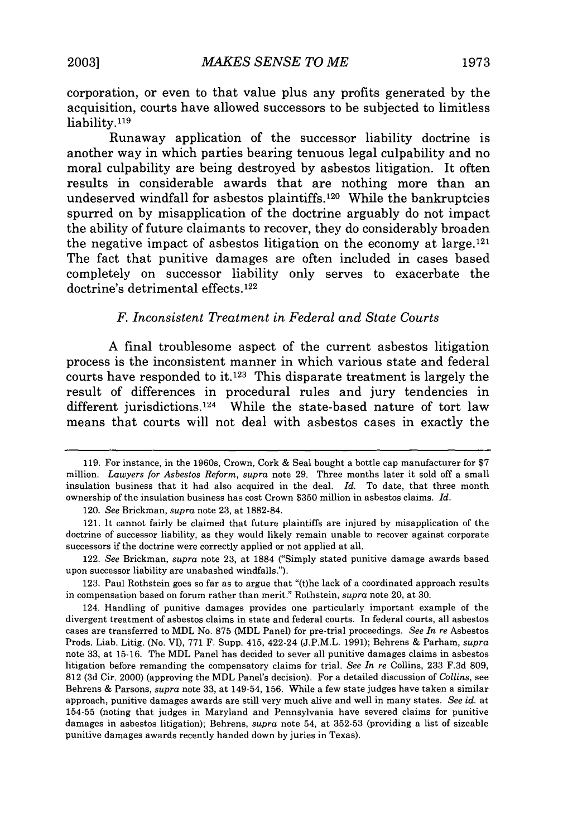corporation, or even to that value plus any profits generated by the acquisition, courts have allowed successors to be subjected to limitless liability.119

Runaway application of the successor liability doctrine is another way in which parties bearing tenuous legal culpability and no moral culpability are being destroyed by asbestos litigation. It often results in considerable awards that are nothing more than an undeserved windfall for asbestos plaintiffs. 120 While the bankruptcies spurred on by misapplication of the doctrine arguably do not impact the ability of future claimants to recover, they do considerably broaden the negative impact of asbestos litigation on the economy at large.  $121$ The fact that punitive damages are often included in cases based completely on successor liability only serves to exacerbate the doctrine's detrimental effects.<sup>122</sup>

# *F. Inconsistent Treatment in Federal and State Courts*

A final troublesome aspect of the current asbestos litigation process is the inconsistent manner in which various state and federal courts have responded to it.123 This disparate treatment is largely the result of differences in procedural rules and jury tendencies in different jurisdictions.<sup>124</sup> While the state-based nature of tort law means that courts will not deal with asbestos cases in exactly the

123. Paul Rothstein goes so far as to argue that "(t)he lack of a coordinated approach results in compensation based on forum rather than merit." Rothstein, *supra* note 20, at 30.

<sup>119.</sup> For instance, in the 1960s, Crown, Cork & Seal bought a bottle cap manufacturer for \$7 million. *Lawyers for Asbestos Reform, supra* note 29. Three months later it sold off a small insulation business that it had also acquired in the deal. *Id.* To date, that three month ownership of the insulation business has cost Crown \$350 million in asbestos claims. *Id.*

<sup>120.</sup> *See* Brickman, *supra* note 23, at 1882-84.

<sup>121.</sup> It cannot fairly be claimed that future plaintiffs are injured by misapplication of the doctrine of successor liability, as they would likely remain unable to recover against corporate successors if the doctrine were correctly applied or not applied at all.

<sup>122.</sup> *See* Brickman, *supra* note 23, at 1884 ("Simply stated punitive damage awards based upon successor liability are unabashed windfalls.").

<sup>124.</sup> Handling of punitive damages provides one particularly important example of the divergent treatment of asbestos claims in state and federal courts. In federal courts, all asbestos cases are transferred to MDL No. 875 (MDL Panel) for pre-trial proceedings. *See In re* Asbestos Prods. Liab. Litig. (No. VI), 771 F. Supp. 415, 422-24 (J.P.M.L. 1991); Behrens & Parham, *supra* note 33, at 15-16. The MDL Panel has decided to sever all punitive damages claims in asbestos litigation before remanding the compensatory claims for trial. *See In re* Collins, 233 F.3d 809, 812 (3d Cir. 2000) (approving the MDL Panel's decision). For a detailed discussion of *Collins,* see Behrens & Parsons, *supra* note 33, at 149-54, 156. While a few state judges have taken a similar approach, punitive damages awards are still very much alive and well in many states. *See id.* at 154-55 (noting that judges in Maryland and Pennsylvania have severed claims for punitive damages in asbestos litigation); Behrens, *supra* note 54, at 352-53 (providing a list of sizeable punitive damages awards recently handed down by juries in Texas).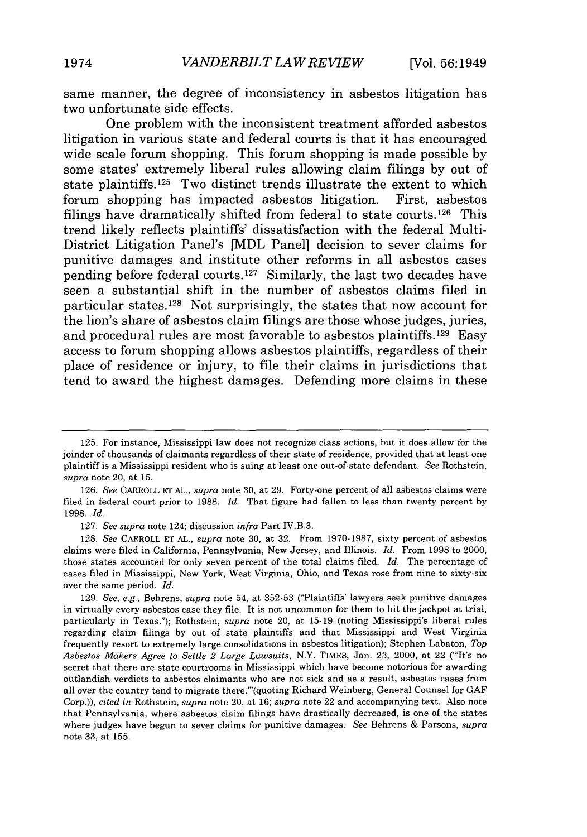same manner, the degree of inconsistency in asbestos litigation has two unfortunate side effects.

One problem with the inconsistent treatment afforded asbestos litigation in various state and federal courts is that it has encouraged wide scale forum shopping. This forum shopping is made possible by some states' extremely liberal rules allowing claim filings by out of state plaintiffs. 125 Two distinct trends illustrate the extent to which forum shopping has impacted asbestos litigation. First, asbestos filings have dramatically shifted from federal to state courts. 126 This trend likely reflects plaintiffs' dissatisfaction with the federal Multi-District Litigation Panel's [MDL Panel] decision to sever claims for punitive damages and institute other reforms in all asbestos cases pending before federal courts. 127 Similarly, the last two decades have seen a substantial shift in the number of asbestos claims filed in particular states.<sup>128</sup> Not surprisingly, the states that now account for the lion's share of asbestos claim filings are those whose judges, juries, and procedural rules are most favorable to asbestos plaintiffs.129 Easy access to forum shopping allows asbestos plaintiffs, regardless of their place of residence or injury, to file their claims in jurisdictions that tend to award the highest damages. Defending more claims in these

<sup>125.</sup> For instance, Mississippi law does not recognize class actions, but it does allow for the joinder of thousands of claimants regardless of their state of residence, provided that at least one plaintiff is a Mississippi resident who is suing at least one out-of-state defendant. *See* Rothstein, *supra* note 20, at 15.

<sup>126.</sup> *See* CARROLL ET AL., *supra* note 30, at 29. Forty-one percent of all asbestos claims were filed in federal court prior to 1988. *Id.* That figure had fallen to less than twenty percent by 1998. *Id.*

<sup>127.</sup> *See supra* note 124; discussion *infra* Part IV.B.3.

<sup>128.</sup> *See* CARROLL ET AL., *supra* note 30, at 32. From 1970-1987, sixty percent of asbestos claims were filed in California, Pennsylvania, New Jersey, and Illinois. *Id.* From 1998 to 2000, those states accounted for only seven percent of the total claims filed. *Id.* The percentage of cases filed in Mississippi, New York, West Virginia, Ohio, and Texas rose from nine to sixty-six over the same period. *Id.*

<sup>129.</sup> *See, e.g.,* Behrens, *supra* note 54, at 352-53 ("Plaintiffs' lawyers seek punitive damages in virtually every asbestos case they file. It is not uncommon for them to hit the jackpot at trial, particularly in Texas."); Rothstein, *supra* note 20, at 15-19 (noting Mississippi's liberal rules regarding claim filings by out of state plaintiffs and that Mississippi and West Virginia frequently resort to extremely large consolidations in asbestos litigation); Stephen Labaton, *Top Asbestos Makers Agree to Settle 2 Large Lawsuits,* N.Y. TIMES, Jan. 23, 2000, at 22 ('It's no secret that there are state courtrooms in Mississippi which have become notorious for awarding outlandish verdicts to asbestos claimants who are not sick and as a result, asbestos cases from all over the country tend to migrate there."'(quoting Richard Weinberg, General Counsel for GAF Corp.)), *cited in* Rothstein, *supra* note 20, at 16; *supra* note 22 and accompanying text. Also note that Pennsylvania, where asbestos claim filings have drastically decreased, is one of the states where judges have begun to sever claims for punitive damages. *See* Behrens & Parsons, *supra* note 33, at 155.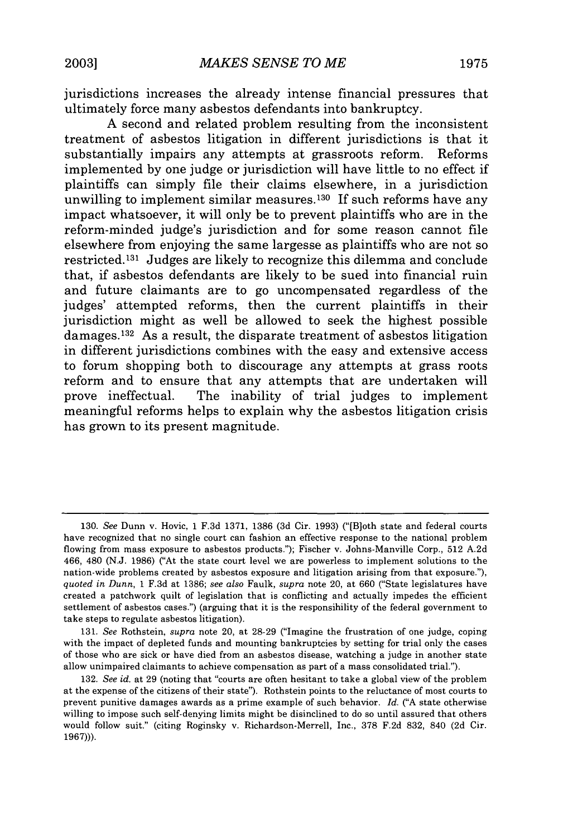jurisdictions increases the already intense financial pressures that ultimately force many asbestos defendants into bankruptcy.

**A** second and related problem resulting from the inconsistent treatment of asbestos litigation in different jurisdictions is that it substantially impairs any attempts at grassroots reform. Reforms implemented **by** one judge or jurisdiction will have little to no effect if plaintiffs can simply file their claims elsewhere, in a jurisdiction unwilling to implement similar measures.<sup>130</sup> If such reforms have any impact whatsoever, it will only be to prevent plaintiffs who are in the reform-minded judge's jurisdiction and for some reason cannot file elsewhere from enjoying the same largesse as plaintiffs who are not so restricted. 131 Judges are likely to recognize this dilemma and conclude that, if asbestos defendants are likely to be sued into financial ruin and future claimants are to go uncompensated regardless of the judges' attempted reforms, then the current plaintiffs in their jurisdiction might as well be allowed to seek the highest possible damages.<sup>132</sup> As a result, the disparate treatment of asbestos litigation in different jurisdictions combines with the easy and extensive access to forum shopping both to discourage any attempts at grass roots reform and to ensure that any attempts that are undertaken will prove ineffectual. The inability of trial judges to implement meaningful reforms helps to explain why the asbestos litigation crisis has grown to its present magnitude.

**<sup>130.</sup>** *See* Dunn v. Hovic, **1 F.3d 1371, 1386 (3d** Cir. **1993)** ("[B]oth state and federal courts have recognized that no single court can fashion an effective response to the national problem flowing from mass exposure to asbestos products."); Fischer v. Johns-Manville Corp., **512 A.2d** 466, 480 **(N.J. 1986)** ("At the state court level we are powerless to implement solutions to the nation-wide problems created **by** asbestos exposure and litigation arising from that exposure."), *quoted in Dunn,* **1 F.3d** at **1386;** *see also* Faulk, *supra* note 20, at **660** ("State legislatures have created a patchwork quilt of legislation that is conflicting and actually impedes the efficient settlement of asbestos cases.") (arguing that it is the responsibility of the federal government to take steps to regulate asbestos litigation).

**<sup>131.</sup>** *See* Rothstein, *supra* note 20, at **28-29** ("Imagine the frustration of one judge, coping with the impact of depleted funds and mounting bankruptcies **by** setting for trial only the cases of those who are sick or have died from an asbestos disease, watching a judge in another state allow unimpaired claimants to achieve compensation as part of a mass consolidated trial.").

**<sup>132.</sup>** *See id.* at **29** (noting that "courts are often hesitant to take a global view of the problem at the expense of the citizens of their state"). Rothstein points to the reluctance of most courts to prevent punitive damages awards as a prime example of such behavior. *Id.* **("A** state otherwise willing to impose such self-denying limits might be disinclined to do so until assured that others would follow suit." (citing Roginsky v. Richardson-Merrell, Inc., **378 F.2d 832,** 840 **(2d** Cir. **1967))).**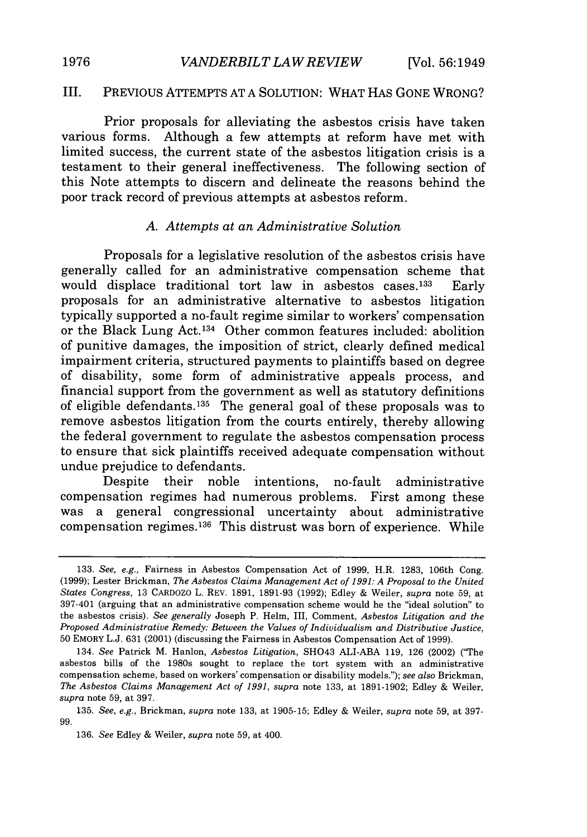# III. PREVIOUS ATTEMPTS AT A SOLUTION: WHAT HAS GONE WRONG?

Prior proposals for alleviating the asbestos crisis have taken various forms. Although a few attempts at reform have met with limited success, the current state of the asbestos litigation crisis is a testament to their general ineffectiveness. The following section of this Note attempts to discern and delineate the reasons behind the poor track record of previous attempts at asbestos reform.

#### *A. Attempts at an Administrative Solution*

Proposals for a legislative resolution of the asbestos crisis have generally called for an administrative compensation scheme that would displace traditional tort law in asbestos cases.<sup>133</sup> Early proposals for an administrative alternative to asbestos litigation typically supported a no-fault regime similar to workers' compensation or the Black Lung Act. 134 Other common features included: abolition of punitive damages, the imposition of strict, clearly defined medical impairment criteria, structured payments to plaintiffs based on degree of disability, some form of administrative appeals process, and financial support from the government as well as statutory definitions of eligible defendants.<sup>135</sup> The general goal of these proposals was to remove asbestos litigation from the courts entirely, thereby allowing the federal government to regulate the asbestos compensation process to ensure that sick plaintiffs received adequate compensation without undue prejudice to defendants.

Despite their noble intentions, no-fault administrative compensation regimes had numerous problems. First among these was a general congressional uncertainty about administrative compensation regimes.<sup>136</sup> This distrust was born of experience. While

<sup>133.</sup> *See,* e.g., Fairness in Asbestos Compensation Act of 1999, H.R. 1283, 106th Cong. (1999); Lester Brickman, *The Asbestos Claims Management Act of 1991: A Proposal to the United States Congress,* 13 CARDOZO L. REV. 1891, 1891-93 (1992); Edley & Weiler, *supra* note 59, at 397-401 (arguing that an administrative compensation scheme would be the "ideal solution" to the asbestos crisis). *See generally* Joseph P. Helm, III, Comment, *Asbestos Litigation and the Proposed Administrative Remedy: Between the Values of Individualism and Distributive Justice,* 50 EMORY L.J. 631 (2001) (discussing the Fairness in Asbestos Compensation Act of 1999).

<sup>134.</sup> *See* Patrick M. Hanlon, *Asbestos Litigation,* SH043 ALI-ABA 119, 126 (2002) ("The asbestos bills of the 1980s sought to replace the tort system with an administrative compensation scheme, based on workers' compensation or disability models."); *see also* Brickman, *The Asbestos Claims Management Act of 1991, supra* note 133, at 1891-1902; Edley & Weiler, *supra* note 59, at 397.

<sup>135.</sup> *See, e.g.,* Brickman, *supra* note 133, at 1905-15; Edley & Weiler, *supra* note **59,** at 397- 99.

<sup>136.</sup> *See* Edley & Weiler, *supra* note 59, at 400.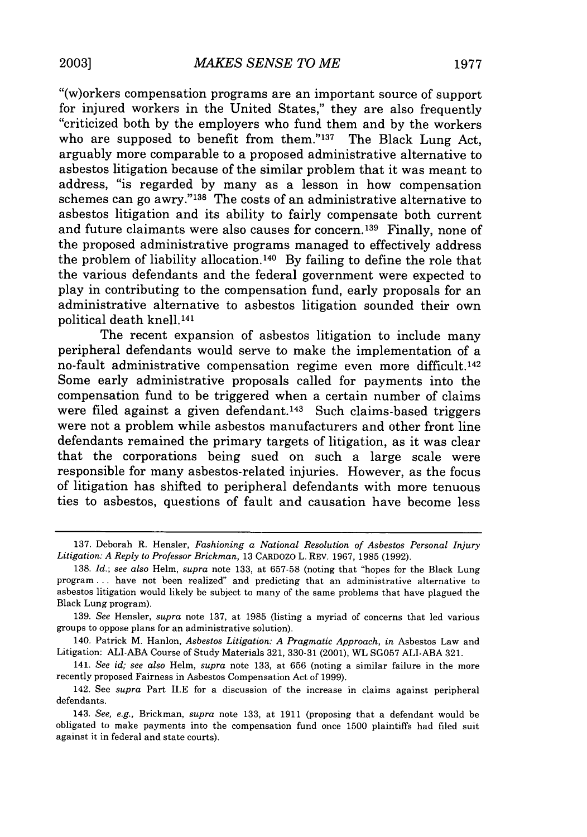"(w)orkers compensation programs are an important source of support for injured workers in the United States," they are also frequently "criticized both by the employers who fund them and by the workers who are supposed to benefit from them." $137$  The Black Lung Act, arguably more comparable to a proposed administrative alternative to asbestos litigation because of the similar problem that it was meant to address, "is regarded by many as a lesson in how compensation schemes can go awry."138 The costs of an administrative alternative to asbestos litigation and its ability to fairly compensate both current and future claimants were also causes for concern. 139 Finally, none of the proposed administrative programs managed to effectively address the problem of liability allocation. 140 By failing to define the role that the various defendants and the federal government were expected to play in contributing to the compensation fund, early proposals for an administrative alternative to asbestos litigation sounded their own political death knell.141

The recent expansion of asbestos litigation to include many peripheral defendants would serve to make the implementation of a no-fault administrative compensation regime even more difficult.142 Some early administrative proposals called for payments into the compensation fund to be triggered when a certain number of claims were filed against a given defendant.<sup>143</sup> Such claims-based triggers were not a problem while asbestos manufacturers and other front line defendants remained the primary targets of litigation, as it was clear that the corporations being sued on such a large scale were responsible for many asbestos-related injuries. However, as the focus of litigation has shifted to peripheral defendants with more tenuous ties to asbestos, questions of fault and causation have become less

<sup>137.</sup> Deborah R. Hensler, *Fashioning a National Resolution of Asbestos Personal Injury Litigation: A Reply to Professor Brickman,* 13 CARDOZO L. REV. 1967, 1985 (1992).

<sup>138.</sup> *Id.; see also* Helm, *supra* note 133, at 657-58 (noting that "hopes for the Black Lung program... have not been realized" and predicting that an administrative alternative to asbestos litigation would likely be subject to many of the same problems that have plagued the Black Lung program).

<sup>139.</sup> *See* Hensler, *supra* note 137, at 1985 (listing a myriad of concerns that led various groups to oppose plans for an administrative solution).

<sup>140.</sup> Patrick M. Hanlon, *Asbestos Litigation: A Pragmatic Approach, in* Asbestos Law and Litigation: ALI-ABA Course of Study Materials 321, 330-31 (2001), WL SG057 ALI-ABA 321.

<sup>141.</sup> *See id; see also* Helm, *supra* note 133, at 656 (noting a similar failure in the more recently proposed Fairness in Asbestos Compensation Act of 1999).

<sup>142.</sup> See *supra* Part II.E for a discussion of the increase in claims against peripheral defendants.

<sup>143.</sup> *See, e.g.,* Brickman, *supra* note 133, at 1911 (proposing that a defendant would be obligated to make payments into the compensation fund once 1500 plaintiffs had filed suit against it in federal and state courts).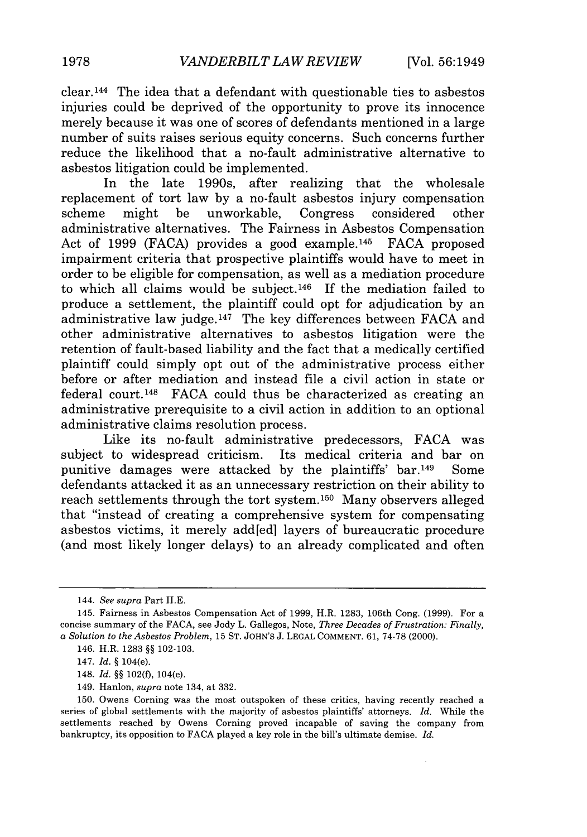clear.144 The idea that a defendant with questionable ties to asbestos injuries could be deprived of the opportunity to prove its innocence merely because it was one of scores of defendants mentioned in a large number of suits raises serious equity concerns. Such concerns further reduce the likelihood that a no-fault administrative alternative to asbestos litigation could be implemented.

In the late 1990s, after realizing that the wholesale replacement of tort law by a no-fault asbestos injury compensation scheme might be unworkable, Congress considered other administrative alternatives. The Fairness in Asbestos Compensation Act of 1999 (FACA) provides a good example.<sup>145</sup> FACA proposed impairment criteria that prospective plaintiffs would have to meet in order to be eligible for compensation, as well as a mediation procedure to which all claims would be subject.<sup>146</sup> If the mediation failed to produce a settlement, the plaintiff could opt for adjudication by an administrative law judge. 147 The key differences between FACA and other administrative alternatives to asbestos litigation were the retention of fault-based liability and the fact that a medically certified plaintiff could simply opt out of the administrative process either before or after mediation and instead file a civil action in state or federal court. 148 FACA could thus be characterized as creating an administrative prerequisite to a civil action in addition to an optional administrative claims resolution process.

Like its no-fault administrative predecessors, FACA was subject to widespread criticism. Its medical criteria and bar on punitive damages were attacked by the plaintiffs' bar.<sup>149</sup> Some defendants attacked it as an unnecessary restriction on their ability to reach settlements through the tort system.<sup>150</sup> Many observers alleged that "instead of creating a comprehensive system for compensating asbestos victims, it merely add[ed] layers of bureaucratic procedure (and most likely longer delays) to an already complicated and often

149. Hanlon, *supra* note 134, at 332.

<sup>144.</sup> *See supra* Part **I.E.**

<sup>145.</sup> Fairness in Asbestos Compensation Act of 1999, H.R. 1283, 106th Cong. (1999). For a concise summary of the FACA, see Jody L. Gallegos, Note, *Three Decades of Frustration: Finally, a Solution to the Asbestos Problem,* 15 ST. JOHN'S J. LEGAL COMMENT. 61, 74-78 (2000).

<sup>146.</sup> H.R. 1283 §§ 102-103.

<sup>147.</sup> *Id.* § 104(e).

<sup>148.</sup> *Id.* §§ 102(f), 104(e).

<sup>150.</sup> Owens Corning was the most outspoken of these critics, having recently reached a series of global settlements with the majority of asbestos plaintiffs' attorneys. *Id.* While the settlements reached by Owens Corning proved incapable of saving the company from bankruptcy, its opposition to FACA played a key role in the bill's ultimate demise. *Id.*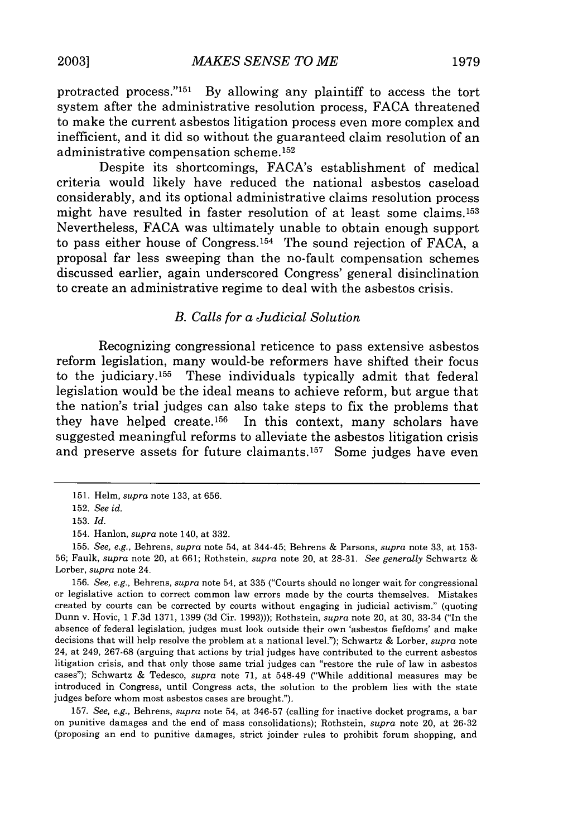protracted process."<sup>151</sup> By allowing any plaintiff to access the tort system after the administrative resolution process, **FACA** threatened to make the current asbestos litigation process even more complex and inefficient, and it did so without the guaranteed claim resolution of an administrative compensation scheme. <sup>152</sup>

Despite its shortcomings, FACA's establishment of medical criteria would likely have reduced the national asbestos caseload considerably, and its optional administrative claims resolution process might have resulted in faster resolution of at least some claims. <sup>153</sup> Nevertheless, **FACA** was ultimately unable to obtain enough support to pass either house of Congress. 154 The sound rejection of **FACA,** a proposal far less sweeping than the no-fault compensation schemes discussed earlier, again underscored Congress' general disinclination to create an administrative regime to deal with the asbestos crisis.

#### *B. Calls for a Judicial Solution*

Recognizing congressional reticence to pass extensive asbestos reform legislation, many would-be reformers have shifted their focus to the judiciary. 155 These individuals typically admit that federal legislation would be the ideal means to achieve reform, but argue that the nation's trial judges can also take steps to fix the problems that they have helped create.<sup>156</sup> In this context, many scholars have suggested meaningful reforms to alleviate the asbestos litigation crisis and preserve assets for future claimants.<sup>157</sup> Some judges have even

**157.** *See, e.g.,* Behrens, *supra* note **54,** at **346-57** (calling for inactive docket programs, a bar on punitive damages and the end of mass consolidations); Rothstein, *supra* note 20, at **26-32** (proposing an end to punitive damages, strict joinder rules to prohibit forum shopping, and

**<sup>151.</sup>** Helm, *supra* note **133,** at **656.**

**<sup>152.</sup>** *See id.*

**<sup>153.</sup>** *Id.*

<sup>154.</sup> Hanlon, *supra* note 140, at **332.**

**<sup>155.</sup>** *See, e.g.,* Behrens, *supra* note 54, at 344-45; Behrens **&** Parsons, *supra* note **33,** at **153- 56;** Faulk, *supra* note 20, at **661;** Rothstein, *supra* note 20, at **28-31.** *See generally* Schwartz **& Lorber,** *supra* note 24.

**<sup>156.</sup>** *See, e.g.,* Behrens, *supra* note 54, at **335** ("Courts should no longer wait for congressional or legislative action to correct common law errors made **by** the courts themselves. Mistakes created **by** courts can **be** corrected **by** courts without engaging in judicial activism." (quoting Dunn v. Hovic, **1 F.3d 1371, 1399 (3d** Cir. **1993)));** Rothstein, *supra* note 20, at **30,** 33-34 ("In the absence of federal legislation, judges must look outside their own 'asbestos fiefdoms' and make decisions that will help resolve the problem at a national level."); Schwartz **&** Lorber, *supra* note 24, at 249, **267-68** (arguing that actions **by** trial judges have contributed to the current asbestos litigation crisis, and that only those same trial judges can "restore the rule of law in asbestos cases"); Schwartz **&** Tedesco, *supra* note **71,** at 548-49 ("While additional measures may be introduced in Congress, until Congress acts, the solution to the problem lies with the state judges before whom most asbestos cases are brought.").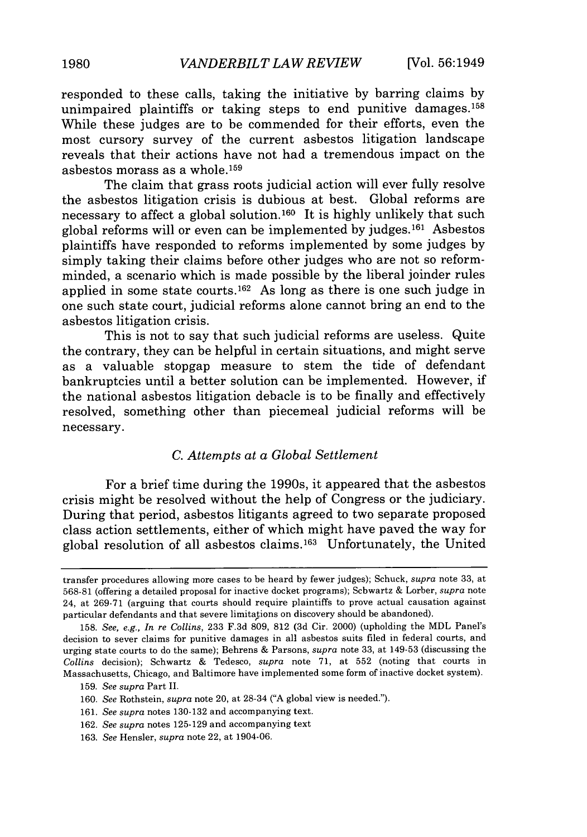responded to these calls, taking the initiative by barring claims by unimpaired plaintiffs or taking steps to end punitive damages.158 While these judges are to be commended for their efforts, even the most cursory survey of the current asbestos litigation landscape reveals that their actions have not had a tremendous impact on the asbestos morass as a whole. <sup>159</sup>

The claim that grass roots judicial action will ever fully resolve the asbestos litigation crisis is dubious at best. Global reforms are necessary to affect a global solution.160 It is highly unlikely that such global reforms will or even can be implemented by judges.<sup>161</sup> Asbestos plaintiffs have responded to reforms implemented by some judges by simply taking their claims before other judges who are not so reformminded, a scenario which is made possible by the liberal joinder rules applied in some state courts. 162 As long as there is one such judge in one such state court, judicial reforms alone cannot bring an end to the asbestos litigation crisis.

This is not to say that such judicial reforms are useless. Quite the contrary, they can be helpful in certain situations, and might serve as a valuable stopgap measure to stem the tide of defendant bankruptcies until a better solution can be implemented. However, if the national asbestos litigation debacle is to be finally and effectively resolved, something other than piecemeal judicial reforms will be necessary.

#### *C. Attempts at a Global Settlement*

For a brief time during the 1990s, it appeared that the asbestos crisis might be resolved without the help of Congress or the judiciary. During that period, asbestos litigants agreed to two separate proposed class action settlements, either of which might have paved the way for global resolution of all asbestos claims. 63 Unfortunately, the United

transfer procedures allowing more cases to be heard by fewer judges); Schuck, *supra* note 33, at 568-81 (offering a detailed proposal for inactive docket programs); Schwartz & Lorber, *supra* note 24, at 269-71 (arguing that courts should require plaintiffs to prove actual causation against particular defendants and that severe limitations on discovery should be abandoned).

<sup>158.</sup> *See, e.g., In re Collins,* 233 F.3d 809, 812 (3d Cir. 2000) (upholding the MDL Panel's decision to sever claims for punitive damages in all asbestos suits filed in federal courts, and urging state courts to do the same); Behrens & Parsons, *supra* note 33, at 149-53 (discussing the *Collins* decision); Schwartz & Tedesco, *supra* note 71, at 552 (noting that courts in Massachusetts, Chicago, and Baltimore have implemented some form of inactive docket system).

<sup>159.</sup> *See supra* Part II.

<sup>160.</sup> *See* Rothstein, *supra* note 20, at 28-34 ("A global view is needed.").

<sup>161.</sup> *See supra* notes 130-132 and accompanying text.

<sup>162.</sup> *See supra* notes 125-129 and accompanying text

<sup>163.</sup> *See* Hensler, *supra* note 22, at 1904-06.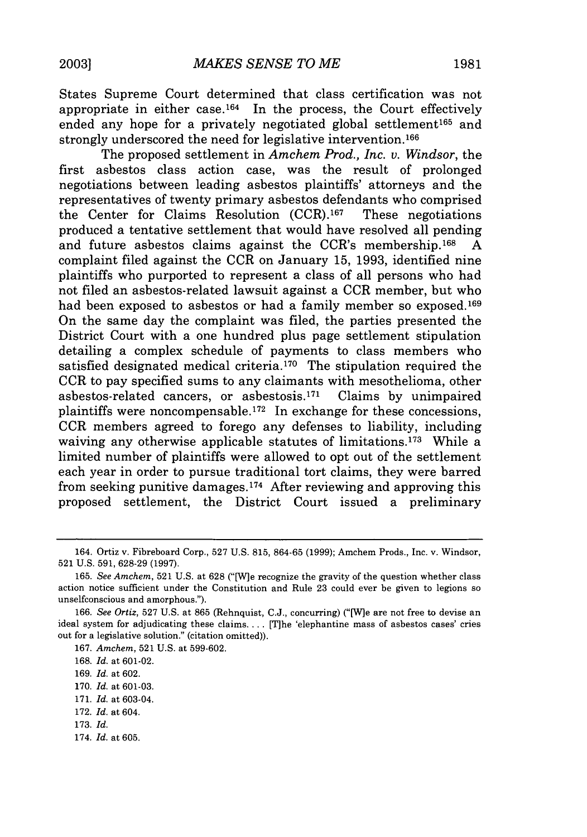States Supreme Court determined that class certification was not appropriate in either case.<sup>164</sup> In the process, the Court effectively ended any hope for a privately negotiated global settlement<sup>165</sup> and strongly underscored the need for legislative intervention. <sup>166</sup>

The proposed settlement in *Amchem Prod., Inc. v. Windsor,* the first asbestos class action case, was the result of prolonged negotiations between leading asbestos plaintiffs' attorneys and the representatives of twenty primary asbestos defendants who comprised the Center for Claims Resolution (CCR). 167 These negotiations produced a tentative settlement that would have resolved all pending and future asbestos claims against the CCR's membership.<sup>168</sup> A complaint filed against the CCR on January 15, 1993, identified nine plaintiffs who purported to represent a class of all persons who had not filed an asbestos-related lawsuit against a CCR member, but who had been exposed to asbestos or had a family member so exposed.<sup>169</sup> On the same day the complaint was filed, the parties presented the District Court with a one hundred plus page settlement stipulation detailing a complex schedule of payments to class members who satisfied designated medical criteria.<sup>170</sup> The stipulation required the CCR to pay specified sums to any claimants with mesothelioma, other asbestos-related cancers, or asbestosis. 171 Claims by unimpaired plaintiffs were noncompensable.<sup>172</sup> In exchange for these concessions, CCR members agreed to forego any defenses to liability, including waiving any otherwise applicable statutes of limitations.<sup>173</sup> While a limited number of plaintiffs were allowed to opt out of the settlement each year in order to pursue traditional tort claims, they were barred from seeking punitive damages.<sup>174</sup> After reviewing and approving this proposed settlement, the District Court issued a preliminary

- 173. *Id.*
- 174. *Id.* at 605.

<sup>164.</sup> Ortiz v. Fibreboard Corp., 527 U.S. 815, 864-65 (1999); Amchem Prods., Inc. v. Windsor, 521 U.S. 591, 628-29 (1997).

<sup>165.</sup> *See Amchem,* 521 U.S. at 628 ("[W]e recognize the gravity of the question whether class action notice sufficient under the Constitution and Rule 23 could ever be given to legions so unselfconscious and amorphous.").

<sup>166.</sup> *See Ortiz,* 527 U.S. at 865 (Rehnquist, C.J., concurring) ('[W]e are not free to devise an ideal system for adjudicating these claims.... [T]he 'elephantine mass of asbestos cases' cries out for a legislative solution." (citation omitted)).

<sup>167.</sup> *Amchem,* 521 U.S. at 599-602.

<sup>168.</sup> *Id.* at 601-02.

<sup>169.</sup> *Id.* at 602.

<sup>170.</sup> *Id.* at 601-03.

<sup>171.</sup> *Id.* at 603-04.

<sup>172.</sup> *Id.* at 604.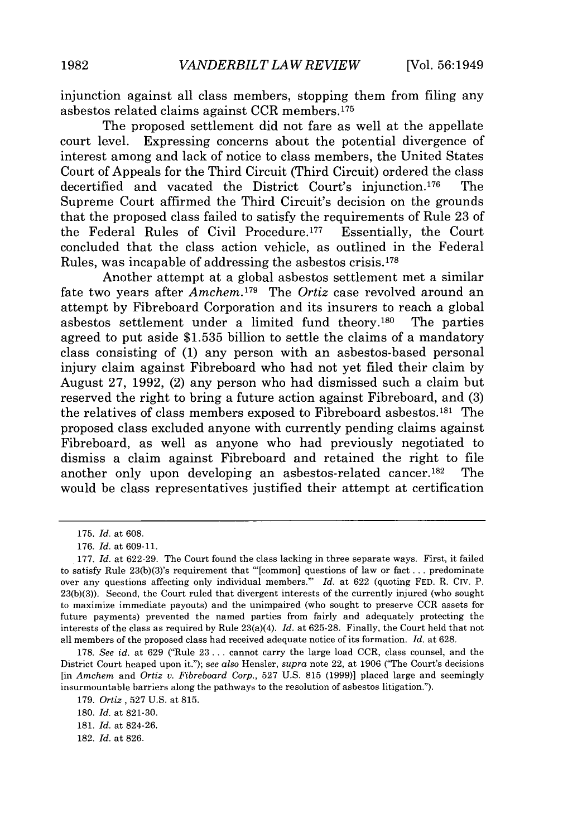injunction against all class members, stopping them from filing any asbestos related claims against CCR members.175

The proposed settlement did not fare as well at the appellate court level. Expressing concerns about the potential divergence of interest among and lack of notice to class members, the United States Court of Appeals for the Third Circuit (Third Circuit) ordered the class decertified and vacated the District Court's injunction.<sup>176</sup> The Supreme Court affirmed the Third Circuit's decision on the grounds that the proposed class failed to satisfy the requirements of Rule 23 of the Federal Rules of Civil Procedure. 177 Essentially, the Court concluded that the class action vehicle, as outlined in the Federal Rules, was incapable of addressing the asbestos crisis. <sup>178</sup>

Another attempt at a global asbestos settlement met a similar fate two years after *Amchem*.<sup>179</sup> The *Ortiz* case revolved around an attempt by Fibreboard Corporation and its insurers to reach a global asbestos settlement under a limited fund theory.180 The parties agreed to put aside \$1.535 billion to settle the claims of a mandatory class consisting of (1) any person with an asbestos-based personal injury claim against Fibreboard who had not yet filed their claim by August 27, 1992, (2) any person who had dismissed such a claim but reserved the right to bring a future action against Fibreboard, and (3) the relatives of class members exposed to Fibreboard asbestos.181 The proposed class excluded anyone with currently pending claims against Fibreboard, as well as anyone who had previously negotiated to dismiss a claim against Fibreboard and retained the right to file another only upon developing an asbestos-related cancer.<sup>182</sup> The would be class representatives justified their attempt at certification

<sup>175.</sup> *Id.* at 608.

<sup>176.</sup> *Id.* at **609-11.**

<sup>177.</sup> *Id.* at 622-29. The Court found the class lacking in three separate ways. First, it failed to satisfy Rule 23(b)(3)'s requirement that "[common] questions of law or fact . . . predominate over any questions affecting only individual members."' *Id.* at 622 (quoting FED. R. Civ. P. 23(b)(3)). Second, the Court ruled that divergent interests of the currently injured (who sought to maximize immediate payouts) and the unimpaired (who sought to preserve CCR assets for future payments) prevented the named parties from fairly and adequately protecting the interests of the class as required by Rule 23(a)(4). *Id.* at 625-28. Finally, the Court held that not all members of the proposed class had received adequate notice of its formation. *Id.* at 628.

<sup>178.</sup> *See id.* at 629 ("Rule 23... cannot carry the large load CCR, class counsel, and the District Court heaped upon it."); *see also* Hensler, *supra* note 22, at 1906 ("The Court's decisions [in *Amchem* and *Ortiz v. Fibreboard Corp.,* 527 U.S. 815 (1999)] placed large and seemingly insurmountable barriers along the pathways to the resolution of asbestos litigation.").

<sup>179.</sup> *Ortiz,* 527 U.S. at 815.

**<sup>180.</sup>** *Id.* at **821-30.**

<sup>181.</sup> *Id.* at 824-26.

<sup>182.</sup> *Id.* at 826.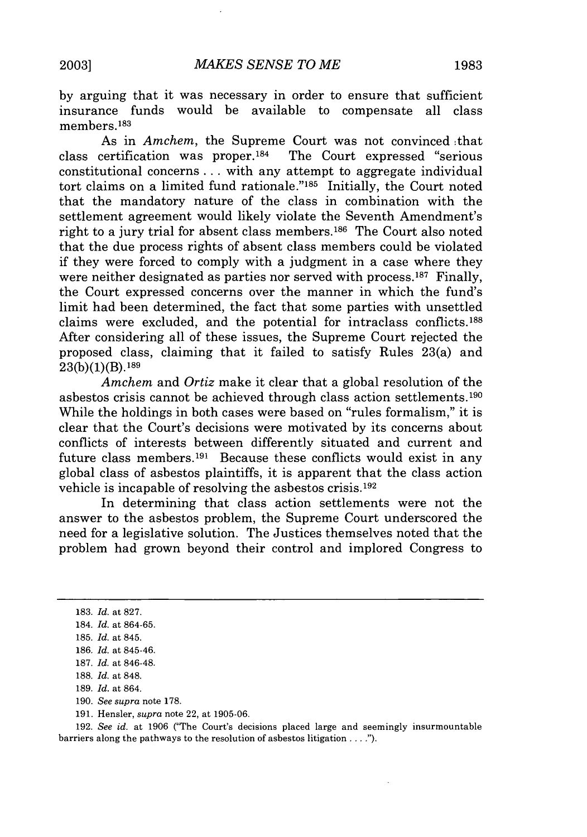by arguing that it was necessary in order to ensure that sufficient insurance funds would be available to compensate all class members.<sup>183</sup>

As in *Amchem,* the Supreme Court was not convinced :that class certification was proper.184 The Court expressed "serious constitutional concerns **...** with any attempt to aggregate individual tort claims on a limited fund rationale."<sup>185</sup> Initially, the Court noted that the mandatory nature of the class in combination with the settlement agreement would likely violate the Seventh Amendment's right to a jury trial for absent class members.<sup>186</sup> The Court also noted that the due process rights of absent class members could be violated if they were forced to comply with a judgment in a case where they were neither designated as parties nor served with process.<sup>187</sup> Finally, the Court expressed concerns over the manner in which the fund's limit had been determined, the fact that some parties with unsettled claims were excluded, and the potential for intraclass conflicts.188 After considering all of these issues, the Supreme Court rejected the proposed class, claiming that it failed to satisfy Rules 23(a) and  $23(b)(1)(B).$ <sup>189</sup>

*Amchem* and *Ortiz* make it clear that a global resolution of the asbestos crisis cannot be achieved through class action settlements.<sup>190</sup> While the holdings in both cases were based on "rules formalism," it is clear that the Court's decisions were motivated by its concerns about conflicts of interests between differently situated and current and future class members. 191 Because these conflicts would exist in any global class of asbestos plaintiffs, it is apparent that the class action vehicle is incapable of resolving the asbestos crisis.192

In determining that class action settlements were not the answer to the asbestos problem, the Supreme Court underscored the need for a legislative solution. The Justices themselves noted that the problem had grown beyond their control and implored Congress to

188. *Id.* at 848.

- 190. *See supra* note 178.
- 191. Hensler, *supra* note 22, at 1905-06.

192. *See id.* at 1906 ("The Court's decisions placed large and seemingly insurmountable barriers along the pathways to the resolution of asbestos litigation **....").**

<sup>183.</sup> *Id.* at 827.

<sup>184.</sup> *Id.* at 864-65.

<sup>185.</sup> *Id.* at 845.

<sup>186.</sup> *Id.* at 845-46.

<sup>187.</sup> *Id.* at 846-48.

<sup>189.</sup> *Id.* at 864.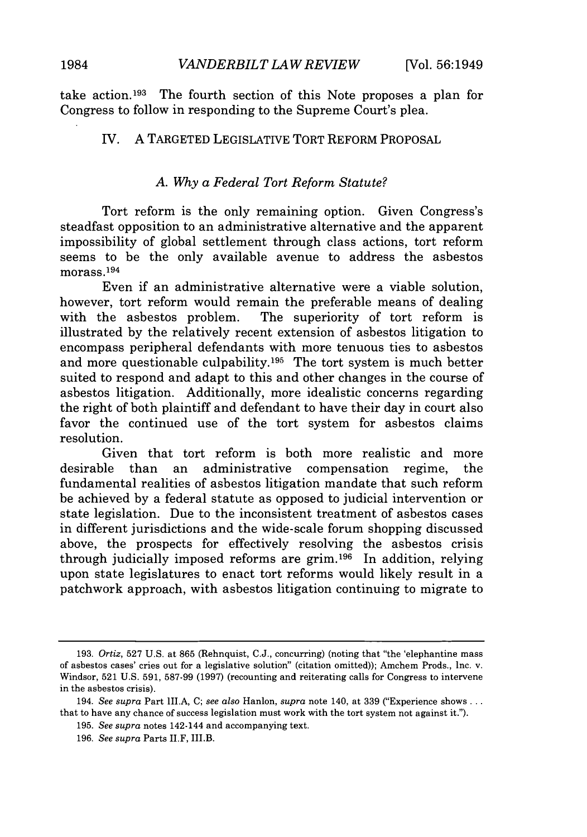take action.193 The fourth section of this Note proposes a plan for Congress to follow in responding to the Supreme Court's plea.

# IV. A TARGETED LEGISLATIVE TORT REFORM PROPOSAL

# *A. Why a Federal Tort Reform Statute?*

Tort reform is the only remaining option. Given Congress's steadfast opposition to an administrative alternative and the apparent impossibility of global settlement through class actions, tort reform seems to be the only available avenue to address the asbestos morass. 194

Even if an administrative alternative were a viable solution, however, tort reform would remain the preferable means of dealing with the asbestos problem. The superiority of tort reform is illustrated by the relatively recent extension of asbestos litigation to encompass peripheral defendants with more tenuous ties to asbestos and more questionable culpability.<sup>195</sup> The tort system is much better suited to respond and adapt to this and other changes in the course of asbestos litigation. Additionally, more idealistic concerns regarding the right of both plaintiff and defendant to have their day in court also favor the continued use of the tort system for asbestos claims resolution.

Given that tort reform is both more realistic and more desirable than an administrative compensation regime, the fundamental realities of asbestos litigation mandate that such reform be achieved by a federal statute as opposed to judicial intervention or state legislation. Due to the inconsistent treatment of asbestos cases in different jurisdictions and the wide-scale forum shopping discussed above, the prospects for effectively resolving the asbestos crisis through judicially imposed reforms are grim.196 In addition, relying upon state legislatures to enact tort reforms would likely result in a patchwork approach, with asbestos litigation continuing to migrate to

<sup>193.</sup> *Ortiz,* 527 U.S. at 865 (Rehnquist, C.J., concurring) (noting that "the 'elephantine mass of asbestos cases' cries out for a legislative solution" (citation omitted)); Amchem Prods., Inc. v. Windsor, 521 U.S. 591, 587-99 (1997) (recounting and reiterating calls for Congress to intervene in the asbestos crisis).

<sup>194.</sup> *See supra* Part III.A, C; *see also* Hanlon, *supra* note 140, at 339 ("Experience shows... that to have any chance of success legislation must work with the tort system not against it.").

<sup>195.</sup> *See supra* notes 142-144 and accompanying text.

<sup>196.</sup> *See supra* Parts II.F, III.B.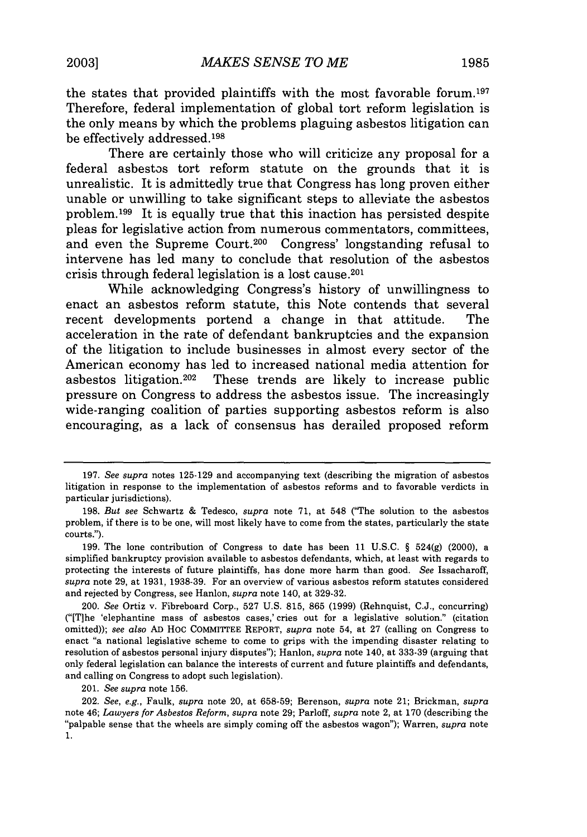the states that provided plaintiffs with the most favorable forum.197 Therefore, federal implementation of global tort reform legislation is the only means **by** which the problems plaguing asbestos litigation can be effectively addressed. <sup>198</sup>

There are certainly those who will criticize any proposal for a federal asbestos tort reform statute on the grounds that it is unrealistic. It is admittedly true that Congress has long proven either unable or unwilling to take significant steps to alleviate the asbestos problem. 199 It is equally true that this inaction has persisted despite pleas for legislative action from numerous commentators, committees, and even the Supreme Court.200 Congress' longstanding refusal to intervene has led many to conclude that resolution of the asbestos crisis through federal legislation is a lost cause.<sup>20</sup>

While acknowledging Congress's history of unwillingness to enact an asbestos reform statute, this Note contends that several recent developments portend a change in that attitude. The acceleration in the rate of defendant bankruptcies and the expansion of the litigation to include businesses in almost every sector of the American economy has led to increased national media attention for asbestos litigation.<sup>202</sup> These trends are likely to increase public pressure on Congress to address the asbestos issue. The increasingly wide-ranging coalition of parties supporting asbestos reform is also encouraging, as a lack of consensus has derailed proposed reform

<sup>197.</sup> *See supra* notes 125-129 and accompanying text (describing the migration of asbestos litigation in response to the implementation of asbestos reforms and to favorable verdicts in particular jurisdictions).

<sup>198.</sup> *But see* Schwartz & Tedesco, *supra* note 71, at 548 ('The solution to the asbestos problem, if there is to be one, will most likely have to come from the states, particularly the state courts.").

<sup>199.</sup> The lone contribution of Congress to date has been 11 U.S.C.  $\S$  524(g) (2000), a simplified bankruptcy provision available to asbestos defendants, which, at least with regards to protecting the interests of future plaintiffs, has done more harm than good. *See* Issacharoff, *supra* note 29, at 1931, 1938-39. For an overview of various asbestos reform statutes considered and rejected by Congress, see Hanlon, *supra* note 140, at 329-32.

<sup>200.</sup> *See* Ortiz v. Fibreboard Corp., 527 U.S. 815, 865 (1999) (Rehnquist, C.J., concurring) ("[Tihe 'elephantine mass of asbestos cases,' cries out for a legislative solution." (citation omitted)); *see also* **AD** Hoc COMMITTEE REPORT, *supra* note 54, at 27 (calling on Congress to enact "a national legislative scheme to come to grips with the impending disaster relating to resolution of asbestos personal injury disputes"); Hanlon, *supra* note 140, at 333-39 (arguing that only federal legislation can balance the interests of current and future plaintiffs and defendants, and calling on Congress to adopt such legislation).

<sup>201.</sup> *See supra* note 156.

<sup>202.</sup> *See, e.g.,* Faulk, *supra* note 20, at 658-59; Berenson, *supra* note 21; Brickman, *supra* note 46; *Lawyers for Asbestos Reform, supra* note 29; Parloff, *supra* note 2, at 170 (describing the "palpable sense that the wheels are simply coming off the asbestos wagon"); Warren, *supra* note 1.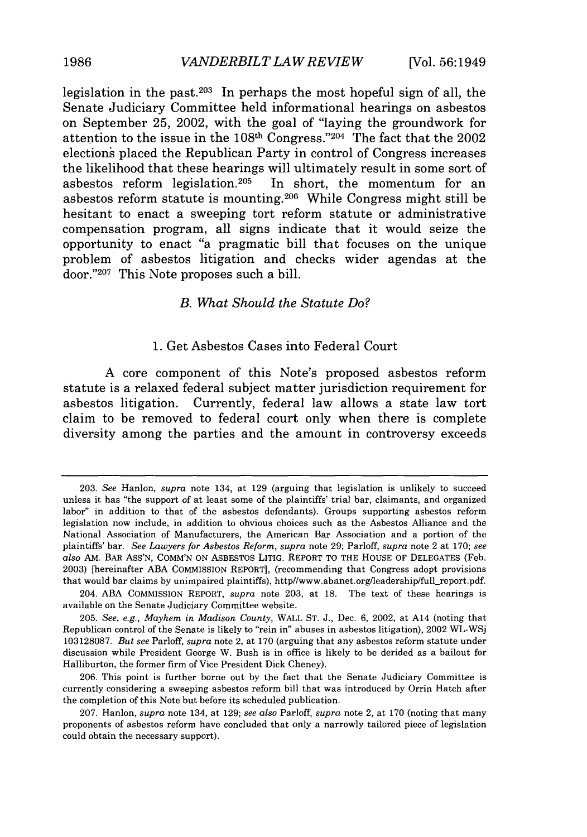legislation in the past.203 In perhaps the most hopeful sign of all, the Senate Judiciary Committee held informational hearings on asbestos on September **25,** 2002, with the goal of "laying the groundwork for attention to the issue in the 108<sup>th</sup> Congress."<sup>204</sup> The fact that the 2002 elections placed the Republican Party in control of Congress increases the likelihood that these hearings will ultimately result in some sort of asbestos reform legislation.<sup>205</sup> In short, the momentum for an asbestos reform statute is mounting.<sup>206</sup> While Congress might still be hesitant to enact a sweeping tort reform statute or administrative compensation program, all signs indicate that it would seize the opportunity to enact "a pragmatic bill that focuses on the unique problem of asbestos litigation and checks wider agendas at the door."207 This Note proposes such a bill.

#### *B. What Should the Statute Do?*

#### **1.** Get Asbestos Cases into Federal Court

**A** core component of this Note's proposed asbestos reform statute is a relaxed federal subject matter jurisdiction requirement for asbestos litigation. Currently, federal law allows a state law tort claim to be removed to federal court only when there is complete diversity among the parties and the amount in controversy exceeds

<sup>203.</sup> *See* Hanlon, *supra* note 134, at 129 (arguing that legislation is unlikely to succeed unless it has "the support of at least some of the plaintiffs' trial bar, claimants, and organized labor" in addition to that of the asbestos defendants). Groups supporting asbestos reform legislation now include, in addition to obvious choices such as the Asbestos Alliance and the National Association of Manufacturers, the American Bar Association and a portion of the plaintiffs' bar. *See Lawyers for Asbestos Reform, supra* note 29; Parloff, *supra* note 2 at 170; *see also* AM. BAR ASS'N, COMM'N ON ASBESTOS LITIG. REPORT TO THE HOUSE OF DELEGATES (Feb. 2003) [hereinafter ABA COMMISSION REPORT], (recommending that Congress adopt provisions that would bar claims by unimpaired plaintiffs), http//www.abanet.org/leadership/full-report.pdf.

<sup>204.</sup> ABA COMMISSION REPORT, *supra* note 203, at 18. The text of these hearings is available on the Senate Judiciary Committee website.

<sup>205.</sup> *See, e.g., Mayhem in Madison County,* WALL ST. J., Dec. 6, 2002, at A14 (noting that Republican control of the Senate is likely to "rein in" abuses in asbestos litigation), 2002 WL-WSj 103128087. *But see* Parloff, *supra* note 2, at 170 (arguing that any asbestos reform statute under discussion while President George W. Bush is in office is likely to be derided as a bailout for Halliburton, the former firm of Vice President Dick Cheney).

<sup>206.</sup> This point is further borne out by the fact that the Senate Judiciary Committee is currently considering a sweeping asbestos reform bill that was introduced by Orrin Hatch after the completion of this Note but before its scheduled publication.

<sup>207.</sup> Hanlon, *supra* note 134, at 129; *see also* Parloff, *supra* note 2, at 170 (noting that many proponents of asbestos reform have concluded that only a narrowly tailored piece of legislation could obtain the necessary support).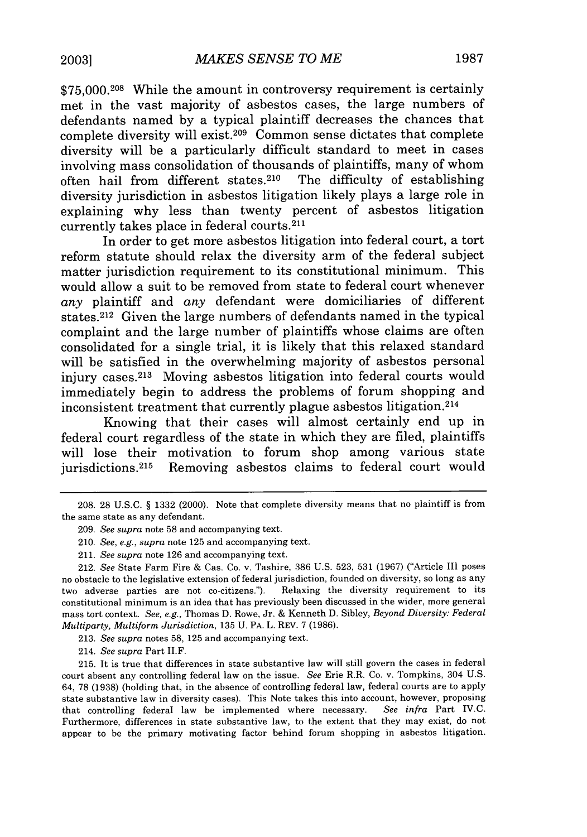\$75,000.<sup>208</sup> While the amount in controversy requirement is certainly met in the vast majority of asbestos cases, the large numbers of defendants named by a typical plaintiff decreases the chances that complete diversity will exist. 209 Common sense dictates that complete diversity will be a particularly difficult standard to meet in cases involving mass consolidation of thousands of plaintiffs, many of whom often hail from different states.210 The difficulty of establishing diversity jurisdiction in asbestos litigation likely plays a large role in explaining why less than twenty percent of asbestos litigation currently takes place in federal courts. <sup>211</sup>

In order to get more asbestos litigation into federal court, a tort reform statute should relax the diversity arm of the federal subject matter jurisdiction requirement to its constitutional minimum. This would allow a suit to be removed from state to federal court whenever *any* plaintiff and *any* defendant were domiciliaries of different states.<sup>212</sup> Given the large numbers of defendants named in the typical complaint and the large number of plaintiffs whose claims are often consolidated for a single trial, it is likely that this relaxed standard will be satisfied in the overwhelming majority of asbestos personal injury cases.<sup>213</sup> Moving asbestos litigation into federal courts would immediately begin to address the problems of forum shopping and inconsistent treatment that currently plague asbestos litigation.<sup>214</sup>

Knowing that their cases will almost certainly end up in federal court regardless of the state in which they are filed, plaintiffs will lose their motivation to forum shop among various state jurisdictions.<sup>215</sup> Removing asbestos claims to federal court would

213. *See supra* notes 58, 125 and accompanying text.

214. *See supra* Part II.F.

215. It is true that differences in state substantive law will still govern the cases in federal court absent any controlling federal law on the issue. *See* Erie R.R. Co. v. Tompkins, 304 U.S. 64, 78 (1938) (holding that, in the absence of controlling federal law, federal courts are to apply state substantive law in diversity cases). This Note takes this into account, however, proposing that controlling federal law be implemented where necessary. *See infra* Part IV.C. Furthermore, differences in state substantive law, to the extent that they may exist, do not appear to be the primary motivating factor behind forum shopping in asbestos litigation.

<sup>208. 28</sup> U.S.C. § 1332 (2000). Note that complete diversity means that no plaintiff is from the same state as any defendant.

<sup>209.</sup> *See supra* note 58 and accompanying text.

<sup>210.</sup> *See, e.g., supra* note 125 and accompanying text.

<sup>211.</sup> *See supra* note 126 and accompanying text.

<sup>212.</sup> *See* State Farm Fire & Cas. Co. v. Tashire, 386 U.S. 523, 531 (1967) ("Article III poses no obstacle to the legislative extension of federal jurisdiction, founded on diversity, so long as any two adverse parties are not co-citizens."). Relaxing the diversity requirement to its constitutional minimum is an idea that has previously been discussed in the wider, more general mass tort context. *See, e.g.,* Thomas D. Rowe, Jr. & Kenneth D. Sibley, *Beyond Diversity: Federal Multiparty, Multiform Jurisdiction,* 135 U. PA. L. REV. 7 (1986).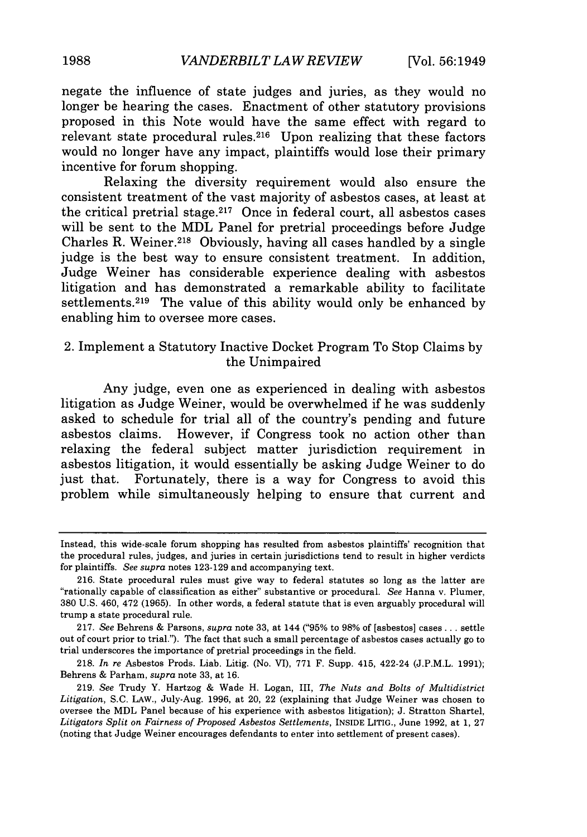negate the influence of state judges and juries, as they would no longer be hearing the cases. Enactment of other statutory provisions proposed in this Note would have the same effect with regard to relevant state procedural rules.<sup>216</sup> Upon realizing that these factors would no longer have any impact, plaintiffs would lose their primary incentive for forum shopping.

Relaxing the diversity requirement would also ensure the consistent treatment of the vast majority of asbestos cases, at least at the critical pretrial stage.217 Once in federal court, all asbestos cases will be sent to the MDL Panel for pretrial proceedings before Judge Charles R. Weiner.<sup>218</sup> Obviously, having all cases handled by a single judge is the best way to ensure consistent treatment. In addition, Judge Weiner has considerable experience dealing with asbestos litigation and has demonstrated a remarkable ability to facilitate settlements.<sup>219</sup> The value of this ability would only be enhanced by enabling him to oversee more cases.

# 2. Implement a Statutory Inactive Docket Program To Stop Claims by the Unimpaired

Any judge, even one as experienced in dealing with asbestos litigation as Judge Weiner, would be overwhelmed if he was suddenly asked to schedule for trial all of the country's pending and future asbestos claims. However, if Congress took no action other than relaxing the federal subject matter jurisdiction requirement in asbestos litigation, it would essentially be asking Judge Weiner to do just that. Fortunately, there is a way for Congress to avoid this problem while simultaneously helping to ensure that current and

Instead, this wide-scale forum shopping has resulted from asbestos plaintiffs' recognition that the procedural rules, judges, and juries in certain jurisdictions tend to result in higher verdicts for plaintiffs. *See supra* notes 123-129 and accompanying text.

<sup>216.</sup> State procedural rules must give way to federal statutes so long as the latter are "rationally capable of classification as either" substantive or procedural. *See* Hanna v. Plumer, 380 U.S. 460, 472 (1965). In other words, a federal statute that is even arguably procedural will trump a state procedural rule.

<sup>217.</sup> *See* Behrens & Parsons, *supra* note 33, at 144 ("95% to 98% of [asbestos] cases... settle out of court prior to trial."). The fact that such a small percentage of asbestos cases actually go to trial underscores the importance of pretrial proceedings in the field.

<sup>218.</sup> *In re* Asbestos Prods. Liab. Litig. (No. VI), 771 F. Supp. 415, 422-24 (J.P.M.L. 1991); Behrens & Parham, *supra* note 33, at 16.

<sup>219.</sup> *See* Trudy Y. Hartzog & Wade H. Logan, III, *The Nuts and Bolts of Multidistrict Litigation,* S.C. LAW., July-Aug. 1996, at 20, 22 (explaining that Judge Weiner was chosen to oversee the MDL Panel because of his experience with asbestos litigation); J. Stratton Shartel, *Litigators Split on Fairness of Proposed Asbestos Settlements,* **INSIDE** LITIG., June 1992, at 1, 27 (noting that Judge Weiner encourages defendants to enter into settlement of present cases).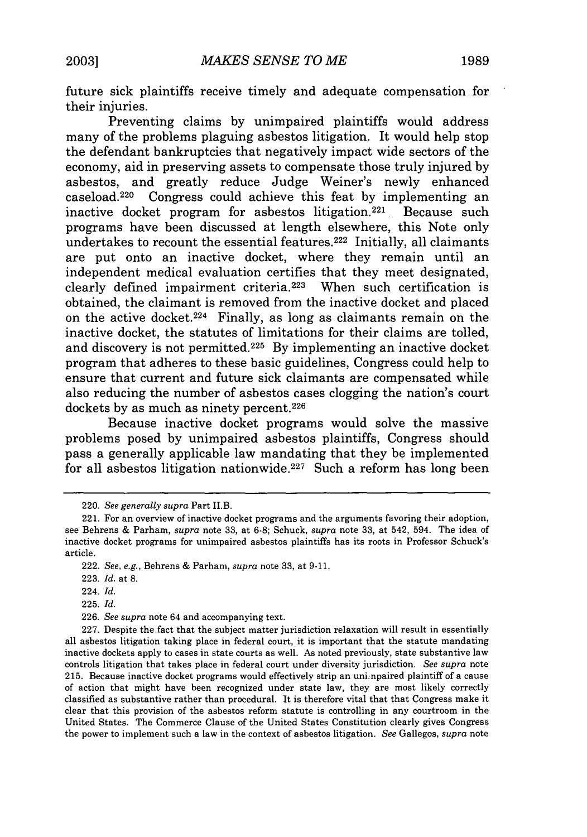future sick plaintiffs receive timely and adequate compensation for their injuries.

Preventing claims by unimpaired plaintiffs would address many of the problems plaguing asbestos litigation. It would help stop the defendant bankruptcies that negatively impact wide sectors of the economy, aid in preserving assets to compensate those truly injured by asbestos, and greatly reduce Judge Weiner's newly enhanced caseload. 220 Congress could achieve this feat by implementing an inactive docket program for asbestos litigation.<sup>221</sup> Because such programs have been discussed at length elsewhere, this Note only undertakes to recount the essential features. 222 Initially, all claimants are put onto an inactive docket, where they remain until an independent medical evaluation certifies that they meet designated, clearly defined impairment criteria. 223 When such certification is obtained, the claimant is removed from the inactive docket and placed on the active docket.<sup>224</sup> Finally, as long as claimants remain on the inactive docket, the statutes of limitations for their claims are tolled, and discovery is not permitted. 225 By implementing an inactive docket program that adheres to these basic guidelines, Congress could help to ensure that current and future sick claimants are compensated while also reducing the number of asbestos cases clogging the nation's court dockets by as much as ninety percent.<sup>226</sup>

Because inactive docket programs would solve the massive problems posed by unimpaired asbestos plaintiffs, Congress should pass a generally applicable law mandating that they be implemented for all asbestos litigation nationwide.<sup>227</sup> Such a reform has long been

225. *Id.*

<sup>220.</sup> *See generally supra* Part II.B.

<sup>221.</sup> For an overview of inactive docket programs and the arguments favoring their adoption, see Behrens & Parham, *supra* note 33, at 6-8; Schuck, *supra* note 33, at 542, 594. The idea of inactive docket programs for unimpaired asbestos plaintiffs has its roots in Professor Schuck's article.

<sup>222.</sup> *See, e.g.,* Behrens & Parham, *supra* note 33, at 9-11.

<sup>223.</sup> *Id.* at 8.

<sup>224.</sup> *Id.*

<sup>226.</sup> *See supra* note 64 and accompanying text.

<sup>227.</sup> Despite the fact that the subject matter jurisdiction relaxation will result in essentially all asbestos litigation taking place in federal court, it is important that the statute mandating inactive dockets apply to cases in state courts as well. As noted previously, state substantive law controls litigation that takes place in federal court under diversity jurisdiction. *See supra* note 215. Because inactive docket programs would effectively strip an unimpaired plaintiff of a cause of action that might have been recognized under state law, they are most likely correctly classified as substantive rather than procedural. It is therefore vital that that Congress make it clear that this provision of the asbestos reform statute is controlling in any courtroom in the United States. The Commerce Clause of the United States Constitution clearly gives Congress the power to implement such a law in the context of asbestos litigation. *See* Gallegos, *supra* note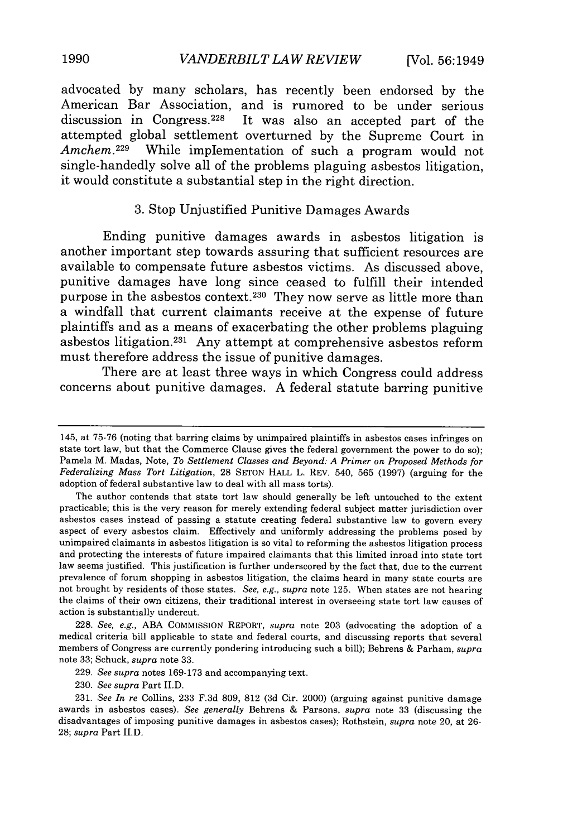advocated **by** many scholars, has recently been endorsed **by** the American Bar Association, and is rumored to be under serious discussion in Congress. 228 It was also an accepted part of the attempted global settlement overturned **by** the Supreme Court in Amchem.<sup>229</sup> While implementation of such a program would not single-handedly solve all of the problems plaguing asbestos litigation, it would constitute a substantial step in the right direction.

#### **3.** Stop Unjustified Punitive Damages Awards

Ending punitive damages awards in asbestos litigation is another important step towards assuring that sufficient resources are available to compensate future asbestos victims. As discussed above, punitive damages have long since ceased to fulfill their intended purpose in the asbestos context. 230 They now serve as little more than a windfall that current claimants receive at the expense of future plaintiffs and as a means of exacerbating the other problems plaguing asbestos litigation. 231 Any attempt at comprehensive asbestos reform must therefore address the issue of punitive damages.

There are at least three ways in which Congress could address concerns about punitive damages. **A** federal statute barring punitive

228. *See, e.g.,* ABA COMMISSION REPORT, *supra* note 203 (advocating the adoption of a medical criteria bill applicable to state and federal courts, and discussing reports that several members of Congress are currently pondering introducing such a bill); Behrens & Parham, *supra* note 33; Schuck, *supra* note 33.

<sup>145,</sup> at 75-76 (noting that barring claims by unimpaired plaintiffs in asbestos cases infringes on state tort law, but that the Commerce Clause gives the federal government the power to do so); Pamela M. Madas, Note, *To Settlement Classes and Beyond: A Primer on Proposed Methods for Federalizing Mass Tort Litigation,* 28 SETON HALL L. REV. 540, 565 (1997) (arguing for the adoption of federal substantive law to deal with all mass torts).

The author contends that state tort law should generally be left untouched to the extent practicable; this is the very reason for merely extending federal subject matter jurisdiction over asbestos cases instead of passing a statute creating federal substantive law to govern every aspect of every asbestos claim. Effectively and uniformly addressing the problems posed by unimpaired claimants in asbestos litigation is so vital to reforming the asbestos litigation process and protecting the interests of future impaired claimants that this limited inroad into state tort law seems justified. This justification is further underscored by the fact that, due to the current prevalence of forum shopping in asbestos litigation, the claims heard in many state courts are not brought by residents of those states. *See, e.g., supra* note 125. When states are not hearing the claims of their own citizens, their traditional interest in overseeing state tort law causes of action is substantially undercut.

<sup>229.</sup> *See supra* notes 169-173 and accompanying text.

<sup>230.</sup> *See supra* Part IID.

<sup>231.</sup> *See In re* Collins, 233 F.3d 809, 812 (3d Cir. 2000) (arguing against punitive damage awards in asbestos cases). *See generally* Behrens & Parsons, *supra* note 33 (discussing the disadvantages of imposing punitive damages in asbestos cases); Rothstein, *supra* note 20, at 26- 28; *supra* Part I.D.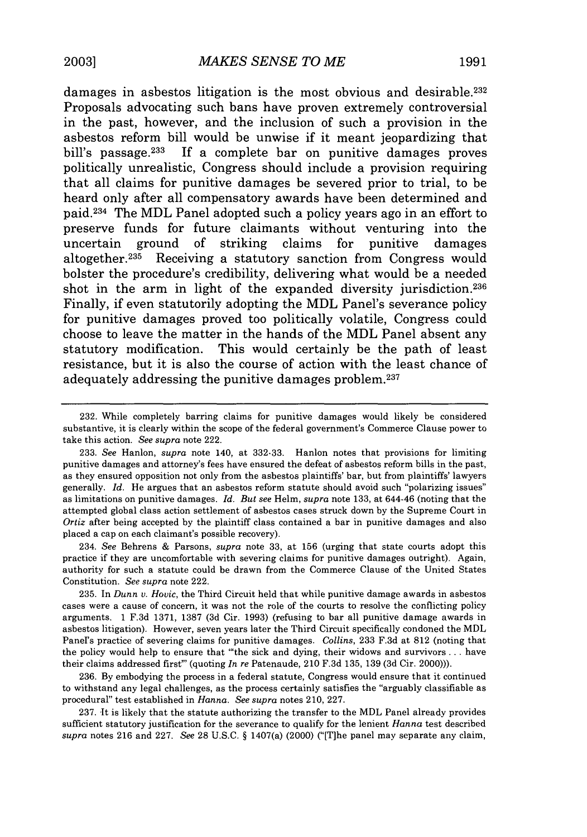damages in asbestos litigation is the most obvious and desirable.<sup>232</sup> Proposals advocating such bans have proven extremely controversial in the past, however, and the inclusion of such a provision in the asbestos reform bill would be unwise if it meant jeopardizing that bill's passage.<sup>233</sup> If a complete bar on punitive damages proves politically unrealistic, Congress should include a provision requiring that all claims for punitive damages be severed prior to trial, to be heard only after all compensatory awards have been determined and paid.234 The MDL Panel adopted such a policy years ago in an effort to preserve funds for future claimants without venturing into the uncertain ground of striking claims for punitive damages altogether.<sup>235</sup> Receiving a statutory sanction from Congress would bolster the procedure's credibility, delivering what would be a needed shot in the arm in light of the expanded diversity jurisdiction.<sup>236</sup> Finally, if even statutorily adopting the MDL Panel's severance policy for punitive damages proved too politically volatile, Congress could choose to leave the matter in the hands of the MDL Panel absent any statutory modification. This would certainly be the path of least resistance, but it is also the course of action with the least chance of adequately addressing the punitive damages problem.<sup>237</sup>

234. See Behrens & Parsons, *supra* note 33, at 156 (urging that state courts adopt this practice if they are uncomfortable with severing claims for punitive damages outright). Again, authority for such a statute could be drawn from the Commerce Clause of the United States Constitution. *See supra* note 222.

235. In *Dunn v. Hovic,* the Third Circuit held that while punitive damage awards in asbestos cases were a cause of concern, it was not the role of the courts to resolve the conflicting policy arguments. 1 F.3d 1371, 1387 (3d Cir. 1993) (refusing to bar all punitive damage awards in asbestos litigation). However, seven years later the Third Circuit specifically condoned the MDL Panel's practice of severing claims for punitive damages. *Collins,* 233 F.3d at 812 (noting that the policy would help to ensure that "'the sick and dying, their widows and survivors ... have their claims addressed first"' (quoting *In re* Patenaude, 210 F.3d 135, 139 (3d Cir. 2000))).

236. By embodying the process in a federal statute, Congress would ensure that it continued to withstand any legal challenges, as the process certainly satisfies the "arguably classifiable as procedural" test established in *Hanna. See supra* notes 210, 227.

237. It is likely that the statute authorizing the transfer to the MDL Panel already provides sufficient statutory justification for the severance to qualify for the lenient *Hanna* test described *supra* notes 216 and 227. *See* 28 U.S.C. § 1407(a) (2000) ("[T]he panel may separate any claim,

<sup>232.</sup> While completely barring claims for punitive damages would likely be considered substantive, it is clearly within the scope of the federal government's Commerce Clause power to take this action. *See supra* note 222.

<sup>233.</sup> See Hanlon, *supra* note 140, at 332-33. Hanlon notes that provisions for limiting punitive damages and attorney's fees have ensured the defeat of asbestos reform bills in the past, as they ensured opposition not only from the asbestos plaintiffs' bar, but from plaintiffs' lawyers generally. *Id.* He argues that an asbestos reform statute should avoid such "polarizing issues" as limitations on punitive damages. *Id. But see* Helm, *supra* note 133, at 644-46 (noting that the attempted global class action settlement of asbestos cases struck down by the Supreme Court in *Ortiz* after being accepted by the plaintiff class contained a bar in punitive damages and also placed a cap on each claimant's possible recovery).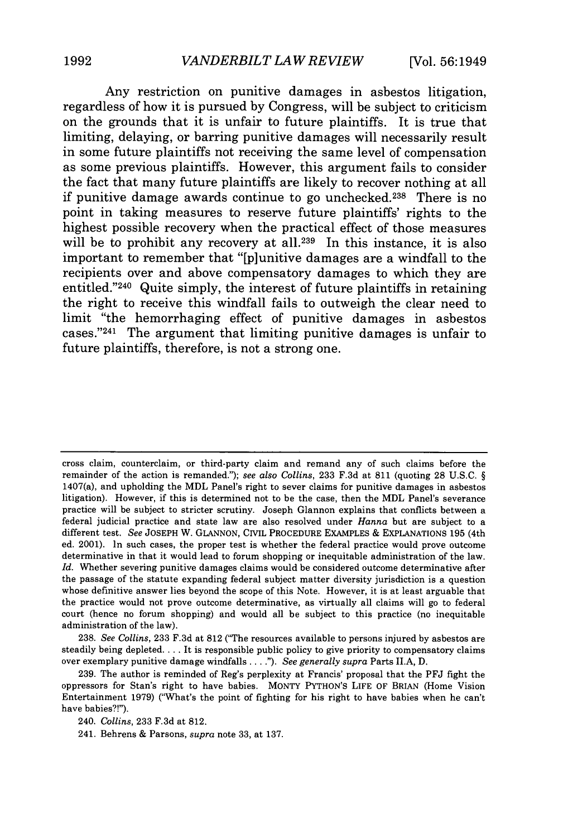Any restriction on punitive damages in asbestos litigation, regardless of how it is pursued **by** Congress, will be subject to criticism on the grounds that it is unfair to future plaintiffs. It is true that limiting, delaying, or barring punitive damages will necessarily result in some future plaintiffs not receiving the same level of compensation as some previous plaintiffs. However, this argument fails to consider the fact that many future plaintiffs are likely to recover nothing at all if punitive damage awards continue to go unchecked. 238 There is no point in taking measures to reserve future plaintiffs' rights to the highest possible recovery when the practical effect of those measures will be to prohibit any recovery at all.<sup>239</sup> In this instance, it is also important to remember that "[p]unitive damages are a windfall to the recipients over and above compensatory damages to which they are entitled."<sup>240</sup> Quite simply, the interest of future plaintiffs in retaining the right to receive this windfall fails to outweigh the clear need to limit "the hemorrhaging effect of punitive damages in asbestos cases."241 The argument that limiting punitive damages is unfair to future plaintiffs, therefore, is not a strong one.

cross claim, counterclaim, or third-party claim and remand any of such claims before the remainder of the action is remanded."); *see also Collins,* 233 F.3d at 811 (quoting 28 U.S.C. § 1407(a), and upholding the MDL Panel's right to sever claims for punitive damages in asbestos litigation). However, if this is determined not to be the case, then the MDL Panel's severance practice will be subject to stricter scrutiny. Joseph Glannon explains that conflicts between a federal judicial practice and state law are also resolved under *Hanna* but are subject to a different test. *See* JOSEPH W. GLANNON, CIVIL PROCEDURE EXAMPLES & EXPLANATIONS 195 (4th ed. 2001). In such cases, the proper test is whether the federal practice would prove outcome determinative in that it would lead to forum shopping or inequitable administration of the law. *Id.* Whether severing punitive damages claims would be considered outcome determinative after the passage of the statute expanding federal subject matter diversity jurisdiction is a question whose definitive answer lies beyond the scope of this Note. However, it is at least arguable that the practice would not prove outcome determinative, as virtually all claims will go to federal court (hence no forum shopping) and would all be subject to this practice (no inequitable administration of the law).

238. *See Collins,* 233 F.3d at 812 ("The resources available to persons injured by asbestos are steadily being depleted.... It is responsible public policy to give priority to compensatory claims over exemplary punitive damage windfalls **....").** *See generally supra* Parts ILA, D.

239. The author is reminded of Reg's perplexity at Francis' proposal that the PFJ fight the oppressors for Stan's right to have babies. MONTY PYTHON'S LIFE OF BRIAN (Home Vision Entertainment 1979) ("What's the point of fighting for his right to have babies when he can't have babies?!").

<sup>240.</sup> *Collins,* 233 F.3d at 812.

<sup>241.</sup> Behrens & Parsons, *supra* note 33, at 137.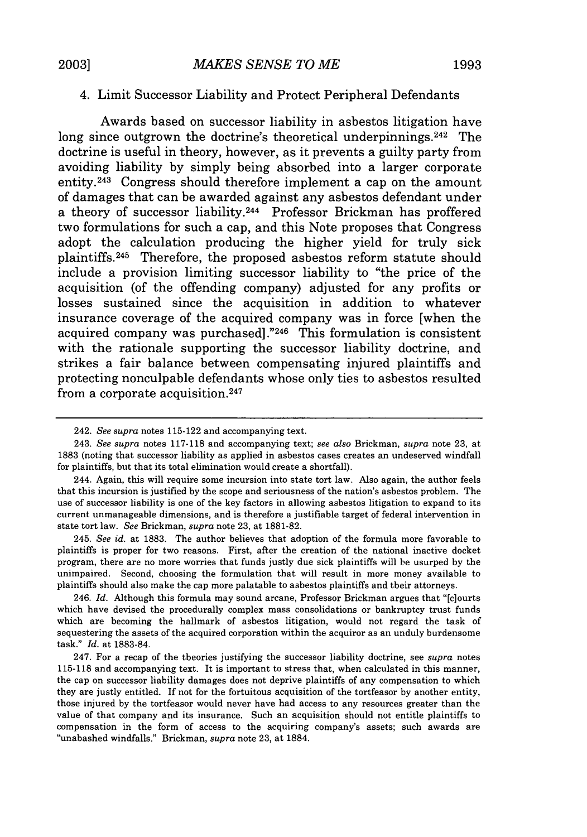#### 4. Limit Successor Liability and Protect Peripheral Defendants

Awards based on successor liability in asbestos litigation have long since outgrown the doctrine's theoretical underpinnings.<sup>242</sup> The doctrine is useful in theory, however, as it prevents a guilty party from avoiding liability by simply being absorbed into a larger corporate entity. 243 Congress should therefore implement a cap on the amount of damages that can be awarded against any asbestos defendant under a theory of successor liability.244 Professor Brickman has proffered two formulations for such a cap, and this Note proposes that Congress adopt the calculation producing the higher yield for truly sick plaintiffs. 245 Therefore, the proposed asbestos reform statute should include a provision limiting successor liability to "the price of the acquisition (of the offending company) adjusted for any profits or losses sustained since the acquisition in addition to whatever insurance coverage of the acquired company was in force [when the acquired company was purchased] ."246 This formulation is consistent with the rationale supporting the successor liability doctrine, and strikes a fair balance between compensating injured plaintiffs and protecting nonculpable defendants whose only ties to asbestos resulted from a corporate acquisition. <sup>247</sup>

245. *See id.* at 1883. The author believes that adoption of the formula more favorable to plaintiffs is proper for two reasons. First, after the creation of the national inactive docket program, there are no more worries that funds justly due sick plaintiffs will be usurped by the unimpaired. Second, choosing the formulation that will result in more money available to plaintiffs should also make the cap more palatable to asbestos plaintiffs and their attorneys.

<sup>242.</sup> *See supra* notes 115-122 and accompanying text.

<sup>243.</sup> *See supra* notes 117-118 and accompanying text; *see also* Brickman, *supra* note 23, at 1883 (noting that successor liability as applied in asbestos cases creates an undeserved windfall for plaintiffs, but that its total elimination would create a shortfall).

<sup>244.</sup> Again, this will require some incursion into state tort law. Also again, the author feels that this incursion is justified by the scope and seriousness of the nation's asbestos problem. The use of successor liability is one of the key factors in allowing asbestos litigation to expand to its current unmanageable dimensions, and is therefore a justifiable target of federal intervention in state tort law. *See* Brickman, *supra* note 23, at 1881-82.

<sup>246.</sup> *Id.* Although this formula may sound arcane, Professor Brickman argues that "[c]ourts which have devised the procedurally complex mass consolidations or bankruptcy trust funds which are becoming the hallmark of asbestos litigation, would not regard the task of sequestering the assets of the acquired corporation within the acquiror as an unduly burdensome task." *Id.* at 1883-84.

<sup>247.</sup> For a recap of the theories justifying the successor liability doctrine, see *supra* notes 115-118 and accompanying text. It is important to stress that, when calculated in this manner, the cap on successor liability damages does not deprive plaintiffs of any compensation to which they are justly entitled. If not for the fortuitous acquisition of the tortfeasor by another entity, those injured by the tortfeasor would never have had access to any resources greater than the value of that company and its insurance. Such an acquisition should not entitle plaintiffs to compensation in the form of access to the acquiring company's assets; such awards are "unabashed windfalls." Brickman, *supra* note 23, at 1884.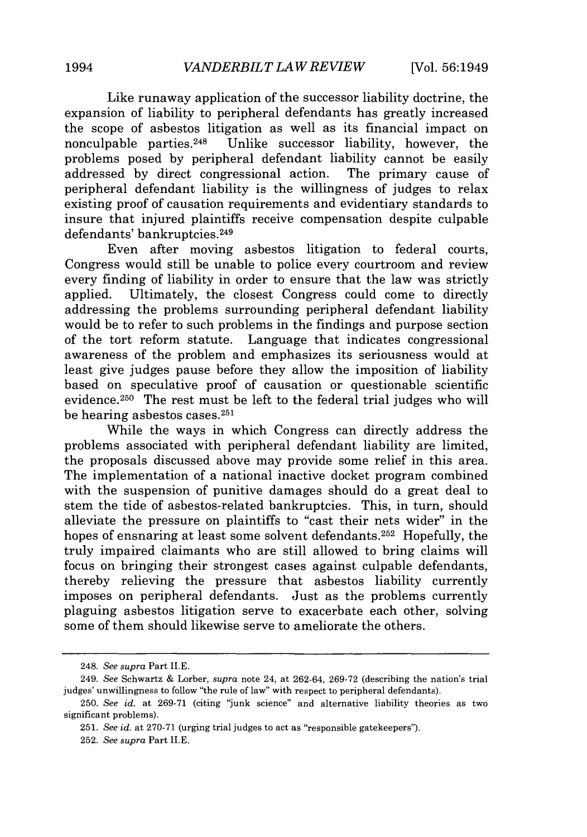Like runaway application of the successor liability doctrine, the expansion of liability to peripheral defendants has greatly increased the scope of asbestos litigation as well as its financial impact on nonculpable parties.<sup>248</sup> Unlike successor liability, however, the Unlike successor liability, however, the problems posed by peripheral defendant liability cannot be easily addressed by direct congressional action. The primary cause of peripheral defendant liability is the willingness of judges to relax existing proof of causation requirements and evidentiary standards to insure that injured plaintiffs receive compensation despite culpable defendants' bankruptcies. <sup>249</sup>

Even after moving asbestos litigation to federal courts, Congress would still be unable to police every courtroom and review every finding of liability in order to ensure that the law was strictly applied. Ultimately, the closest Congress could come to directly addressing the problems surrounding peripheral defendant liability would be to refer to such problems in the findings and purpose section of the tort reform statute. Language that indicates congressional awareness of the problem and emphasizes its seriousness would at least give judges pause before they allow the imposition of liability based on speculative proof of causation or questionable scientific evidence. 250 The rest must be left to the federal trial judges who will be hearing asbestos cases. <sup>251</sup>

While the ways in which Congress can directly address the problems associated with peripheral defendant liability are limited, the proposals discussed above may provide some relief in this area. The implementation of a national inactive docket program combined with the suspension of punitive damages should do a great deal to stem the tide of asbestos-related bankruptcies. This, in turn, should alleviate the pressure on plaintiffs to "cast their nets wider" in the hopes of ensnaring at least some solvent defendants.<sup>252</sup> Hopefully, the truly impaired claimants who are still allowed to bring claims will focus on bringing their strongest cases against culpable defendants, thereby relieving the pressure that asbestos liability currently imposes on peripheral defendants. Just as the problems currently plaguing asbestos litigation serve to exacerbate each other, solving some of them should likewise serve to ameliorate the others.

<sup>248.</sup> *See supra* Part **lI.E.**

<sup>249.</sup> *See* Schwartz & Lorber, *supra* note 24, at 262-64, 269-72 (describing the nation's trial judges' unwillingness to follow "the rule of law" with respect to peripheral defendants).

<sup>250.</sup> *See id.* at 269-71 (citing "junk science" and alternative liability theories as two significant problems).

<sup>251.</sup> *See id.* at 270-71 (urging trial judges to act as "responsible gatekeepers").

<sup>252.</sup> *See supra* Part **II.E.**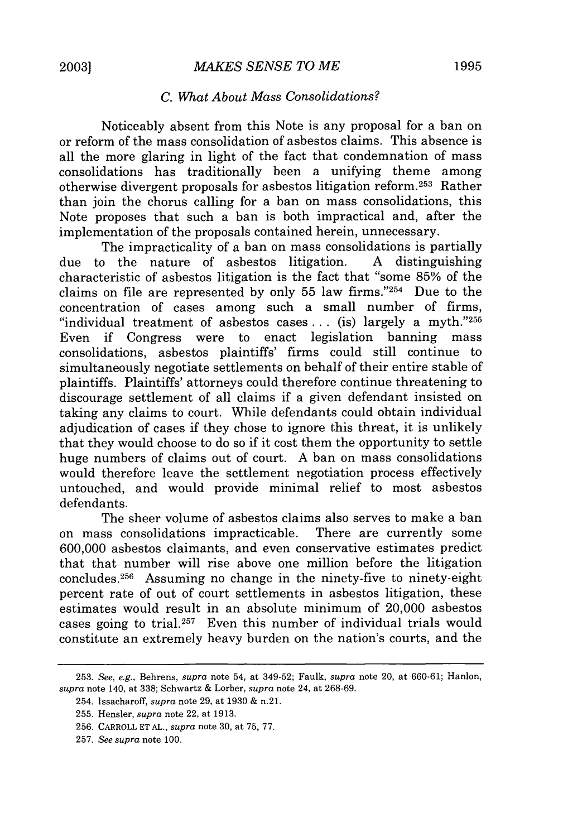#### *C. What About Mass Consolidations?*

Noticeably absent from this Note is any proposal for a ban on or reform of the mass consolidation of asbestos claims. This absence is all the more glaring in light of the fact that condemnation of mass consolidations has traditionally been a unifying theme among otherwise divergent proposals for asbestos litigation reform. 253 Rather than join the chorus calling for a ban on mass consolidations, this Note proposes that such a ban is both impractical and, after the implementation of the proposals contained herein, unnecessary.

The impracticality of a ban on mass consolidations is partially due to the nature of asbestos litigation. A distinguishing characteristic of asbestos litigation is the fact that "some 85% of the claims on file are represented by only 55 law firms."254 Due to the concentration of cases among such a small number of firms, "individual treatment of asbestos cases ... (is) largely a myth."255 Even if Congress were to enact legislation banning mass consolidations, asbestos plaintiffs' firms could still continue to simultaneously negotiate settlements on behalf of their entire stable of plaintiffs. Plaintiffs' attorneys could therefore continue threatening to discourage settlement of all claims if a given defendant insisted on taking any claims to court. While defendants could obtain individual adjudication of cases if they chose to ignore this threat, it is unlikely that they would choose to do so if it cost them the opportunity to settle huge numbers of claims out of court. A ban on mass consolidations would therefore leave the settlement negotiation process effectively untouched, and would provide minimal relief to most asbestos defendants.

The sheer volume of asbestos claims also serves to make a ban on mass consolidations impracticable. There are currently some 600,000 asbestos claimants, and even conservative estimates predict that that number will rise above one million before the litigation concludes.<sup>256</sup> Assuming no change in the ninety-five to ninety-eight percent rate of out of court settlements in asbestos litigation, these estimates would result in an absolute minimum of 20,000 asbestos cases going to trial.<sup>257</sup> Even this number of individual trials would constitute an extremely heavy burden on the nation's courts, and the

<sup>253.</sup> *See, e.g.,* Behrens, *supra* note 54, at 349-52; Faulk, *supra* note 20, at 660-61; Hanlon, *supra* note 140, at 338; Schwartz & Lorber, *supra* note 24, at 268-69.

<sup>254.</sup> Issacharoff, *supra* note 29, at 1930 & n.21.

<sup>255.</sup> Hensler, *supra* note 22, at 1913.

<sup>256.</sup> CARROLL ET AL., *supra* note 30, at 75, 77.

<sup>257.</sup> *See supra* note 100.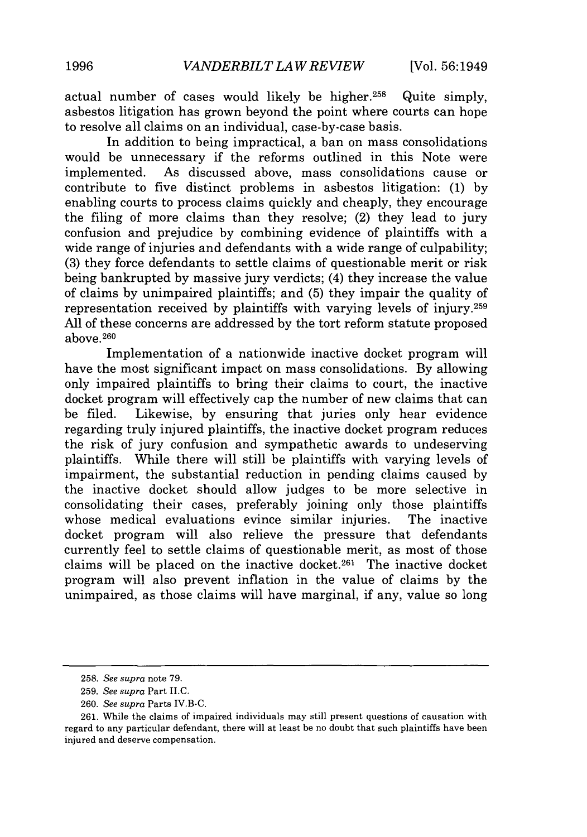actual number of cases would likely be higher.258 Quite simply, asbestos litigation has grown beyond the point where courts can hope to resolve all claims on an individual, case-by-case basis.

In addition to being impractical, a ban on mass consolidations would be unnecessary if the reforms outlined in this Note were implemented. As discussed above, mass consolidations cause or contribute to five distinct problems in asbestos litigation: (1) by enabling courts to process claims quickly and cheaply, they encourage the filing of more claims than they resolve; (2) they lead to jury confusion and prejudice by combining evidence of plaintiffs with a wide range of injuries and defendants with a wide range of culpability; (3) they force defendants to settle claims of questionable merit or risk being bankrupted by massive jury verdicts; (4) they increase the value of claims by unimpaired plaintiffs; and (5) they impair the quality of representation received by plaintiffs with varying levels of injury.259 All of these concerns are addressed by the tort reform statute proposed above. <sup>260</sup>

Implementation of a nationwide inactive docket program will have the most significant impact on mass consolidations. By allowing only impaired plaintiffs to bring their claims to court, the inactive docket program will effectively cap the number of new claims that can be filed. Likewise, by ensuring that juries only hear evidence regarding truly injured plaintiffs, the inactive docket program reduces the risk of jury confusion and sympathetic awards to undeserving plaintiffs. While there will still be plaintiffs with varying levels of impairment, the substantial reduction in pending claims caused by the inactive docket should allow judges to be more selective in consolidating their cases, preferably joining only those plaintiffs whose medical evaluations evince similar injuries. The inactive docket program will also relieve the pressure that defendants currently feel to settle claims of questionable merit, as most of those claims will be placed on the inactive docket. 261 The inactive docket program will also prevent inflation in the value of claims by the unimpaired, as those claims will have marginal, if any, value so long

<sup>258.</sup> *See supra* note 79.

<sup>259.</sup> *See supra* Part II.C.

<sup>260.</sup> *See supra* Parts IV.B-C.

<sup>261.</sup> While the claims of impaired individuals may still present questions of causation with regard to any particular defendant, there will at least be no doubt that such plaintiffs have been injured and deserve compensation.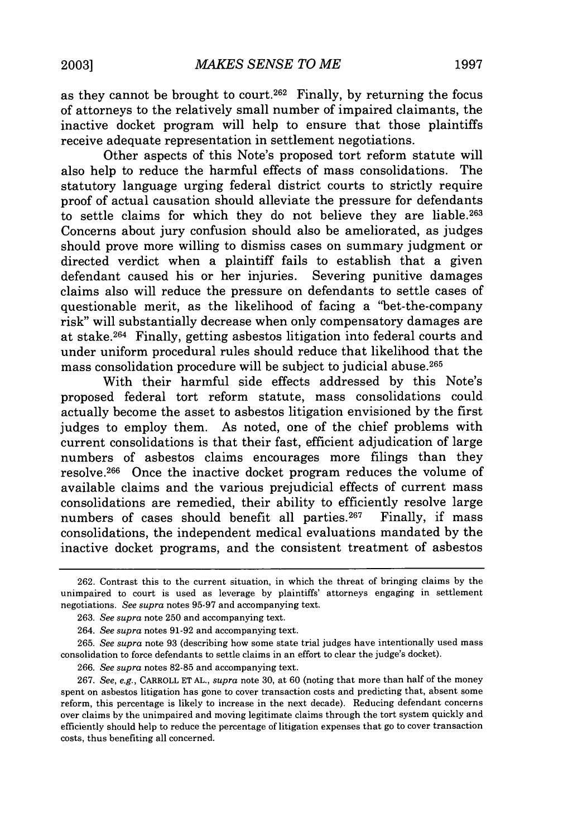as they cannot be brought to court.<sup>262</sup> Finally, by returning the focus of attorneys to the relatively small number of impaired claimants, the inactive docket program will help to ensure that those plaintiffs receive adequate representation in settlement negotiations.

Other aspects of this Note's proposed tort reform statute will also help to reduce the harmful effects of mass consolidations. The statutory language urging federal district courts to strictly require proof of actual causation should alleviate the pressure for defendants to settle claims for which they do not believe they are liable.263 Concerns about jury confusion should also be ameliorated, as judges should prove more willing to dismiss cases on summary judgment or directed verdict when a plaintiff fails to establish that a given defendant caused his or her injuries. Severing punitive damages claims also will reduce the pressure on defendants to settle cases of questionable merit, as the likelihood of facing a "bet-the-company risk" will substantially decrease when only compensatory damages are at stake.264 Finally, getting asbestos litigation into federal courts and under uniform procedural rules should reduce that likelihood that the mass consolidation procedure will be subject to judicial abuse. <sup>265</sup>

With their harmful side effects addressed by this Note's proposed federal tort reform statute, mass consolidations could actually become the asset to asbestos litigation envisioned by the first judges to employ them. As noted, one of the chief problems with current consolidations is that their fast, efficient adjudication of large numbers of asbestos claims encourages more filings than they resolve. 266 Once the inactive docket program reduces the volume of available claims and the various prejudicial effects of current mass consolidations are remedied, their ability to efficiently resolve large numbers of cases should benefit all parties.<sup>267</sup> Finally, if mass consolidations, the independent medical evaluations mandated by the inactive docket programs, and the consistent treatment of asbestos

265. *See supra* note 93 (describing how some state trial judges have intentionally used mass consolidation to force defendants to settle claims in an effort to clear the judge's docket).

266. *See supra* notes 82-85 and accompanying text.

267. *See, e.g.,* CARROLL ET AL., *supra* note 30, at 60 (noting that more than half of the money spent on asbestos litigation has gone to cover transaction costs and predicting that, absent some reform, this percentage is likely to increase in the next decade). Reducing defendant concerns over claims by the unimpaired and moving legitimate claims through the tort system quickly and efficiently should help to reduce the percentage of litigation expenses that go to cover transaction costs, thus benefiting all concerned.

<sup>262.</sup> Contrast this to the current situation, in which the threat of bringing claims by the unimpaired to court is used as leverage by plaintiffs' attorneys engaging in settlement negotiations. *See supra* notes 95-97 and accompanying text.

<sup>263.</sup> *See supra* note 250 and accompanying text.

<sup>264.</sup> *See supra* notes 91-92 and accompanying text.